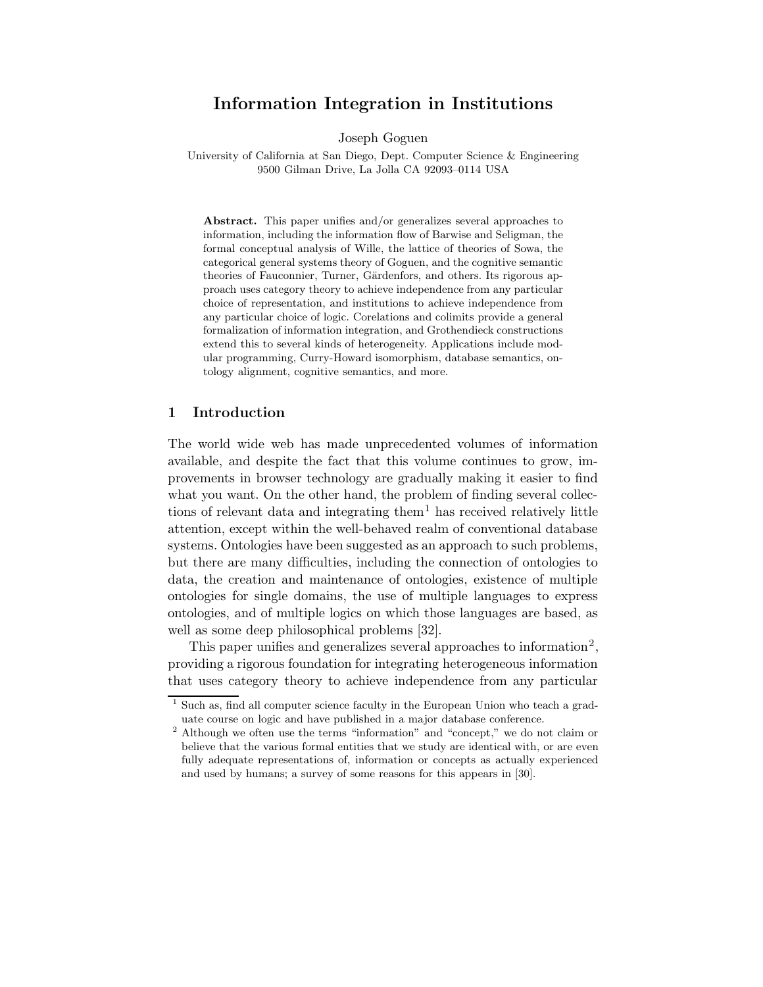# Information Integration in Institutions

Joseph Goguen

University of California at San Diego, Dept. Computer Science & Engineering 9500 Gilman Drive, La Jolla CA 92093–0114 USA

Abstract. This paper unifies and/or generalizes several approaches to information, including the information flow of Barwise and Seligman, the formal conceptual analysis of Wille, the lattice of theories of Sowa, the categorical general systems theory of Goguen, and the cognitive semantic theories of Fauconnier, Turner, Gärdenfors, and others. Its rigorous approach uses category theory to achieve independence from any particular choice of representation, and institutions to achieve independence from any particular choice of logic. Corelations and colimits provide a general formalization of information integration, and Grothendieck constructions extend this to several kinds of heterogeneity. Applications include modular programming, Curry-Howard isomorphism, database semantics, ontology alignment, cognitive semantics, and more.

## 1 Introduction

The world wide web has made unprecedented volumes of information available, and despite the fact that this volume continues to grow, improvements in browser technology are gradually making it easier to find what you want. On the other hand, the problem of finding several collections of relevant data and integrating them<sup>1</sup> has received relatively little attention, except within the well-behaved realm of conventional database systems. Ontologies have been suggested as an approach to such problems, but there are many difficulties, including the connection of ontologies to data, the creation and maintenance of ontologies, existence of multiple ontologies for single domains, the use of multiple languages to express ontologies, and of multiple logics on which those languages are based, as well as some deep philosophical problems [32].

This paper unifies and generalizes several approaches to information<sup>2</sup>, providing a rigorous foundation for integrating heterogeneous information that uses category theory to achieve independence from any particular

<sup>1</sup> Such as, find all computer science faculty in the European Union who teach a graduate course on logic and have published in a major database conference.

<sup>2</sup> Although we often use the terms "information" and "concept," we do not claim or believe that the various formal entities that we study are identical with, or are even fully adequate representations of, information or concepts as actually experienced and used by humans; a survey of some reasons for this appears in [30].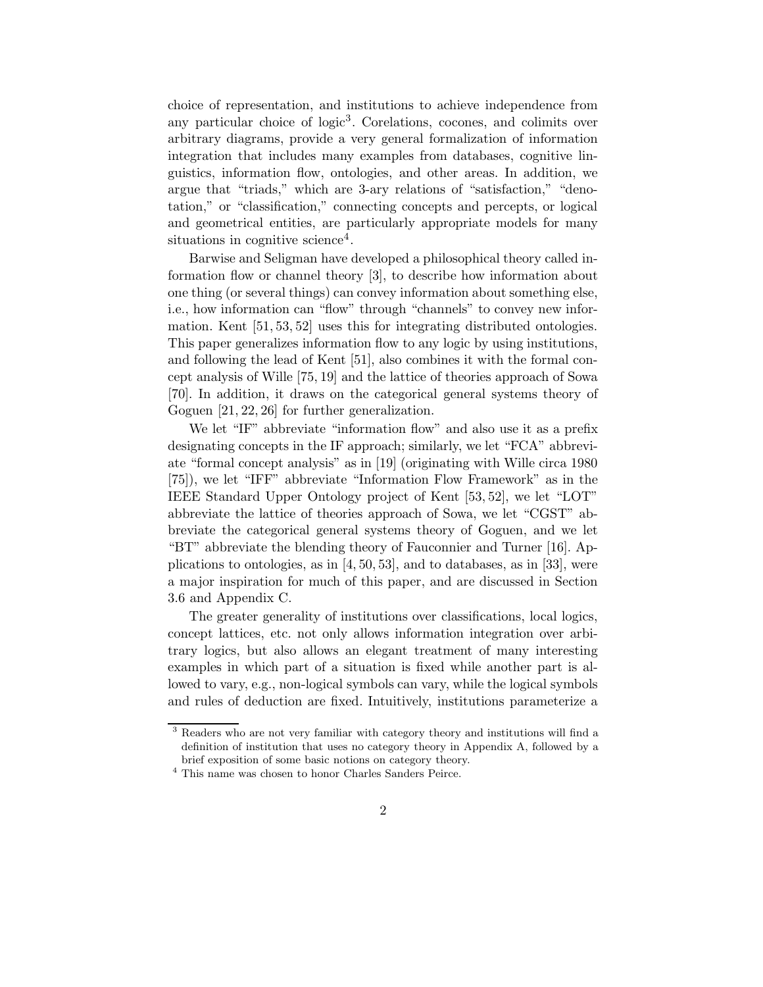choice of representation, and institutions to achieve independence from any particular choice of logic<sup>3</sup>. Corelations, cocones, and colimits over arbitrary diagrams, provide a very general formalization of information integration that includes many examples from databases, cognitive linguistics, information flow, ontologies, and other areas. In addition, we argue that "triads," which are 3-ary relations of "satisfaction," "denotation," or "classification," connecting concepts and percepts, or logical and geometrical entities, are particularly appropriate models for many situations in cognitive science<sup>4</sup>.

Barwise and Seligman have developed a philosophical theory called information flow or channel theory [3], to describe how information about one thing (or several things) can convey information about something else, i.e., how information can "flow" through "channels" to convey new information. Kent [51, 53, 52] uses this for integrating distributed ontologies. This paper generalizes information flow to any logic by using institutions, and following the lead of Kent [51], also combines it with the formal concept analysis of Wille [75, 19] and the lattice of theories approach of Sowa [70]. In addition, it draws on the categorical general systems theory of Goguen [21, 22, 26] for further generalization.

We let "IF" abbreviate "information flow" and also use it as a prefix designating concepts in the IF approach; similarly, we let "FCA" abbreviate "formal concept analysis" as in [19] (originating with Wille circa 1980 [75]), we let "IFF" abbreviate "Information Flow Framework" as in the IEEE Standard Upper Ontology project of Kent [53, 52], we let "LOT" abbreviate the lattice of theories approach of Sowa, we let "CGST" abbreviate the categorical general systems theory of Goguen, and we let "BT" abbreviate the blending theory of Fauconnier and Turner [16]. Applications to ontologies, as in [4, 50, 53], and to databases, as in [33], were a major inspiration for much of this paper, and are discussed in Section 3.6 and Appendix C.

The greater generality of institutions over classifications, local logics, concept lattices, etc. not only allows information integration over arbitrary logics, but also allows an elegant treatment of many interesting examples in which part of a situation is fixed while another part is allowed to vary, e.g., non-logical symbols can vary, while the logical symbols and rules of deduction are fixed. Intuitively, institutions parameterize a

<sup>3</sup> Readers who are not very familiar with category theory and institutions will find a definition of institution that uses no category theory in Appendix A, followed by a brief exposition of some basic notions on category theory.

<sup>4</sup> This name was chosen to honor Charles Sanders Peirce.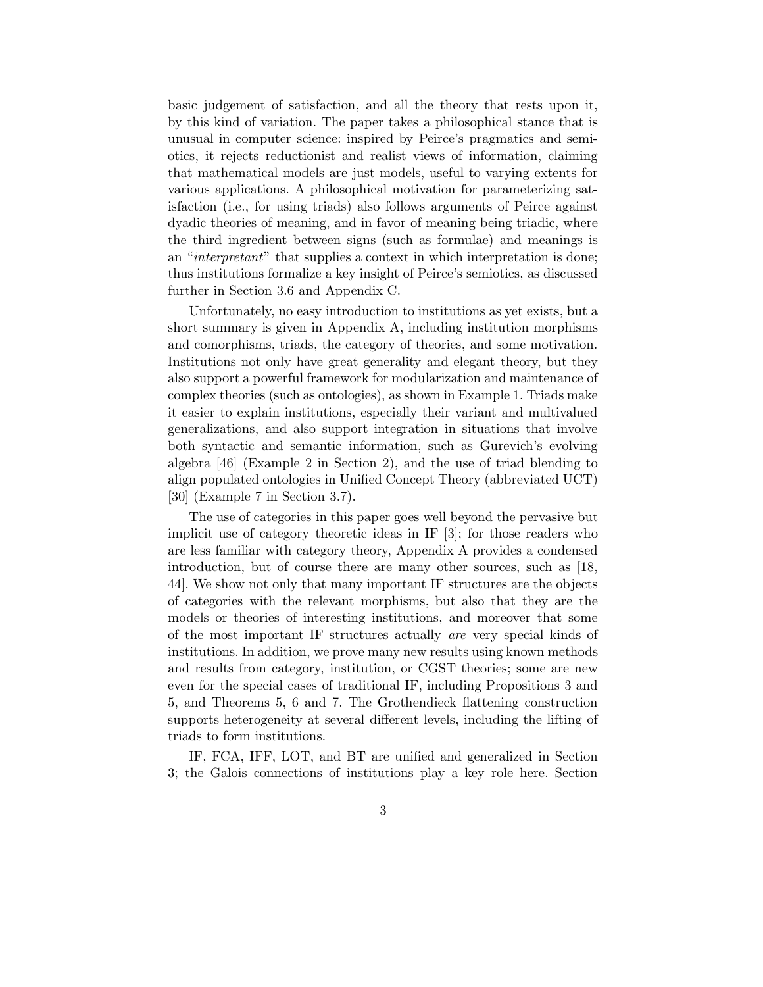basic judgement of satisfaction, and all the theory that rests upon it, by this kind of variation. The paper takes a philosophical stance that is unusual in computer science: inspired by Peirce's pragmatics and semiotics, it rejects reductionist and realist views of information, claiming that mathematical models are just models, useful to varying extents for various applications. A philosophical motivation for parameterizing satisfaction (i.e., for using triads) also follows arguments of Peirce against dyadic theories of meaning, and in favor of meaning being triadic, where the third ingredient between signs (such as formulae) and meanings is an "*interpretant*" that supplies a context in which interpretation is done; thus institutions formalize a key insight of Peirce's semiotics, as discussed further in Section 3.6 and Appendix C.

Unfortunately, no easy introduction to institutions as yet exists, but a short summary is given in Appendix A, including institution morphisms and comorphisms, triads, the category of theories, and some motivation. Institutions not only have great generality and elegant theory, but they also support a powerful framework for modularization and maintenance of complex theories (such as ontologies), as shown in Example 1. Triads make it easier to explain institutions, especially their variant and multivalued generalizations, and also support integration in situations that involve both syntactic and semantic information, such as Gurevich's evolving algebra [46] (Example 2 in Section 2), and the use of triad blending to align populated ontologies in Unified Concept Theory (abbreviated UCT) [30] (Example 7 in Section 3.7).

The use of categories in this paper goes well beyond the pervasive but implicit use of category theoretic ideas in IF [3]; for those readers who are less familiar with category theory, Appendix A provides a condensed introduction, but of course there are many other sources, such as [18, 44]. We show not only that many important IF structures are the objects of categories with the relevant morphisms, but also that they are the models or theories of interesting institutions, and moreover that some of the most important IF structures actually are very special kinds of institutions. In addition, we prove many new results using known methods and results from category, institution, or CGST theories; some are new even for the special cases of traditional IF, including Propositions 3 and 5, and Theorems 5, 6 and 7. The Grothendieck flattening construction supports heterogeneity at several different levels, including the lifting of triads to form institutions.

IF, FCA, IFF, LOT, and BT are unified and generalized in Section 3; the Galois connections of institutions play a key role here. Section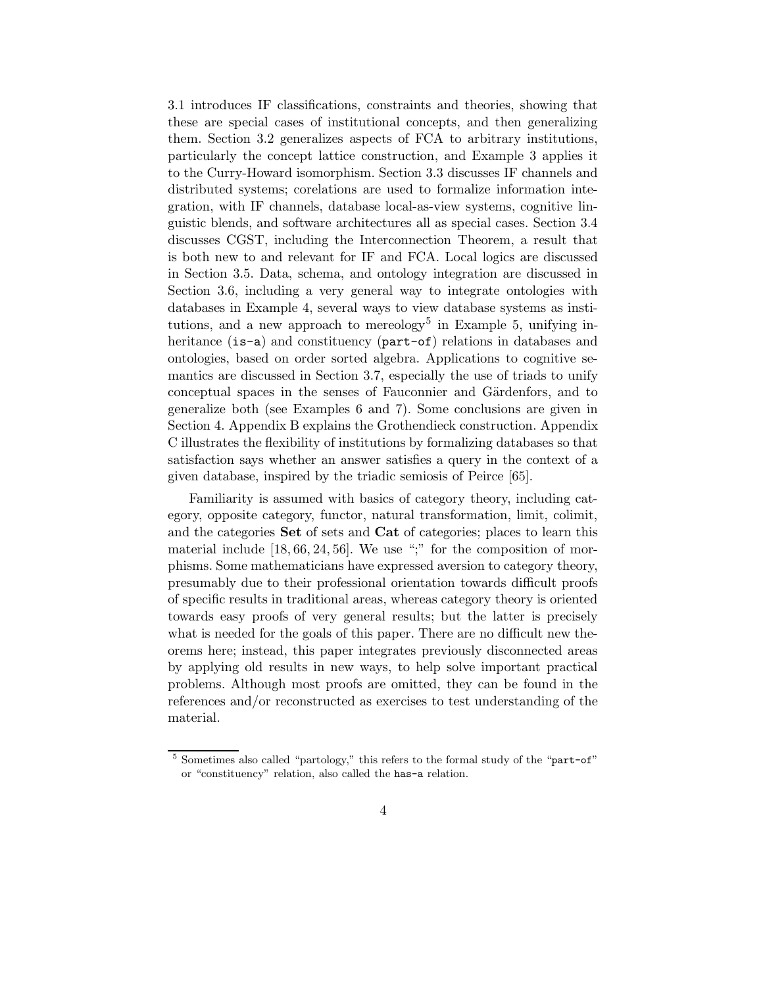3.1 introduces IF classifications, constraints and theories, showing that these are special cases of institutional concepts, and then generalizing them. Section 3.2 generalizes aspects of FCA to arbitrary institutions, particularly the concept lattice construction, and Example 3 applies it to the Curry-Howard isomorphism. Section 3.3 discusses IF channels and distributed systems; corelations are used to formalize information integration, with IF channels, database local-as-view systems, cognitive linguistic blends, and software architectures all as special cases. Section 3.4 discusses CGST, including the Interconnection Theorem, a result that is both new to and relevant for IF and FCA. Local logics are discussed in Section 3.5. Data, schema, and ontology integration are discussed in Section 3.6, including a very general way to integrate ontologies with databases in Example 4, several ways to view database systems as institutions, and a new approach to mereology<sup>5</sup> in Example 5, unifying inheritance (is-a) and constituency (part-of) relations in databases and ontologies, based on order sorted algebra. Applications to cognitive semantics are discussed in Section 3.7, especially the use of triads to unify conceptual spaces in the senses of Fauconnier and Gärdenfors, and to generalize both (see Examples 6 and 7). Some conclusions are given in Section 4. Appendix B explains the Grothendieck construction. Appendix C illustrates the flexibility of institutions by formalizing databases so that satisfaction says whether an answer satisfies a query in the context of a given database, inspired by the triadic semiosis of Peirce [65].

Familiarity is assumed with basics of category theory, including category, opposite category, functor, natural transformation, limit, colimit, and the categories Set of sets and Cat of categories; places to learn this material include  $[18, 66, 24, 56]$ . We use ";" for the composition of morphisms. Some mathematicians have expressed aversion to category theory, presumably due to their professional orientation towards difficult proofs of specific results in traditional areas, whereas category theory is oriented towards easy proofs of very general results; but the latter is precisely what is needed for the goals of this paper. There are no difficult new theorems here; instead, this paper integrates previously disconnected areas by applying old results in new ways, to help solve important practical problems. Although most proofs are omitted, they can be found in the references and/or reconstructed as exercises to test understanding of the material.

<sup>&</sup>lt;sup>5</sup> Sometimes also called "partology," this refers to the formal study of the "part-of" or "constituency" relation, also called the has-a relation.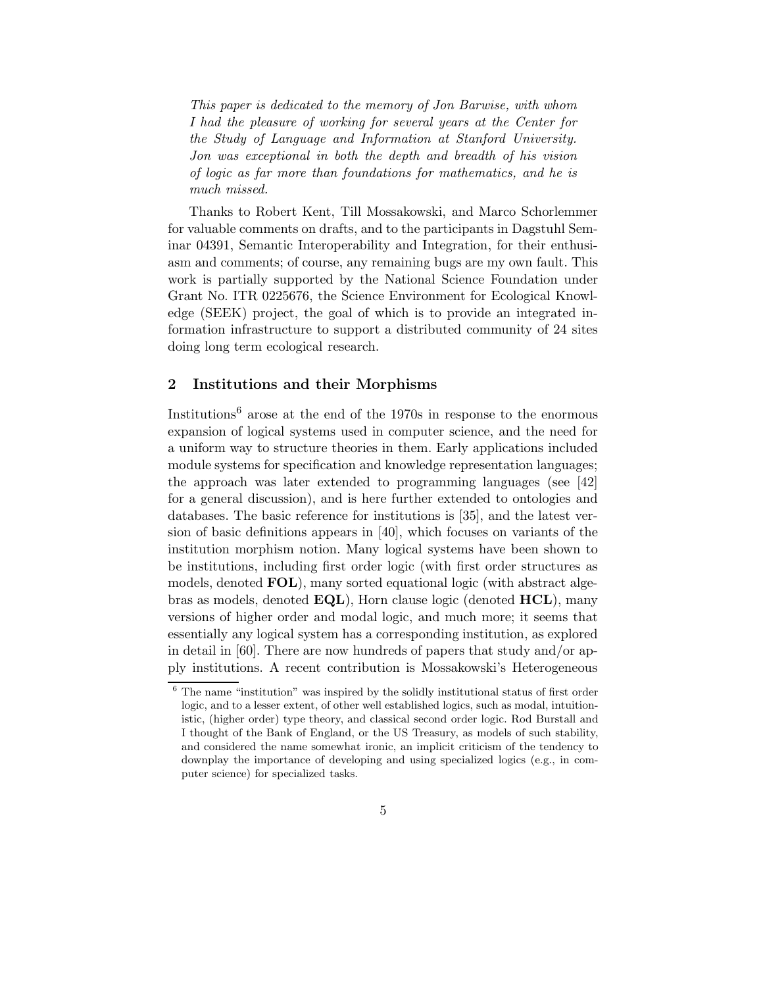This paper is dedicated to the memory of Jon Barwise, with whom I had the pleasure of working for several years at the Center for the Study of Language and Information at Stanford University. Jon was exceptional in both the depth and breadth of his vision of logic as far more than foundations for mathematics, and he is much missed.

Thanks to Robert Kent, Till Mossakowski, and Marco Schorlemmer for valuable comments on drafts, and to the participants in Dagstuhl Seminar 04391, Semantic Interoperability and Integration, for their enthusiasm and comments; of course, any remaining bugs are my own fault. This work is partially supported by the National Science Foundation under Grant No. ITR 0225676, the Science Environment for Ecological Knowledge (SEEK) project, the goal of which is to provide an integrated information infrastructure to support a distributed community of 24 sites doing long term ecological research.

## 2 Institutions and their Morphisms

Institutions<sup>6</sup> arose at the end of the 1970s in response to the enormous expansion of logical systems used in computer science, and the need for a uniform way to structure theories in them. Early applications included module systems for specification and knowledge representation languages; the approach was later extended to programming languages (see [42] for a general discussion), and is here further extended to ontologies and databases. The basic reference for institutions is [35], and the latest version of basic definitions appears in [40], which focuses on variants of the institution morphism notion. Many logical systems have been shown to be institutions, including first order logic (with first order structures as models, denoted FOL), many sorted equational logic (with abstract algebras as models, denoted  $\mathbf{EQL}$ ), Horn clause logic (denoted  $\mathbf{HCL}$ ), many versions of higher order and modal logic, and much more; it seems that essentially any logical system has a corresponding institution, as explored in detail in [60]. There are now hundreds of papers that study and/or apply institutions. A recent contribution is Mossakowski's Heterogeneous

 $6$  The name "institution" was inspired by the solidly institutional status of first order logic, and to a lesser extent, of other well established logics, such as modal, intuitionistic, (higher order) type theory, and classical second order logic. Rod Burstall and I thought of the Bank of England, or the US Treasury, as models of such stability, and considered the name somewhat ironic, an implicit criticism of the tendency to downplay the importance of developing and using specialized logics (e.g., in computer science) for specialized tasks.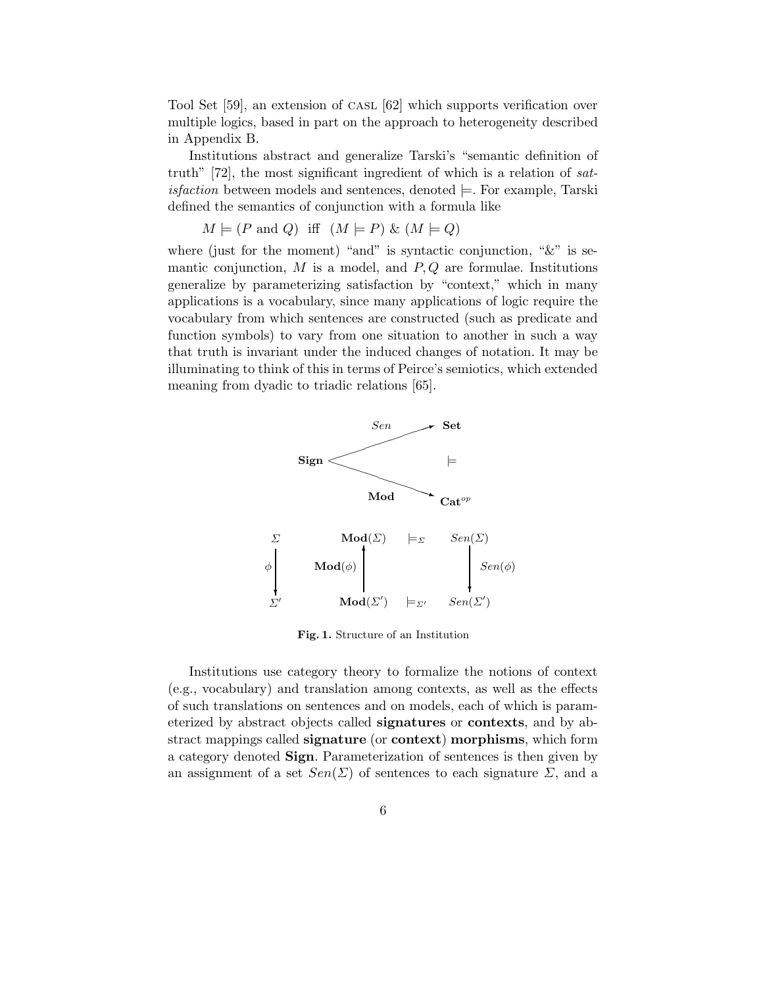Tool Set [59], an extension of CASL [62] which supports verification over multiple logics, based in part on the approach to heterogeneity described in Appendix B.

Institutions abstract and generalize Tarski's "semantic definition of truth" [72], the most significant ingredient of which is a relation of sat*isfaction* between models and sentences, denoted  $\models$ . For example, Tarski defined the semantics of conjunction with a formula like

 $M \models (P \text{ and } Q) \text{ iff } (M \models P) \& (M \models Q)$ 

where (just for the moment) "and" is syntactic conjunction, " $&$ " is semantic conjunction,  $M$  is a model, and  $P, Q$  are formulae. Institutions generalize by parameterizing satisfaction by "context," which in many applications is a vocabulary, since many applications of logic require the vocabulary from which sentences are constructed (such as predicate and function symbols) to vary from one situation to another in such a way that truth is invariant under the induced changes of notation. It may be illuminating to think of this in terms of Peirce's semiotics, which extended meaning from dyadic to triadic relations [65].



Fig. 1. Structure of an Institution

Institutions use category theory to formalize the notions of context (e.g., vocabulary) and translation among contexts, as well as the effects of such translations on sentences and on models, each of which is parameterized by abstract objects called signatures or contexts, and by abstract mappings called signature (or context) morphisms, which form a category denoted Sign. Parameterization of sentences is then given by an assignment of a set  $Sen(\Sigma)$  of sentences to each signature  $\Sigma$ , and a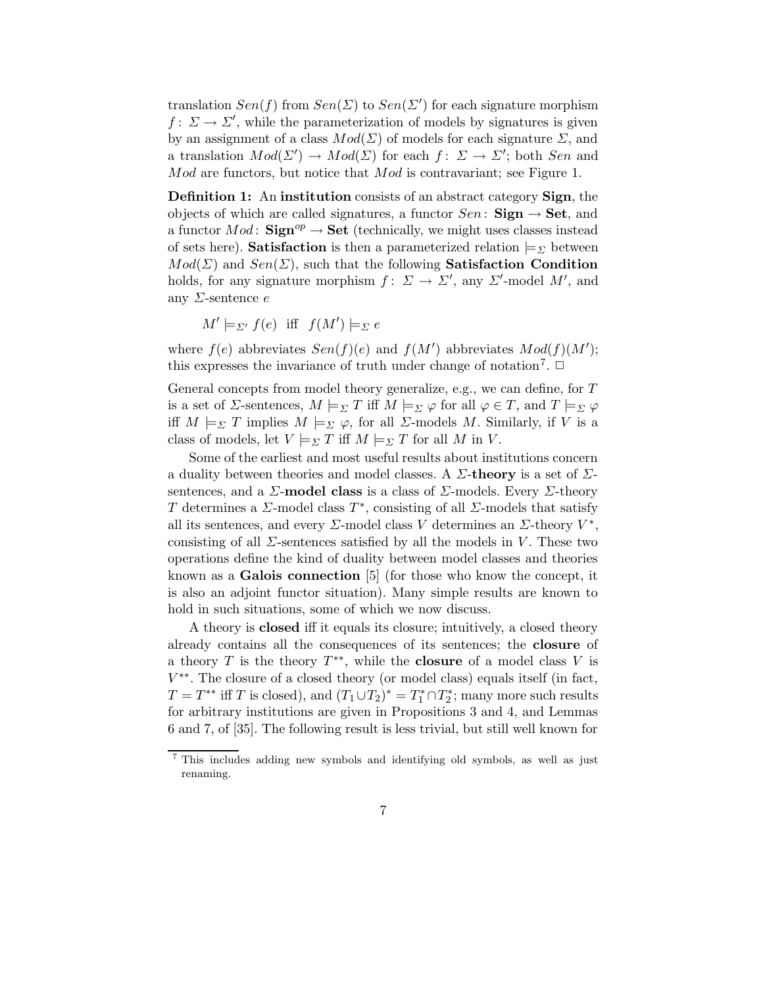translation  $Sen(f)$  from  $Sen(\Sigma)$  to  $Sen(\Sigma')$  for each signature morphism  $f: \Sigma \to \Sigma'$ , while the parameterization of models by signatures is given by an assignment of a class  $Mod(\Sigma)$  of models for each signature  $\Sigma$ , and a translation  $Mod(\Sigma') \to Mod(\Sigma)$  for each  $f: \Sigma \to \Sigma'$ ; both Sen and Mod are functors, but notice that Mod is contravariant; see Figure 1.

Definition 1: An institution consists of an abstract category Sign, the objects of which are called signatures, a functor  $Sen:$  **Sign**  $\rightarrow$  **Set**, and a functor  $Mod:$  Sign<sup>op</sup>  $\rightarrow$  Set (technically, we might uses classes instead of sets here). **Satisfaction** is then a parameterized relation  $\models_{\Sigma}$  between  $Mod(\Sigma)$  and  $Sen(\Sigma)$ , such that the following **Satisfaction Condition** holds, for any signature morphism  $f: \Sigma \to \Sigma'$ , any  $\Sigma'$ -model M', and any  $\Sigma$ -sentence  $e$ 

 $M' \models_{\Sigma'} f(e)$  iff  $f(M') \models_{\Sigma} e$ 

where  $f(e)$  abbreviates  $Sen(f)(e)$  and  $f(M')$  abbreviates  $Mod(f)(M')$ ; this expresses the invariance of truth under change of notation<sup>7</sup>.  $\Box$ 

General concepts from model theory generalize, e.g., we can define, for T is a set of *Σ*-sentences,  $M \models_{\Sigma} T$  iff  $M \models_{\Sigma} \varphi$  for all  $\varphi \in T$ , and  $T \models_{\Sigma} \varphi$ iff  $M \models_{\Sigma} T$  implies  $M \models_{\Sigma} \varphi$ , for all  $\Sigma$ -models M. Similarly, if V is a class of models, let  $V \models_{\Sigma} T$  iff  $M \models_{\Sigma} T$  for all M in V.

Some of the earliest and most useful results about institutions concern a duality between theories and model classes. A  $\Sigma$ -theory is a set of  $\Sigma$ sentences, and a  $\Sigma$ -model class is a class of  $\Sigma$ -models. Every  $\Sigma$ -theory T determines a  $\Sigma$ -model class  $T^*$ , consisting of all  $\Sigma$ -models that satisfy all its sentences, and every  $\Sigma$ -model class V determines an  $\Sigma$ -theory  $V^*$ , consisting of all  $\Sigma$ -sentences satisfied by all the models in V. These two operations define the kind of duality between model classes and theories known as a Galois connection [5] (for those who know the concept, it is also an adjoint functor situation). Many simple results are known to hold in such situations, some of which we now discuss.

A theory is closed iff it equals its closure; intuitively, a closed theory already contains all the consequences of its sentences; the closure of a theory T is the theory  $T^{**}$ , while the **closure** of a model class V is V ∗∗ . The closure of a closed theory (or model class) equals itself (in fact,  $T = T^{**}$  iff T is closed), and  $(T_1 \cup T_2)^* = T_1^* \cap T_2^*$ <sup>2</sup><sup>\*</sup>; many more such results for arbitrary institutions are given in Propositions 3 and 4, and Lemmas 6 and 7, of [35]. The following result is less trivial, but still well known for

<sup>7</sup> This includes adding new symbols and identifying old symbols, as well as just renaming.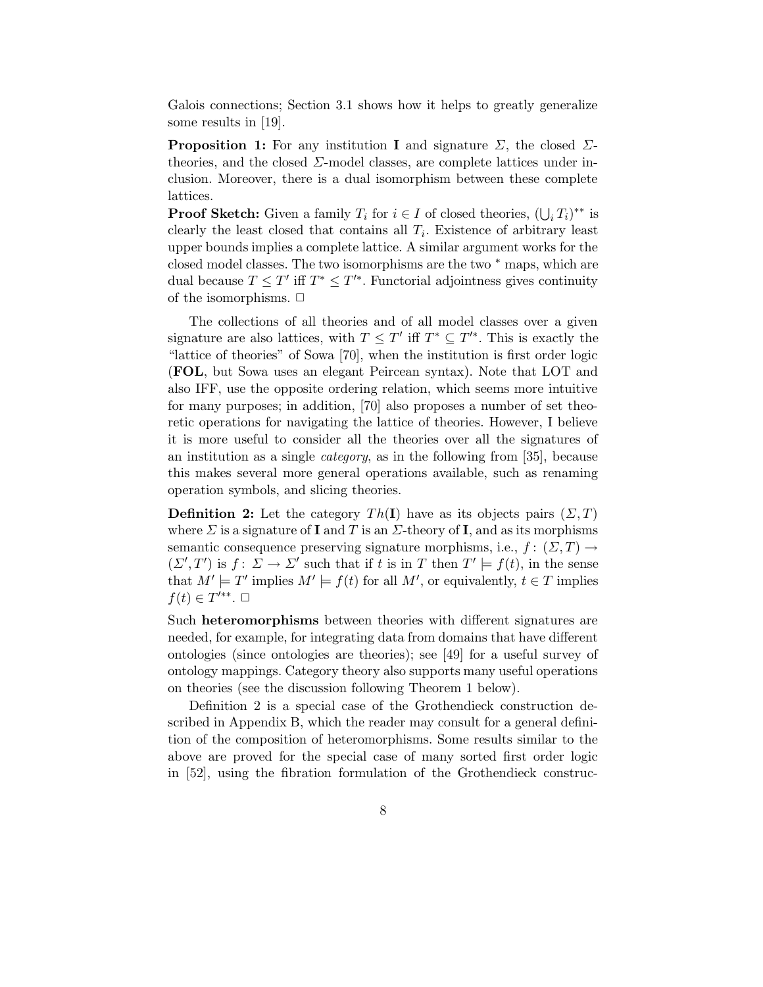Galois connections; Section 3.1 shows how it helps to greatly generalize some results in [19].

**Proposition 1:** For any institution **I** and signature  $\Sigma$ , the closed  $\Sigma$ theories, and the closed  $\Sigma$ -model classes, are complete lattices under inclusion. Moreover, there is a dual isomorphism between these complete lattices.

**Proof Sketch:** Given a family  $T_i$  for  $i \in I$  of closed theories,  $(\bigcup_i T_i)^{**}$  is clearly the least closed that contains all  $T_i$ . Existence of arbitrary least upper bounds implies a complete lattice. A similar argument works for the closed model classes. The two isomorphisms are the two  $*$  maps, which are dual because  $T \leq T'$  iff  $T^* \leq T'^*$ . Functorial adjointness gives continuity of the isomorphisms.  $\Box$ 

The collections of all theories and of all model classes over a given signature are also lattices, with  $T \leq T'$  iff  $T^* \subseteq T'^*$ . This is exactly the "lattice of theories" of Sowa [70], when the institution is first order logic (FOL, but Sowa uses an elegant Peircean syntax). Note that LOT and also IFF, use the opposite ordering relation, which seems more intuitive for many purposes; in addition, [70] also proposes a number of set theoretic operations for navigating the lattice of theories. However, I believe it is more useful to consider all the theories over all the signatures of an institution as a single *category*, as in the following from [35], because this makes several more general operations available, such as renaming operation symbols, and slicing theories.

**Definition 2:** Let the category  $Th(I)$  have as its objects pairs  $(\Sigma, T)$ where  $\Sigma$  is a signature of **I** and T is an  $\Sigma$ -theory of **I**, and as its morphisms semantic consequence preserving signature morphisms, i.e.,  $f: (\Sigma, T) \rightarrow$  $(\Sigma', T')$  is  $f: \overline{\Sigma} \to \Sigma'$  such that if t is in T then  $T' \models f(t)$ , in the sense that  $M' \models T'$  implies  $M' \models f(t)$  for all M', or equivalently,  $t \in T$  implies  $f(t) \in T'^{**}$ .  $\Box$ 

Such heteromorphisms between theories with different signatures are needed, for example, for integrating data from domains that have different ontologies (since ontologies are theories); see [49] for a useful survey of ontology mappings. Category theory also supports many useful operations on theories (see the discussion following Theorem 1 below).

Definition 2 is a special case of the Grothendieck construction described in Appendix B, which the reader may consult for a general definition of the composition of heteromorphisms. Some results similar to the above are proved for the special case of many sorted first order logic in [52], using the fibration formulation of the Grothendieck construc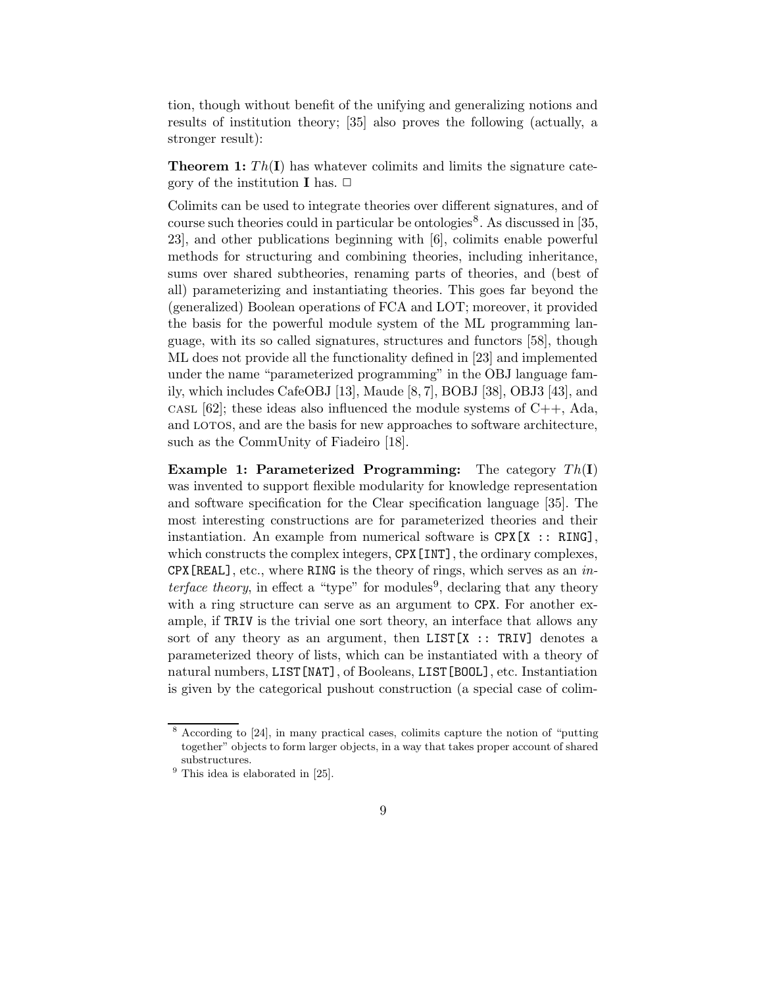tion, though without benefit of the unifying and generalizing notions and results of institution theory; [35] also proves the following (actually, a stronger result):

**Theorem 1:**  $Th(I)$  has whatever colimits and limits the signature category of the institution **I** has.  $\Box$ 

Colimits can be used to integrate theories over different signatures, and of course such theories could in particular be ontologies<sup>8</sup>. As discussed in [35, 23], and other publications beginning with [6], colimits enable powerful methods for structuring and combining theories, including inheritance, sums over shared subtheories, renaming parts of theories, and (best of all) parameterizing and instantiating theories. This goes far beyond the (generalized) Boolean operations of FCA and LOT; moreover, it provided the basis for the powerful module system of the ML programming language, with its so called signatures, structures and functors [58], though ML does not provide all the functionality defined in [23] and implemented under the name "parameterized programming" in the OBJ language family, which includes CafeOBJ [13], Maude [8, 7], BOBJ [38], OBJ3 [43], and cast [62]; these ideas also influenced the module systems of  $C_{++}$ , Ada, and LOTOS, and are the basis for new approaches to software architecture, such as the CommUnity of Fiadeiro [18].

**Example 1: Parameterized Programming:** The category  $Th(I)$ was invented to support flexible modularity for knowledge representation and software specification for the Clear specification language [35]. The most interesting constructions are for parameterized theories and their instantiation. An example from numerical software is  $CPX[X]$ : RING], which constructs the complex integers, CPX [INT], the ordinary complexes,  $CPX[REL]$ , etc., where RING is the theory of rings, which serves as an in*terface theory*, in effect a "type" for modules<sup>9</sup>, declaring that any theory with a ring structure can serve as an argument to CPX. For another example, if TRIV is the trivial one sort theory, an interface that allows any sort of any theory as an argument, then LIST[X :: TRIV] denotes a parameterized theory of lists, which can be instantiated with a theory of natural numbers, LIST[NAT], of Booleans, LIST[BOOL], etc. Instantiation is given by the categorical pushout construction (a special case of colim-

<sup>8</sup> According to [24], in many practical cases, colimits capture the notion of "putting together" objects to form larger objects, in a way that takes proper account of shared substructures.

 $9$  This idea is elaborated in  $[25]$ .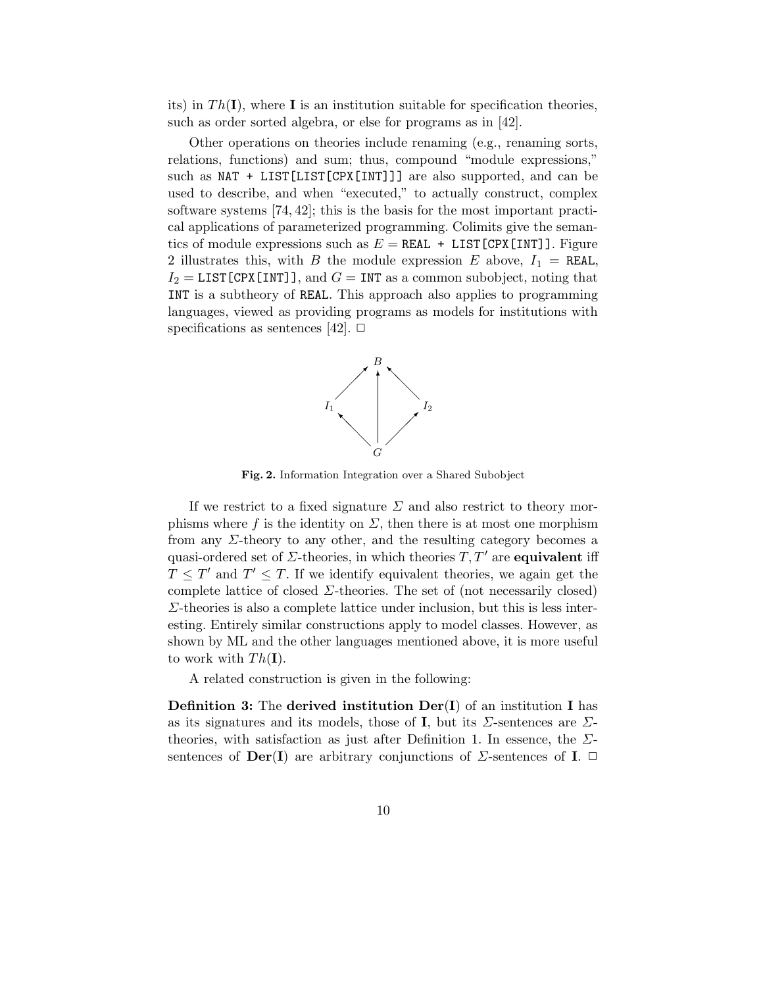its) in  $Th(\mathbf{I})$ , where  $\mathbf{I}$  is an institution suitable for specification theories, such as order sorted algebra, or else for programs as in [42].

Other operations on theories include renaming (e.g., renaming sorts, relations, functions) and sum; thus, compound "module expressions," such as NAT + LIST[LIST[CPX[INT]]] are also supported, and can be used to describe, and when "executed," to actually construct, complex software systems [74, 42]; this is the basis for the most important practical applications of parameterized programming. Colimits give the semantics of module expressions such as  $E = REAL + LIST[CPX[INT]]$ . Figure 2 illustrates this, with B the module expression E above,  $I_1 = \texttt{REAL}$ ,  $I_2 =$  LIST [CPX [INT]], and  $G =$  INT as a common subobject, noting that INT is a subtheory of REAL. This approach also applies to programming languages, viewed as providing programs as models for institutions with specifications as sentences [42].  $\Box$ 



Fig. 2. Information Integration over a Shared Subobject

If we restrict to a fixed signature  $\Sigma$  and also restrict to theory morphisms where f is the identity on  $\Sigma$ , then there is at most one morphism from any  $\Sigma$ -theory to any other, and the resulting category becomes a quasi-ordered set of  $\Sigma$ -theories, in which theories  $T, T'$  are **equivalent** iff  $T \leq T'$  and  $T' \leq T$ . If we identify equivalent theories, we again get the complete lattice of closed  $\Sigma$ -theories. The set of (not necessarily closed)  $\Sigma$ -theories is also a complete lattice under inclusion, but this is less interesting. Entirely similar constructions apply to model classes. However, as shown by ML and the other languages mentioned above, it is more useful to work with  $Th(I)$ .

A related construction is given in the following:

**Definition 3:** The derived institution  $Der(I)$  of an institution I has as its signatures and its models, those of **I**, but its  $\Sigma$ -sentences are  $\Sigma$ theories, with satisfaction as just after Definition 1. In essence, the  $\Sigma$ sentences of  $\textbf{Der}(\mathbf{I})$  are arbitrary conjunctions of  $\Sigma$ -sentences of  $\mathbf{I}$ .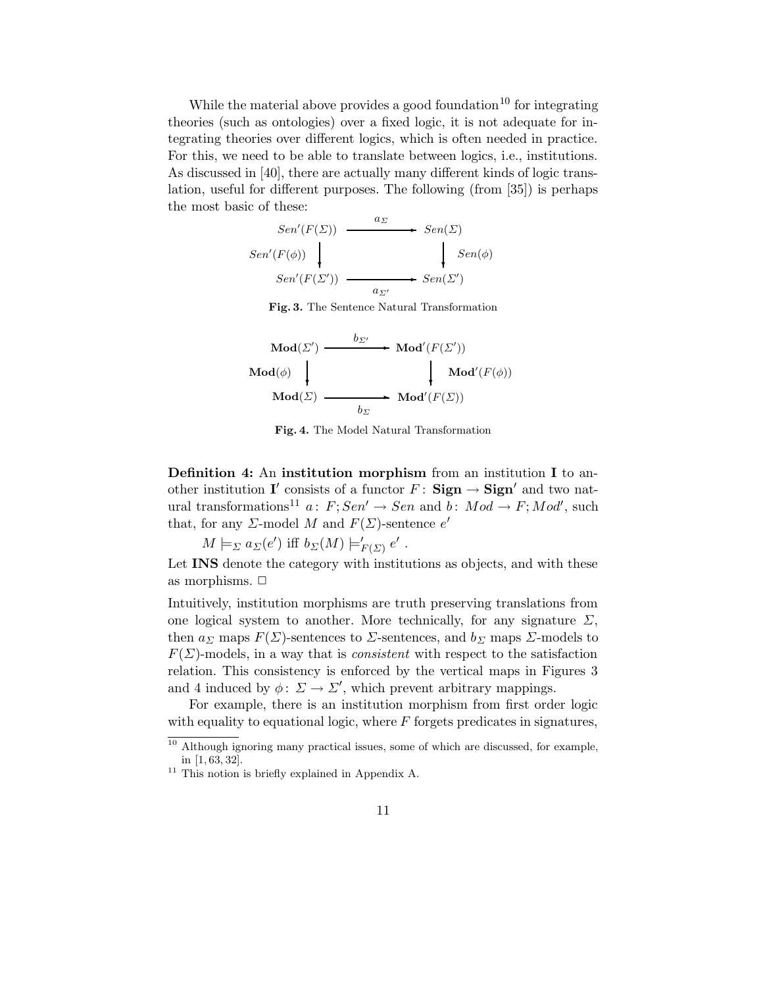While the material above provides a good foundation<sup>10</sup> for integrating theories (such as ontologies) over a fixed logic, it is not adequate for integrating theories over different logics, which is often needed in practice. For this, we need to be able to translate between logics, i.e., institutions. As discussed in [40], there are actually many different kinds of logic translation, useful for different purposes. The following (from [35]) is perhaps the most basic of these:

$$
Sen'(F(\Sigma)) \xrightarrow{a_{\Sigma}} Sen(\Sigma)
$$
  
\n
$$
Sen'(F(\phi)) \longrightarrow \text{Sen}(\Sigma)
$$
  
\n
$$
Sen'(F(\Sigma')) \longrightarrow \text{Sen}(\Sigma')
$$

Fig. 3. The Sentence Natural Transformation

$$
\begin{array}{ccc}\n\operatorname{Mod}(\varSigma') & \xrightarrow{b_{\varSigma'}} & \operatorname{Mod}'(F(\varSigma')) \\
\operatorname{Mod}(\phi) & & & \operatorname{Mod}'(F(\phi)) \\
\operatorname{Mod}(\varSigma) & \xrightarrow{b_{\varSigma}} & \operatorname{Mod}'(F(\varSigma))\n\end{array}
$$

Fig. 4. The Model Natural Transformation

Definition 4: An institution morphism from an institution I to another institution I' consists of a functor  $F:$  Sign  $\rightarrow$  Sign' and two natural transformations<sup>11</sup> a:  $F; Sen' \rightarrow Sen$  and  $b: Mod \rightarrow F; Mod'$ , such that, for any  $\Sigma$ -model M and  $F(\Sigma)$ -sentence  $e'$ 

 $M \models_{\Sigma} a_{\Sigma}(e')$  iff  $b_{\Sigma}(M) \models'_{\Sigma}$  $E(E)$   $e'$ .

Let **INS** denote the category with institutions as objects, and with these as morphisms.  $\Box$ 

Intuitively, institution morphisms are truth preserving translations from one logical system to another. More technically, for any signature  $\Sigma$ , then  $a_{\Sigma}$  maps  $F(\Sigma)$ -sentences to  $\Sigma$ -sentences, and  $b_{\Sigma}$  maps  $\Sigma$ -models to  $F(\Sigma)$ -models, in a way that is *consistent* with respect to the satisfaction relation. This consistency is enforced by the vertical maps in Figures 3 and 4 induced by  $\phi: \Sigma \to \Sigma'$ , which prevent arbitrary mappings.

For example, there is an institution morphism from first order logic with equality to equational logic, where  $F$  forgets predicates in signatures,

<sup>&</sup>lt;sup>10</sup> Although ignoring many practical issues, some of which are discussed, for example, in [1, 63, 32].

<sup>&</sup>lt;sup>11</sup> This notion is briefly explained in Appendix A.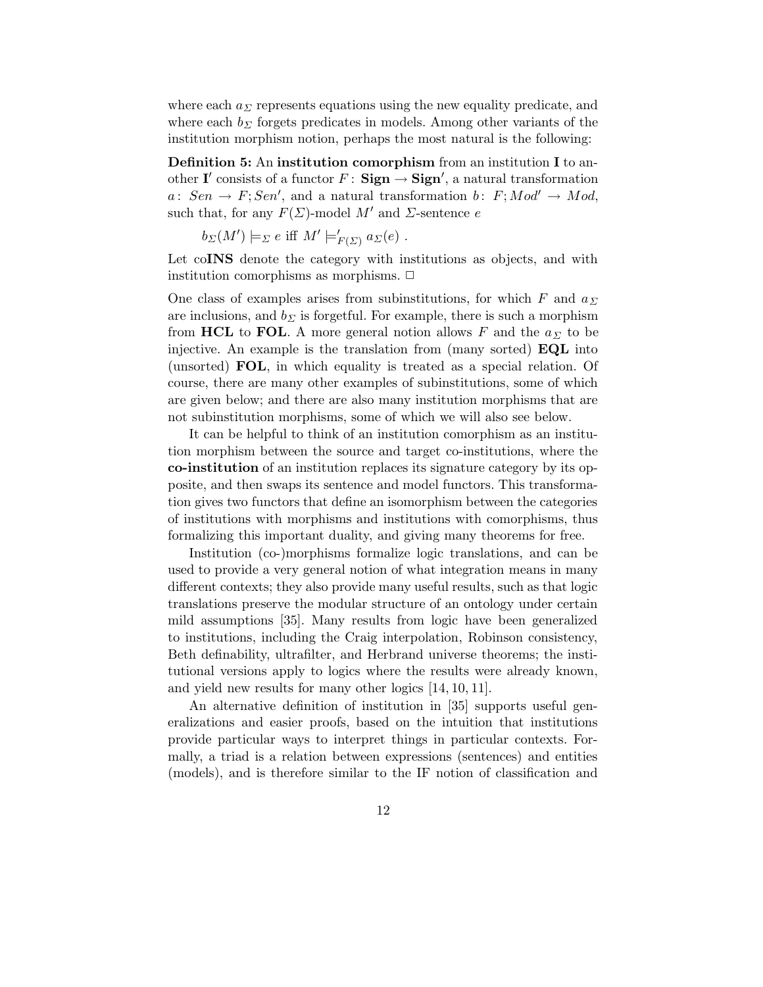where each  $a_{\Sigma}$  represents equations using the new equality predicate, and where each  $b_{\Sigma}$  forgets predicates in models. Among other variants of the institution morphism notion, perhaps the most natural is the following:

Definition 5: An institution comorphism from an institution I to another I' consists of a functor  $F: \mathbf{Sign} \rightarrow \mathbf{Sign}'$ , a natural transformation  $a: Sen \rightarrow F; Sen',$  and a natural transformation  $b: F; Mod' \rightarrow Mod,$ such that, for any  $F(\Sigma)$ -model M' and  $\Sigma$ -sentence e

$$
b_{\Sigma}(M') \models_{\Sigma} e \text{ iff } M' \models'_{F(\Sigma)} a_{\Sigma}(e) .
$$

Let co**INS** denote the category with institutions as objects, and with institution comorphisms as morphisms.  $\Box$ 

One class of examples arises from subinstitutions, for which F and  $a_{\Sigma}$ are inclusions, and  $b_{\Sigma}$  is forgetful. For example, there is such a morphism from HCL to FOL. A more general notion allows F and the  $a_{\Sigma}$  to be injective. An example is the translation from (many sorted) EQL into (unsorted) FOL, in which equality is treated as a special relation. Of course, there are many other examples of subinstitutions, some of which are given below; and there are also many institution morphisms that are not subinstitution morphisms, some of which we will also see below.

It can be helpful to think of an institution comorphism as an institution morphism between the source and target co-institutions, where the co-institution of an institution replaces its signature category by its opposite, and then swaps its sentence and model functors. This transformation gives two functors that define an isomorphism between the categories of institutions with morphisms and institutions with comorphisms, thus formalizing this important duality, and giving many theorems for free.

Institution (co-)morphisms formalize logic translations, and can be used to provide a very general notion of what integration means in many different contexts; they also provide many useful results, such as that logic translations preserve the modular structure of an ontology under certain mild assumptions [35]. Many results from logic have been generalized to institutions, including the Craig interpolation, Robinson consistency, Beth definability, ultrafilter, and Herbrand universe theorems; the institutional versions apply to logics where the results were already known, and yield new results for many other logics [14, 10, 11].

An alternative definition of institution in [35] supports useful generalizations and easier proofs, based on the intuition that institutions provide particular ways to interpret things in particular contexts. Formally, a triad is a relation between expressions (sentences) and entities (models), and is therefore similar to the IF notion of classification and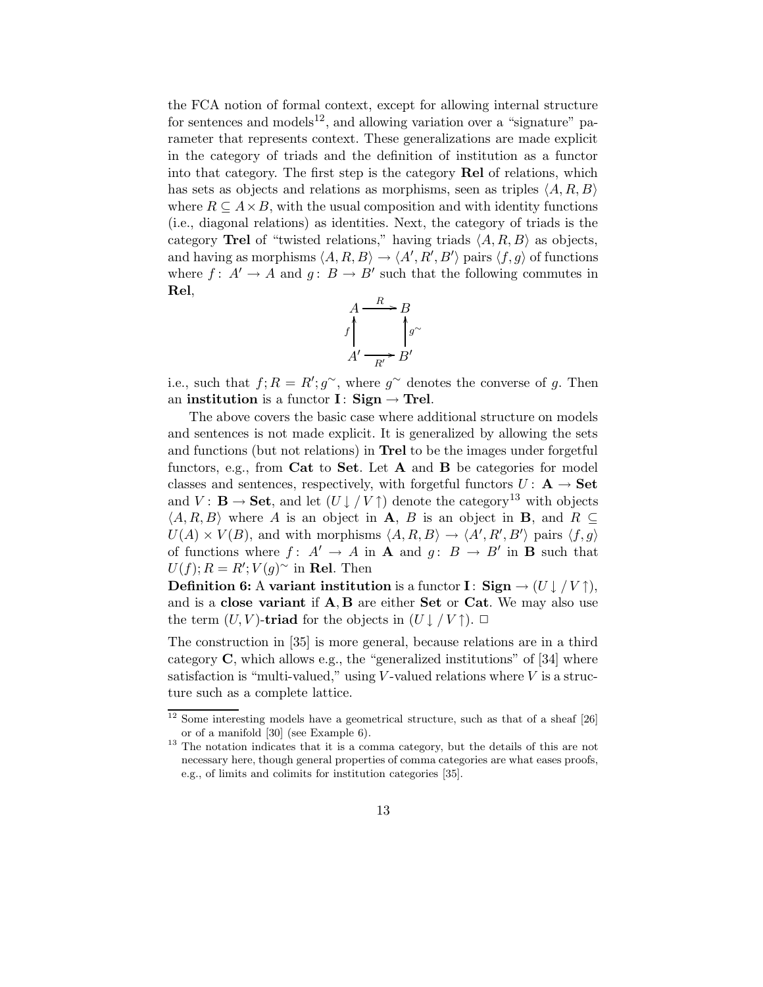the FCA notion of formal context, except for allowing internal structure for sentences and models<sup>12</sup>, and allowing variation over a "signature" parameter that represents context. These generalizations are made explicit in the category of triads and the definition of institution as a functor into that category. The first step is the category Rel of relations, which has sets as objects and relations as morphisms, seen as triples  $\langle A, R, B \rangle$ where  $R \subseteq A \times B$ , with the usual composition and with identity functions (i.e., diagonal relations) as identities. Next, the category of triads is the category Trel of "twisted relations," having triads  $\langle A, R, B \rangle$  as objects, and having as morphisms  $\langle A, R, B \rangle \to \langle A', R', B' \rangle$  pairs  $\langle f, g \rangle$  of functions where  $f: A' \to A$  and  $g: B \to B'$  such that the following commutes in Rel,



i.e., such that  $f; R = R'; g^{\sim}$ , where  $g^{\sim}$  denotes the converse of g. Then an institution is a functor I: Sign  $\rightarrow$  Trel.

The above covers the basic case where additional structure on models and sentences is not made explicit. It is generalized by allowing the sets and functions (but not relations) in Trel to be the images under forgetful functors, e.g., from Cat to Set. Let A and B be categories for model classes and sentences, respectively, with forgetful functors  $U: \mathbf{A} \to \mathbf{Set}$ and  $V: \mathbf{B} \to \mathbf{Set}$ , and let  $(U \downarrow / V \uparrow)$  denote the category<sup>13</sup> with objects  $\langle A, R, B \rangle$  where A is an object in **A**, B is an object in **B**, and R ⊆  $U(A) \times V(B)$ , and with morphisms  $\langle A, R, B \rangle \to \langle A', R', B' \rangle$  pairs  $\langle f, g \rangle$ of functions where  $f: A' \to A$  in **A** and  $g: B \to B'$  in **B** such that  $U(f); R = R'; V(g)^\sim$  in **Rel**. Then

**Definition 6:** A variant institution is a functor I:  $\text{Sign} \rightarrow (U \downarrow / V \uparrow),$ and is a close variant if  $A, B$  are either Set or Cat. We may also use the term  $(U, V)$ -triad for the objects in  $(U \downarrow / V \uparrow)$ .  $\Box$ 

The construction in [35] is more general, because relations are in a third category  $C$ , which allows e.g., the "generalized institutions" of [34] where satisfaction is "multi-valued," using  $V$ -valued relations where  $V$  is a structure such as a complete lattice.

<sup>&</sup>lt;sup>12</sup> Some interesting models have a geometrical structure, such as that of a sheaf [26] or of a manifold [30] (see Example 6).

<sup>&</sup>lt;sup>13</sup> The notation indicates that it is a comma category, but the details of this are not necessary here, though general properties of comma categories are what eases proofs, e.g., of limits and colimits for institution categories [35].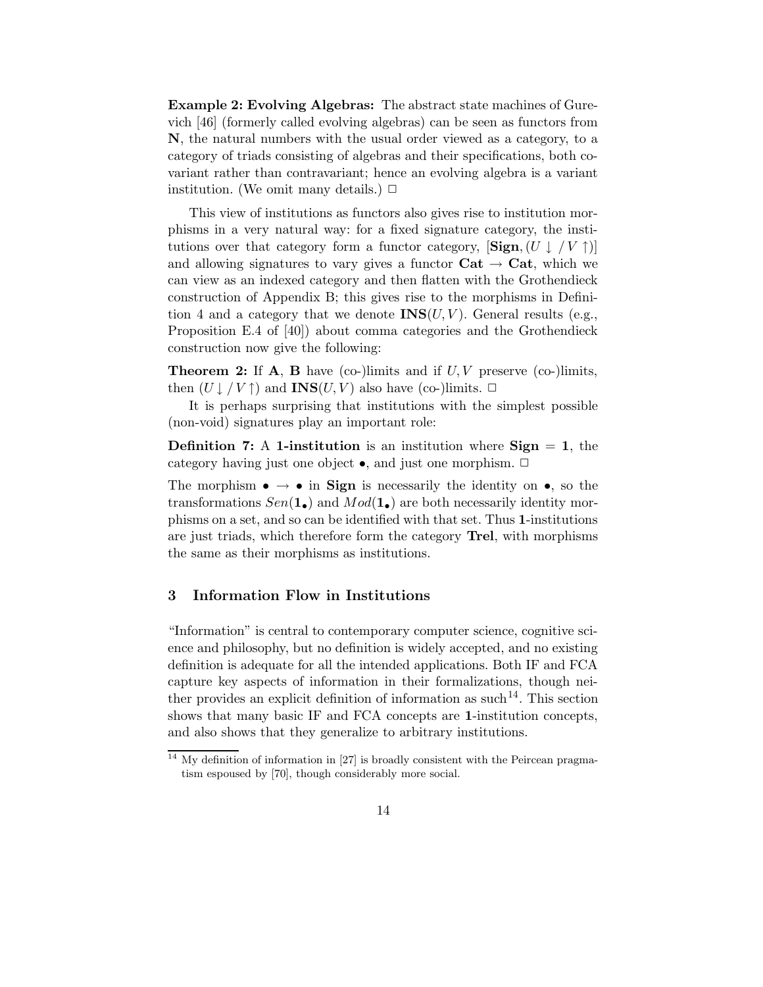Example 2: Evolving Algebras: The abstract state machines of Gurevich [46] (formerly called evolving algebras) can be seen as functors from N, the natural numbers with the usual order viewed as a category, to a category of triads consisting of algebras and their specifications, both covariant rather than contravariant; hence an evolving algebra is a variant institution. (We omit many details.)  $\Box$ 

This view of institutions as functors also gives rise to institution morphisms in a very natural way: for a fixed signature category, the institutions over that category form a functor category,  $[\textbf{Sign}, (U \downarrow V \uparrow)]$ and allowing signatures to vary gives a functor  $Cat \rightarrow Cat$ , which we can view as an indexed category and then flatten with the Grothendieck construction of Appendix B; this gives rise to the morphisms in Definition 4 and a category that we denote  $\text{INS}(U, V)$ . General results (e.g., Proposition E.4 of [40]) about comma categories and the Grothendieck construction now give the following:

**Theorem 2:** If **A**, **B** have (co-)limits and if  $U, V$  preserve (co-)limits, then  $(U \downarrow / V \uparrow)$  and **INS** $(U, V)$  also have (co-)limits.  $\Box$ 

It is perhaps surprising that institutions with the simplest possible (non-void) signatures play an important role:

**Definition 7:** A 1-institution is an institution where  $Sign = 1$ , the category having just one object  $\bullet$ , and just one morphism.  $\Box$ 

The morphism  $\bullet \rightarrow \bullet$  in Sign is necessarily the identity on  $\bullet$ , so the transformations  $Sen(1_{\bullet})$  and  $Mod(1_{\bullet})$  are both necessarily identity morphisms on a set, and so can be identified with that set. Thus 1-institutions are just triads, which therefore form the category Trel, with morphisms the same as their morphisms as institutions.

## 3 Information Flow in Institutions

"Information" is central to contemporary computer science, cognitive science and philosophy, but no definition is widely accepted, and no existing definition is adequate for all the intended applications. Both IF and FCA capture key aspects of information in their formalizations, though neither provides an explicit definition of information as such 14 . This section shows that many basic IF and FCA concepts are 1-institution concepts, and also shows that they generalize to arbitrary institutions.

<sup>&</sup>lt;sup>14</sup> My definition of information in [27] is broadly consistent with the Peircean pragmatism espoused by [70], though considerably more social.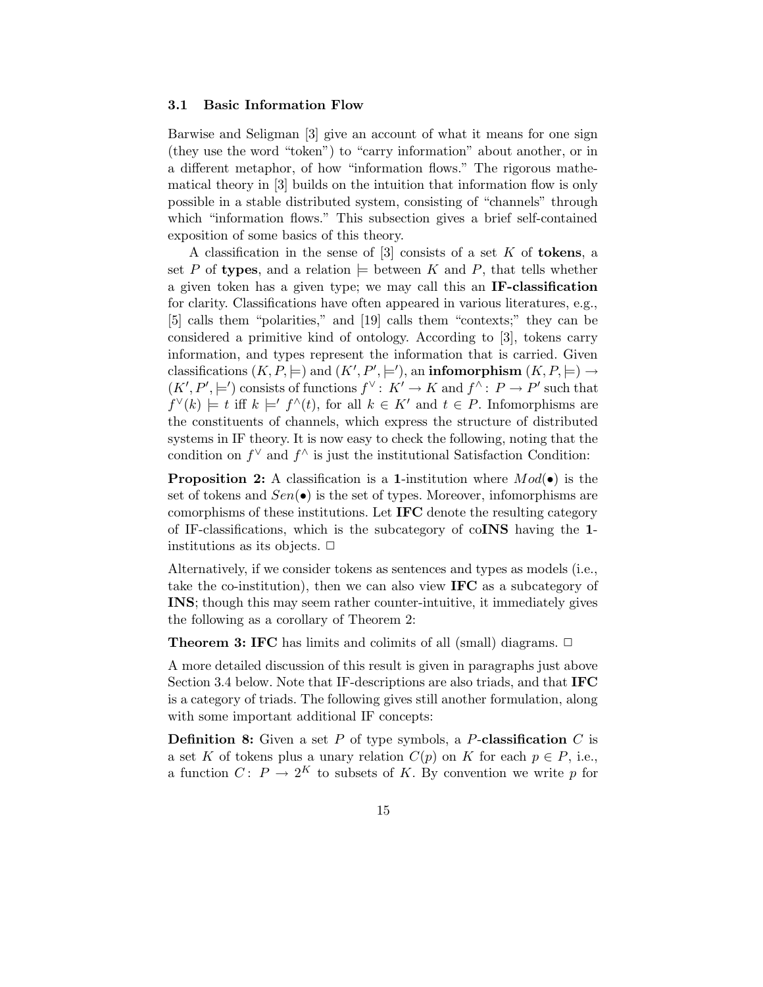#### 3.1 Basic Information Flow

Barwise and Seligman [3] give an account of what it means for one sign (they use the word "token") to "carry information" about another, or in a different metaphor, of how "information flows." The rigorous mathematical theory in [3] builds on the intuition that information flow is only possible in a stable distributed system, consisting of "channels" through which "information flows." This subsection gives a brief self-contained exposition of some basics of this theory.

A classification in the sense of  $[3]$  consists of a set K of **tokens**, a set P of types, and a relation  $\models$  between K and P, that tells whether a given token has a given type; we may call this an IF-classification for clarity. Classifications have often appeared in various literatures, e.g., [5] calls them "polarities," and [19] calls them "contexts;" they can be considered a primitive kind of ontology. According to [3], tokens carry information, and types represent the information that is carried. Given classifications  $(K, P, \models)$  and  $(K', P', \models')$ , an **infomorphism**  $(K, P, \models) \rightarrow$  $(K', P', \models')$  consists of functions  $f^{\vee} : K' \to K$  and  $f^{\wedge} : P \to P'$  such that  $f^{\vee}(k) \models t$  iff  $k \models' f^{\wedge}(t)$ , for all  $k \in K'$  and  $t \in P$ . Infomorphisms are the constituents of channels, which express the structure of distributed systems in IF theory. It is now easy to check the following, noting that the condition on  $f^{\vee}$  and  $f^{\wedge}$  is just the institutional Satisfaction Condition:

**Proposition 2:** A classification is a 1-institution where  $Mod(\bullet)$  is the set of tokens and  $Sen(\bullet)$  is the set of types. Moreover, infomorphisms are comorphisms of these institutions. Let IFC denote the resulting category of IF-classifications, which is the subcategory of coINS having the 1 institutions as its objects.  $\Box$ 

Alternatively, if we consider tokens as sentences and types as models (i.e., take the co-institution), then we can also view IFC as a subcategory of INS; though this may seem rather counter-intuitive, it immediately gives the following as a corollary of Theorem 2:

**Theorem 3: IFC** has limits and colimits of all (small) diagrams.  $\Box$ 

A more detailed discussion of this result is given in paragraphs just above Section 3.4 below. Note that IF-descriptions are also triads, and that IFC is a category of triads. The following gives still another formulation, along with some important additional IF concepts:

**Definition 8:** Given a set  $P$  of type symbols, a  $P$ -classification  $C$  is a set K of tokens plus a unary relation  $C(p)$  on K for each  $p \in P$ , i.e., a function  $C: P \to 2^K$  to subsets of K. By convention we write p for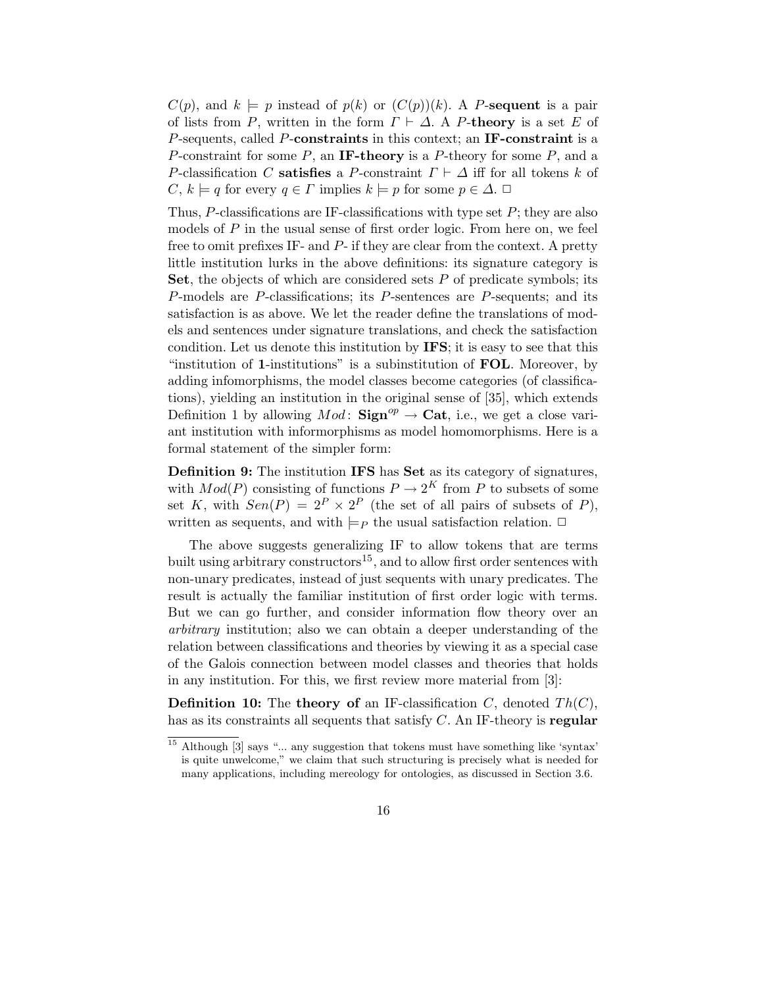$C(p)$ , and  $k \models p$  instead of  $p(k)$  or  $(C(p))(k)$ . A P-sequent is a pair of lists from P, written in the form  $\Gamma \vdash \Delta$ . A P-theory is a set E of P-sequents, called P-constraints in this context; an IF-constraint is a P-constraint for some P, an IF-theory is a P-theory for some P, and a P-classification C satisfies a P-constraint  $\Gamma \vdash \Delta$  iff for all tokens k of  $C, k \models q$  for every  $q \in \Gamma$  implies  $k \models p$  for some  $p \in \Delta$ .

Thus,  $P$ -classifications are IF-classifications with type set  $P$ ; they are also models of  $P$  in the usual sense of first order logic. From here on, we feel free to omit prefixes IF- and P- if they are clear from the context. A pretty little institution lurks in the above definitions: its signature category is Set, the objects of which are considered sets  $P$  of predicate symbols; its P-models are P-classifications; its P-sentences are P-sequents; and its satisfaction is as above. We let the reader define the translations of models and sentences under signature translations, and check the satisfaction condition. Let us denote this institution by IFS; it is easy to see that this "institution of 1-institutions" is a subinstitution of FOL. Moreover, by adding infomorphisms, the model classes become categories (of classifications), yielding an institution in the original sense of [35], which extends Definition 1 by allowing  $Mod$ :  $\text{Sign}^{op} \to \text{Cat}$ , i.e., we get a close variant institution with informorphisms as model homomorphisms. Here is a formal statement of the simpler form:

Definition 9: The institution IFS has Set as its category of signatures, with  $Mod(P)$  consisting of functions  $P \to 2^K$  from P to subsets of some set K, with  $Sen(P) = 2^P \times 2^P$  (the set of all pairs of subsets of P), written as sequents, and with  $\models p$  the usual satisfaction relation.  $\Box$ 

The above suggests generalizing IF to allow tokens that are terms built using arbitrary constructors<sup>15</sup>, and to allow first order sentences with non-unary predicates, instead of just sequents with unary predicates. The result is actually the familiar institution of first order logic with terms. But we can go further, and consider information flow theory over an arbitrary institution; also we can obtain a deeper understanding of the relation between classifications and theories by viewing it as a special case of the Galois connection between model classes and theories that holds in any institution. For this, we first review more material from [3]:

**Definition 10:** The theory of an IF-classification C, denoted  $Th(C)$ , has as its constraints all sequents that satisfy  $C$ . An IF-theory is regular

<sup>&</sup>lt;sup>15</sup> Although [3] says "... any suggestion that tokens must have something like 'syntax' is quite unwelcome," we claim that such structuring is precisely what is needed for many applications, including mereology for ontologies, as discussed in Section 3.6.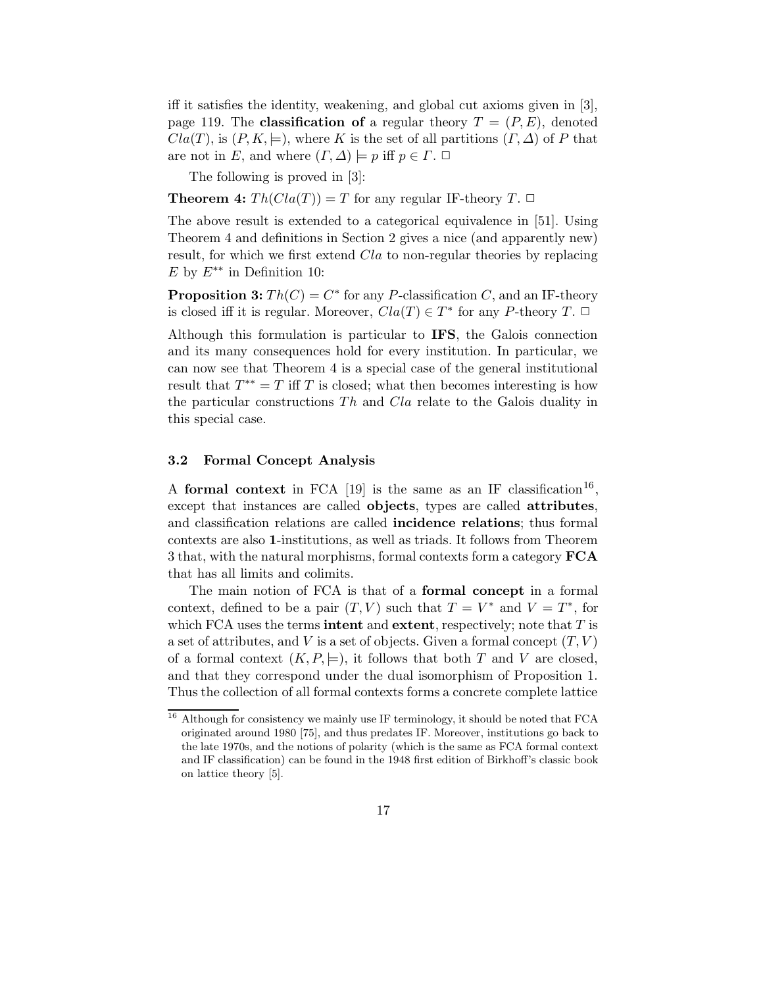iff it satisfies the identity, weakening, and global cut axioms given in [3], page 119. The **classification of** a regular theory  $T = (P, E)$ , denoted  $Cla(T)$ , is  $(P, K, \models)$ , where K is the set of all partitions  $(\Gamma, \Delta)$  of P that are not in E, and where  $(\Gamma, \Delta) \models p$  iff  $p \in \Gamma$ .

The following is proved in [3]:

**Theorem 4:**  $Th(Cla(T)) = T$  for any regular IF-theory  $T \square$ 

The above result is extended to a categorical equivalence in [51]. Using Theorem 4 and definitions in Section 2 gives a nice (and apparently new) result, for which we first extend Cla to non-regular theories by replacing E by  $E^{**}$  in Definition 10:

**Proposition 3:**  $Th(C) = C^*$  for any P-classification C, and an IF-theory is closed iff it is regular. Moreover,  $Cla(T) \in T^*$  for any P-theory T.  $\Box$ 

Although this formulation is particular to IFS, the Galois connection and its many consequences hold for every institution. In particular, we can now see that Theorem 4 is a special case of the general institutional result that  $T^{**} = T$  iff T is closed; what then becomes interesting is how the particular constructions Th and Cla relate to the Galois duality in this special case.

#### 3.2 Formal Concept Analysis

A formal context in FCA [19] is the same as an IF classification<sup>16</sup>, except that instances are called objects, types are called attributes, and classification relations are called incidence relations; thus formal contexts are also 1-institutions, as well as triads. It follows from Theorem 3 that, with the natural morphisms, formal contexts form a category FCA that has all limits and colimits.

The main notion of FCA is that of a formal concept in a formal context, defined to be a pair  $(T, V)$  such that  $T = V^*$  and  $V = T^*$ , for which FCA uses the terms **intent** and **extent**, respectively; note that  $T$  is a set of attributes, and V is a set of objects. Given a formal concept  $(T, V)$ of a formal context  $(K, P, \models)$ , it follows that both T and V are closed, and that they correspond under the dual isomorphism of Proposition 1. Thus the collection of all formal contexts forms a concrete complete lattice

<sup>&</sup>lt;sup>16</sup> Although for consistency we mainly use IF terminology, it should be noted that FCA originated around 1980 [75], and thus predates IF. Moreover, institutions go back to the late 1970s, and the notions of polarity (which is the same as FCA formal context and IF classification) can be found in the 1948 first edition of Birkhoff's classic book on lattice theory [5].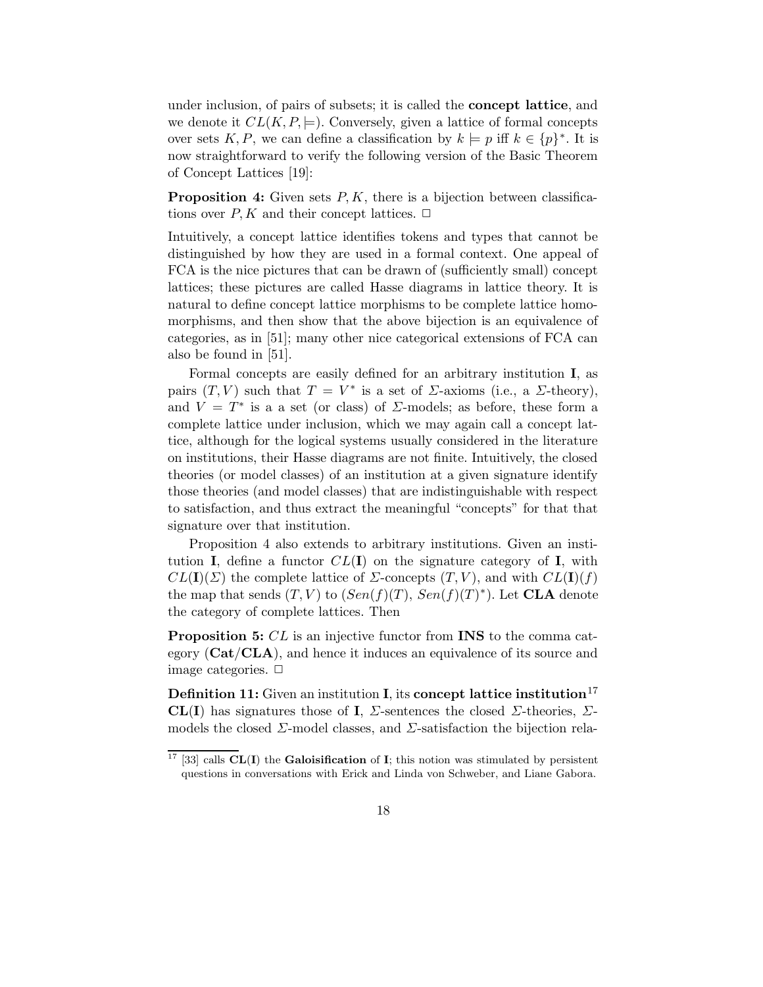under inclusion, of pairs of subsets; it is called the concept lattice, and we denote it  $CL(K, P, \models)$ . Conversely, given a lattice of formal concepts over sets K, P, we can define a classification by  $k \models p$  iff  $k \in \{p\}^*$ . It is now straightforward to verify the following version of the Basic Theorem of Concept Lattices [19]:

**Proposition 4:** Given sets  $P, K$ , there is a bijection between classifications over  $P, K$  and their concept lattices.  $\Box$ 

Intuitively, a concept lattice identifies tokens and types that cannot be distinguished by how they are used in a formal context. One appeal of FCA is the nice pictures that can be drawn of (sufficiently small) concept lattices; these pictures are called Hasse diagrams in lattice theory. It is natural to define concept lattice morphisms to be complete lattice homomorphisms, and then show that the above bijection is an equivalence of categories, as in [51]; many other nice categorical extensions of FCA can also be found in [51].

Formal concepts are easily defined for an arbitrary institution I, as pairs  $(T, V)$  such that  $T = V^*$  is a set of *Σ*-axioms (i.e., a *Σ*-theory), and  $V = T^*$  is a a set (or class) of  $\Sigma$ -models; as before, these form a complete lattice under inclusion, which we may again call a concept lattice, although for the logical systems usually considered in the literature on institutions, their Hasse diagrams are not finite. Intuitively, the closed theories (or model classes) of an institution at a given signature identify those theories (and model classes) that are indistinguishable with respect to satisfaction, and thus extract the meaningful "concepts" for that that signature over that institution.

Proposition 4 also extends to arbitrary institutions. Given an institution **I**, define a functor  $CL(\mathbf{I})$  on the signature category of **I**, with  $CL(\mathbf{I})(\Sigma)$  the complete lattice of  $\Sigma$ -concepts  $(T, V)$ , and with  $CL(\mathbf{I})(f)$ the map that sends  $(T, V)$  to  $(Sen(f)(T), Sen(f)(T)^*)$ . Let **CLA** denote the category of complete lattices. Then

Proposition 5: CL is an injective functor from INS to the comma category (Cat/CLA), and hence it induces an equivalence of its source and image categories.  $\Box$ 

**Definition 11:** Given an institution **I**, its **concept lattice institution**<sup>17</sup> CL(I) has signatures those of I,  $\Sigma$ -sentences the closed  $\Sigma$ -theories,  $\Sigma$ models the closed  $\Sigma$ -model classes, and  $\Sigma$ -satisfaction the bijection rela-

<sup>&</sup>lt;sup>17</sup> [33] calls  $CL(I)$  the Galoisification of I; this notion was stimulated by persistent questions in conversations with Erick and Linda von Schweber, and Liane Gabora.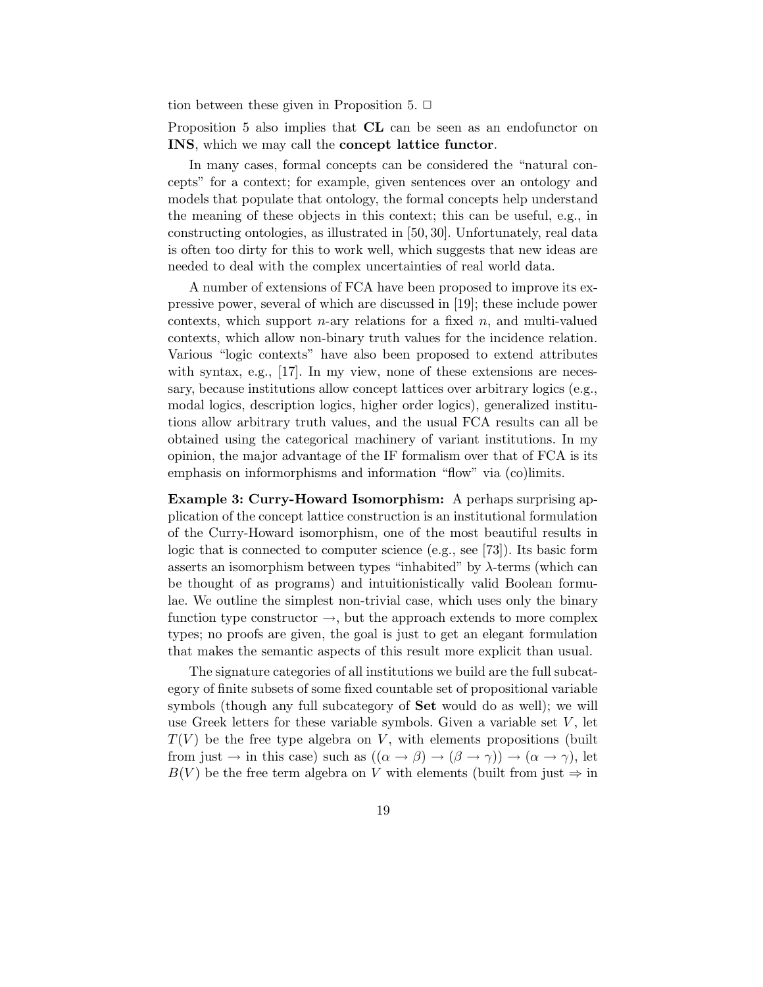tion between these given in Proposition 5.  $\Box$ 

Proposition 5 also implies that CL can be seen as an endofunctor on INS, which we may call the concept lattice functor.

In many cases, formal concepts can be considered the "natural concepts" for a context; for example, given sentences over an ontology and models that populate that ontology, the formal concepts help understand the meaning of these objects in this context; this can be useful, e.g., in constructing ontologies, as illustrated in [50, 30]. Unfortunately, real data is often too dirty for this to work well, which suggests that new ideas are needed to deal with the complex uncertainties of real world data.

A number of extensions of FCA have been proposed to improve its expressive power, several of which are discussed in [19]; these include power contexts, which support  $n$ -ary relations for a fixed  $n$ , and multi-valued contexts, which allow non-binary truth values for the incidence relation. Various "logic contexts" have also been proposed to extend attributes with syntax, e.g., [17]. In my view, none of these extensions are necessary, because institutions allow concept lattices over arbitrary logics (e.g., modal logics, description logics, higher order logics), generalized institutions allow arbitrary truth values, and the usual FCA results can all be obtained using the categorical machinery of variant institutions. In my opinion, the major advantage of the IF formalism over that of FCA is its emphasis on informorphisms and information "flow" via (co)limits.

Example 3: Curry-Howard Isomorphism: A perhaps surprising application of the concept lattice construction is an institutional formulation of the Curry-Howard isomorphism, one of the most beautiful results in logic that is connected to computer science (e.g., see [73]). Its basic form asserts an isomorphism between types "inhabited" by  $\lambda$ -terms (which can be thought of as programs) and intuitionistically valid Boolean formulae. We outline the simplest non-trivial case, which uses only the binary function type constructor  $\rightarrow$ , but the approach extends to more complex types; no proofs are given, the goal is just to get an elegant formulation that makes the semantic aspects of this result more explicit than usual.

The signature categories of all institutions we build are the full subcategory of finite subsets of some fixed countable set of propositional variable symbols (though any full subcategory of Set would do as well); we will use Greek letters for these variable symbols. Given a variable set  $V$ , let  $T(V)$  be the free type algebra on V, with elements propositions (built from just  $\rightarrow$  in this case) such as  $((\alpha \rightarrow \beta) \rightarrow (\beta \rightarrow \gamma)) \rightarrow (\alpha \rightarrow \gamma)$ , let  $B(V)$  be the free term algebra on V with elements (built from just  $\Rightarrow$  in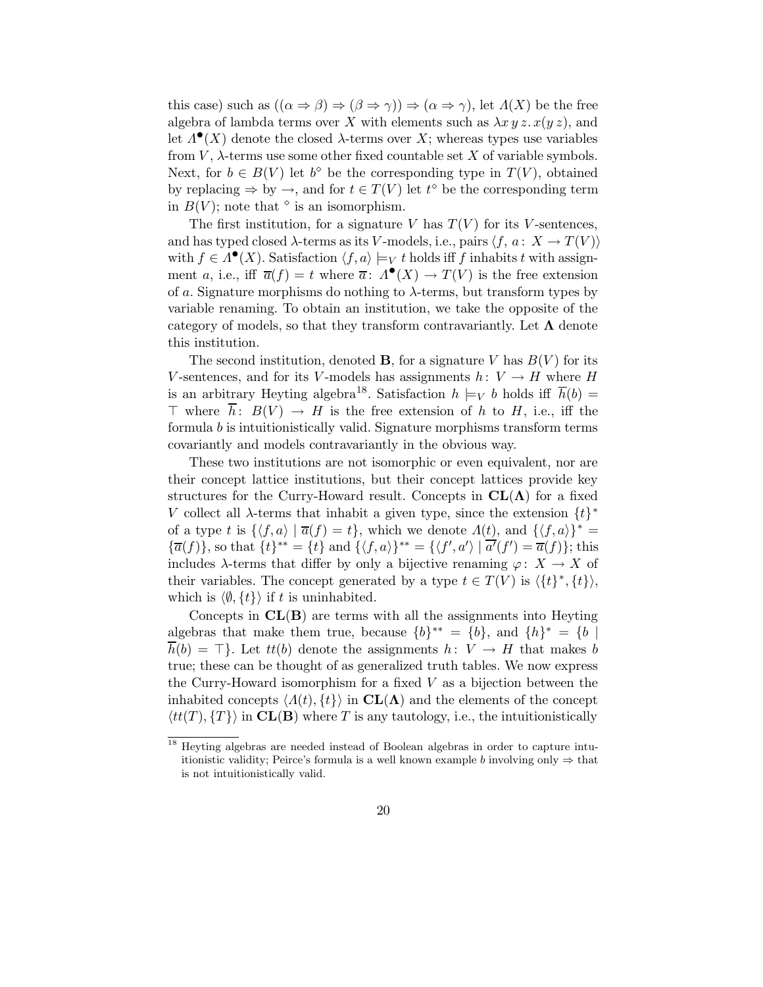this case) such as  $((\alpha \Rightarrow \beta) \Rightarrow (\beta \Rightarrow \gamma)) \Rightarrow (\alpha \Rightarrow \gamma)$ , let  $\Lambda(X)$  be the free algebra of lambda terms over X with elements such as  $\lambda x y z. x(y z)$ , and let  $\Lambda^{\bullet}(X)$  denote the closed  $\lambda$ -terms over X; whereas types use variables from  $V$ ,  $\lambda$ -terms use some other fixed countable set X of variable symbols. Next, for  $b \in B(V)$  let  $b^{\diamond}$  be the corresponding type in  $T(V)$ , obtained by replacing  $\Rightarrow$  by  $\rightarrow$ , and for  $t \in T(V)$  let  $t^{\diamond}$  be the corresponding term in  $B(V)$ ; note that  $\circ$  is an isomorphism.

The first institution, for a signature V has  $T(V)$  for its V-sentences, and has typed closed  $\lambda$ -terms as its V-models, i.e., pairs  $\langle f, a : X \to T(V) \rangle$ with  $f \in \Lambda^{\bullet}(X)$ . Satisfaction  $\langle f, a \rangle \models_V t$  holds iff f inhabits t with assignment a, i.e., iff  $\overline{a}(f) = t$  where  $\overline{a}$ :  $\Lambda^{\bullet}(X) \to T(V)$  is the free extension of a. Signature morphisms do nothing to  $\lambda$ -terms, but transform types by variable renaming. To obtain an institution, we take the opposite of the category of models, so that they transform contravariantly. Let  $\Lambda$  denote this institution.

The second institution, denoted **B**, for a signature V has  $B(V)$  for its V-sentences, and for its V-models has assignments  $h: V \to H$  where H is an arbitrary Heyting algebra<sup>18</sup>. Satisfaction  $h \models_V b$  holds iff  $\overline{h}(b) =$  $\top$  where  $\overline{h}$ :  $B(V) \rightarrow H$  is the free extension of h to H, i.e., iff the formula b is intuitionistically valid. Signature morphisms transform terms covariantly and models contravariantly in the obvious way.

These two institutions are not isomorphic or even equivalent, nor are their concept lattice institutions, but their concept lattices provide key structures for the Curry-Howard result. Concepts in  $CL(\Lambda)$  for a fixed V collect all  $\lambda$ -terms that inhabit a given type, since the extension  $\{t\}^*$ of a type t is  $\{\langle f, a \rangle | \overline{a}(f) = t\}$ , which we denote  $\Lambda(t)$ , and  $\{\langle f, a \rangle\}^* =$  ${\overline{a}(f)}$ , so that  ${t}^* = {t}$  and  ${\overline{\{f, a\}}^{**}} = {\overline{\{f', a'\}} \mid a'(\overline{f'}) = \overline{a}(f)\};$  this includes  $\lambda$ -terms that differ by only a bijective renaming  $\varphi: X \to X$  of their variables. The concept generated by a type  $t \in T(V)$  is  $\langle \{t\}^*, \{t\} \rangle$ , which is  $\langle \emptyset, \{t\} \rangle$  if t is uninhabited.

Concepts in  $CL(B)$  are terms with all the assignments into Heyting algebras that make them true, because  $\{b\}^{**} = \{b\}$ , and  $\{h\}^* = \{b\}$  $\overline{h}(b) = \top$ . Let  $tt(b)$  denote the assignments  $h: V \to H$  that makes b true; these can be thought of as generalized truth tables. We now express the Curry-Howard isomorphism for a fixed  $V$  as a bijection between the inhabited concepts  $\langle \Lambda(t), \{t\} \rangle$  in  $CL(\Lambda)$  and the elements of the concept  $\langle tt(T), \{T\}\rangle$  in  $CL(B)$  where T is any tautology, i.e., the intuitionistically

<sup>18</sup> Heyting algebras are needed instead of Boolean algebras in order to capture intuitionistic validity; Peirce's formula is a well known example b involving only  $\Rightarrow$  that is not intuitionistically valid.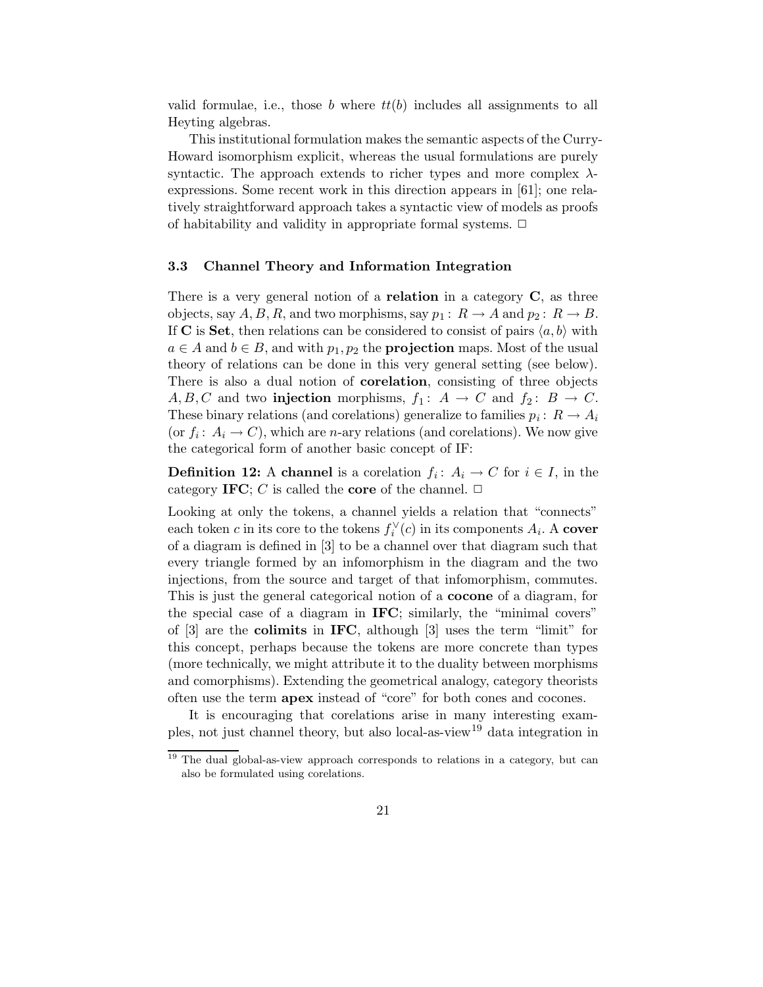valid formulae, i.e., those b where  $tt(b)$  includes all assignments to all Heyting algebras.

This institutional formulation makes the semantic aspects of the Curry-Howard isomorphism explicit, whereas the usual formulations are purely syntactic. The approach extends to richer types and more complex  $\lambda$ expressions. Some recent work in this direction appears in [61]; one relatively straightforward approach takes a syntactic view of models as proofs of habitability and validity in appropriate formal systems.  $\Box$ 

## 3.3 Channel Theory and Information Integration

There is a very general notion of a **relation** in a category  $C$ , as three objects, say  $A, B, R$ , and two morphisms, say  $p_1: R \to A$  and  $p_2: R \to B$ . If C is Set, then relations can be considered to consist of pairs  $\langle a, b \rangle$  with  $a \in A$  and  $b \in B$ , and with  $p_1, p_2$  the **projection** maps. Most of the usual theory of relations can be done in this very general setting (see below). There is also a dual notion of corelation, consisting of three objects  $A, B, C$  and two **injection** morphisms,  $f_1: A \rightarrow C$  and  $f_2: B \rightarrow C$ . These binary relations (and corelations) generalize to families  $p_i: R \to A_i$ (or  $f_i: A_i \to C$ ), which are *n*-ary relations (and corelations). We now give the categorical form of another basic concept of IF:

**Definition 12:** A channel is a corelation  $f_i: A_i \to C$  for  $i \in I$ , in the category IFC; C is called the core of the channel.  $\Box$ 

Looking at only the tokens, a channel yields a relation that "connects" each token c in its core to the tokens  $f_i^{\vee}$  $i_i^{\vee}(c)$  in its components  $A_i$ . A cover of a diagram is defined in [3] to be a channel over that diagram such that every triangle formed by an infomorphism in the diagram and the two injections, from the source and target of that infomorphism, commutes. This is just the general categorical notion of a cocone of a diagram, for the special case of a diagram in IFC; similarly, the "minimal covers" of [3] are the colimits in IFC, although [3] uses the term "limit" for this concept, perhaps because the tokens are more concrete than types (more technically, we might attribute it to the duality between morphisms and comorphisms). Extending the geometrical analogy, category theorists often use the term apex instead of "core" for both cones and cocones.

It is encouraging that corelations arise in many interesting examples, not just channel theory, but also local-as-view<sup>19</sup> data integration in

<sup>&</sup>lt;sup>19</sup> The dual global-as-view approach corresponds to relations in a category, but can also be formulated using corelations.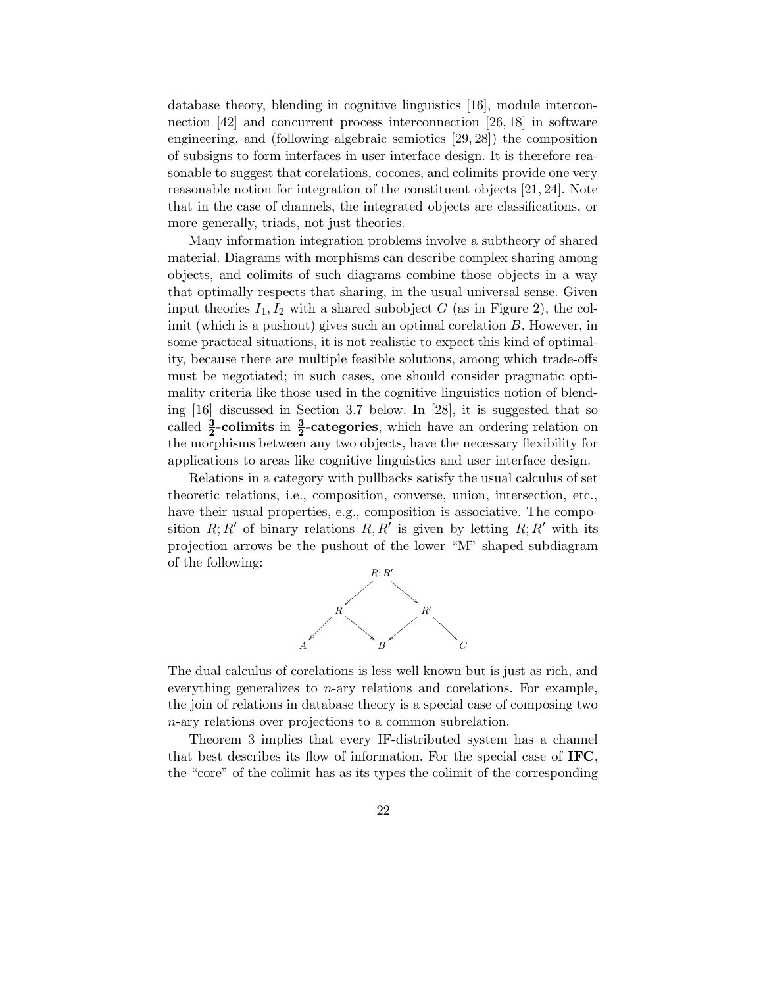database theory, blending in cognitive linguistics [16], module interconnection [42] and concurrent process interconnection [26, 18] in software engineering, and (following algebraic semiotics [29, 28]) the composition of subsigns to form interfaces in user interface design. It is therefore reasonable to suggest that corelations, cocones, and colimits provide one very reasonable notion for integration of the constituent objects [21, 24]. Note that in the case of channels, the integrated objects are classifications, or more generally, triads, not just theories.

Many information integration problems involve a subtheory of shared material. Diagrams with morphisms can describe complex sharing among objects, and colimits of such diagrams combine those objects in a way that optimally respects that sharing, in the usual universal sense. Given input theories  $I_1, I_2$  with a shared subobject G (as in Figure 2), the colimit (which is a pushout) gives such an optimal corelation B. However, in some practical situations, it is not realistic to expect this kind of optimality, because there are multiple feasible solutions, among which trade-offs must be negotiated; in such cases, one should consider pragmatic optimality criteria like those used in the cognitive linguistics notion of blending [16] discussed in Section 3.7 below. In [28], it is suggested that so called  $\frac{3}{2}$ -colimits in  $\frac{3}{2}$ -categories, which have an ordering relation on the morphisms between any two objects, have the necessary flexibility for applications to areas like cognitive linguistics and user interface design.

Relations in a category with pullbacks satisfy the usual calculus of set theoretic relations, i.e., composition, converse, union, intersection, etc., have their usual properties, e.g., composition is associative. The composition  $R; R'$  of binary relations  $R, R'$  is given by letting  $R; R'$  with its projection arrows be the pushout of the lower "M" shaped subdiagram of the following:



The dual calculus of corelations is less well known but is just as rich, and everything generalizes to  $n$ -ary relations and corelations. For example, the join of relations in database theory is a special case of composing two n-ary relations over projections to a common subrelation.

Theorem 3 implies that every IF-distributed system has a channel that best describes its flow of information. For the special case of IFC, the "core" of the colimit has as its types the colimit of the corresponding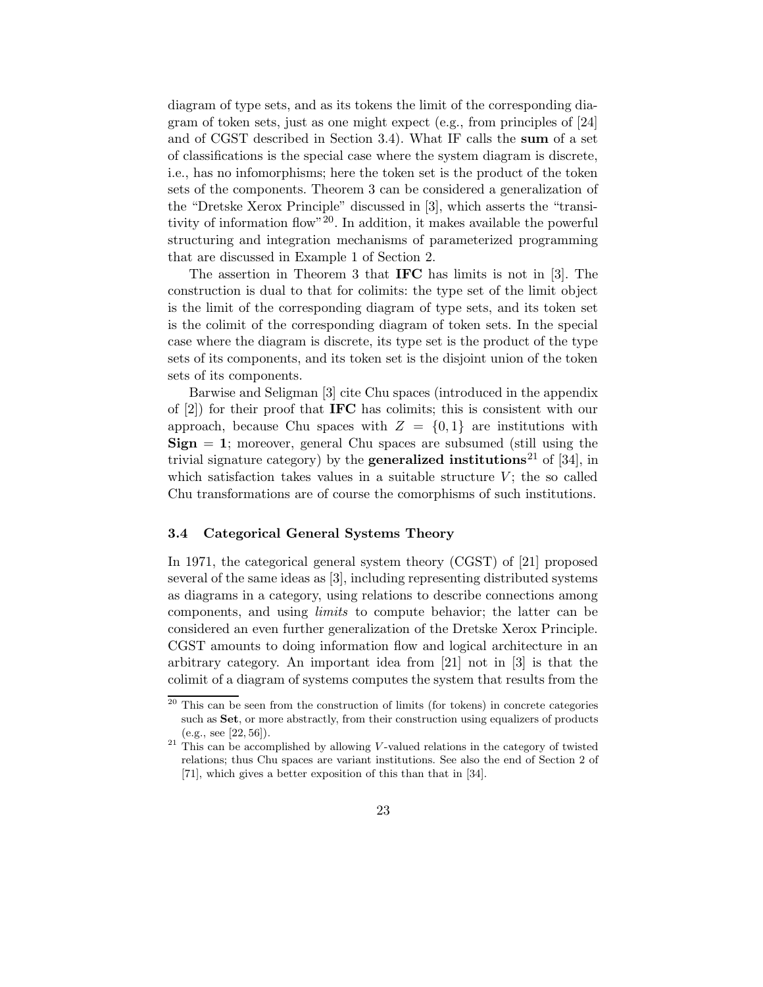diagram of type sets, and as its tokens the limit of the corresponding diagram of token sets, just as one might expect (e.g., from principles of [24] and of CGST described in Section 3.4). What IF calls the sum of a set of classifications is the special case where the system diagram is discrete, i.e., has no infomorphisms; here the token set is the product of the token sets of the components. Theorem 3 can be considered a generalization of the "Dretske Xerox Principle" discussed in [3], which asserts the "transitivity of information flow"<sup>20</sup>. In addition, it makes available the powerful structuring and integration mechanisms of parameterized programming that are discussed in Example 1 of Section 2.

The assertion in Theorem 3 that IFC has limits is not in [3]. The construction is dual to that for colimits: the type set of the limit object is the limit of the corresponding diagram of type sets, and its token set is the colimit of the corresponding diagram of token sets. In the special case where the diagram is discrete, its type set is the product of the type sets of its components, and its token set is the disjoint union of the token sets of its components.

Barwise and Seligman [3] cite Chu spaces (introduced in the appendix of [2]) for their proof that IFC has colimits; this is consistent with our approach, because Chu spaces with  $Z = \{0, 1\}$  are institutions with  ${\rm Sign} = 1$ ; moreover, general Chu spaces are subsumed (still using the trivial signature category) by the **generalized institutions**<sup>21</sup> of [34], in which satisfaction takes values in a suitable structure  $V$ ; the so called Chu transformations are of course the comorphisms of such institutions.

#### 3.4 Categorical General Systems Theory

In 1971, the categorical general system theory (CGST) of [21] proposed several of the same ideas as [3], including representing distributed systems as diagrams in a category, using relations to describe connections among components, and using limits to compute behavior; the latter can be considered an even further generalization of the Dretske Xerox Principle. CGST amounts to doing information flow and logical architecture in an arbitrary category. An important idea from [21] not in [3] is that the colimit of a diagram of systems computes the system that results from the

 $20$  This can be seen from the construction of limits (for tokens) in concrete categories such as Set, or more abstractly, from their construction using equalizers of products (e.g., see [22, 56]).

 $21$  This can be accomplished by allowing V-valued relations in the category of twisted relations; thus Chu spaces are variant institutions. See also the end of Section 2 of [71], which gives a better exposition of this than that in [34].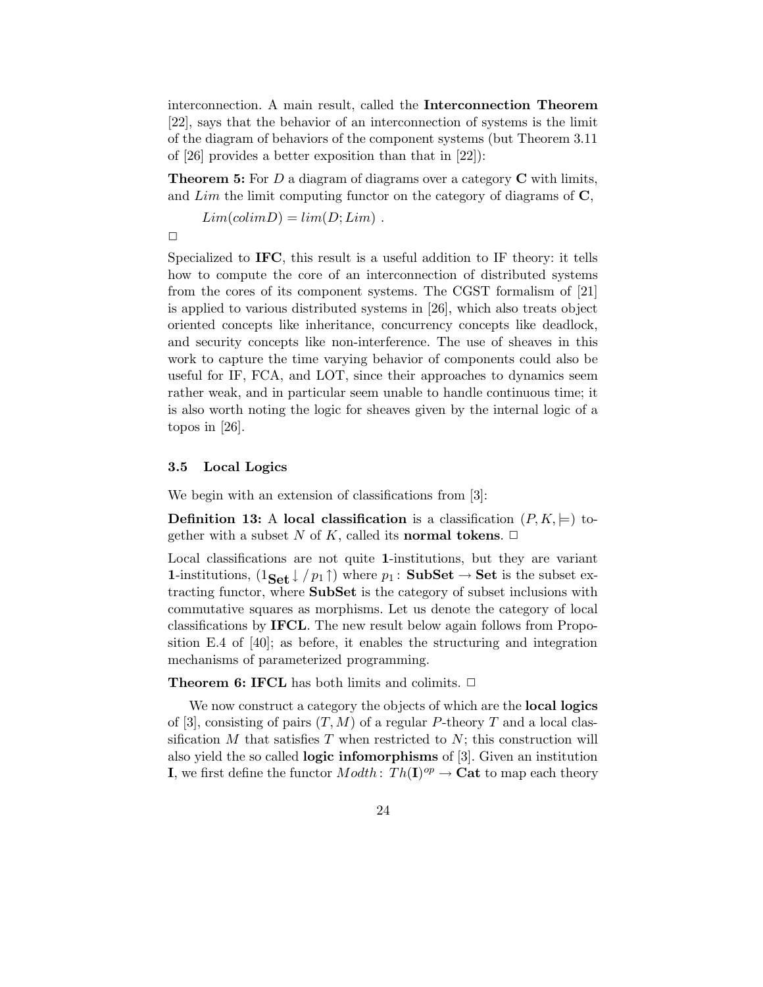interconnection. A main result, called the Interconnection Theorem [22], says that the behavior of an interconnection of systems is the limit of the diagram of behaviors of the component systems (but Theorem 3.11 of [26] provides a better exposition than that in [22]):

**Theorem 5:** For  $D$  a diagram of diagrams over a category  $C$  with limits, and  $Lim$  the limit computing functor on the category of diagrams of  $\mathbf{C}$ ,

 $Lim(colimD) = lim(D;Lim)$ .

 $\Box$ 

Specialized to IFC, this result is a useful addition to IF theory: it tells how to compute the core of an interconnection of distributed systems from the cores of its component systems. The CGST formalism of [21] is applied to various distributed systems in [26], which also treats object oriented concepts like inheritance, concurrency concepts like deadlock, and security concepts like non-interference. The use of sheaves in this work to capture the time varying behavior of components could also be useful for IF, FCA, and LOT, since their approaches to dynamics seem rather weak, and in particular seem unable to handle continuous time; it is also worth noting the logic for sheaves given by the internal logic of a topos in [26].

## 3.5 Local Logics

We begin with an extension of classifications from [3]:

**Definition 13:** A local classification is a classification  $(P, K, \models)$  together with a subset N of K, called its **normal tokens**.  $\Box$ 

Local classifications are not quite 1-institutions, but they are variant 1-institutions,  $(1_{\text{Set}} \downarrow / p_1 \uparrow)$  where  $p_1 : \text{SubSet} \rightarrow \text{Set}$  is the subset extracting functor, where SubSet is the category of subset inclusions with commutative squares as morphisms. Let us denote the category of local classifications by IFCL. The new result below again follows from Proposition E.4 of [40]; as before, it enables the structuring and integration mechanisms of parameterized programming.

**Theorem 6: IFCL** has both limits and colimits.  $\Box$ 

We now construct a category the objects of which are the **local logics** of [3], consisting of pairs  $(T, M)$  of a regular P-theory T and a local classification  $M$  that satisfies  $T$  when restricted to  $N$ ; this construction will also yield the so called logic infomorphisms of [3]. Given an institution **I**, we first define the functor  $Modth: Th(\mathbf{I})^{op} \to \mathbf{Cat}$  to map each theory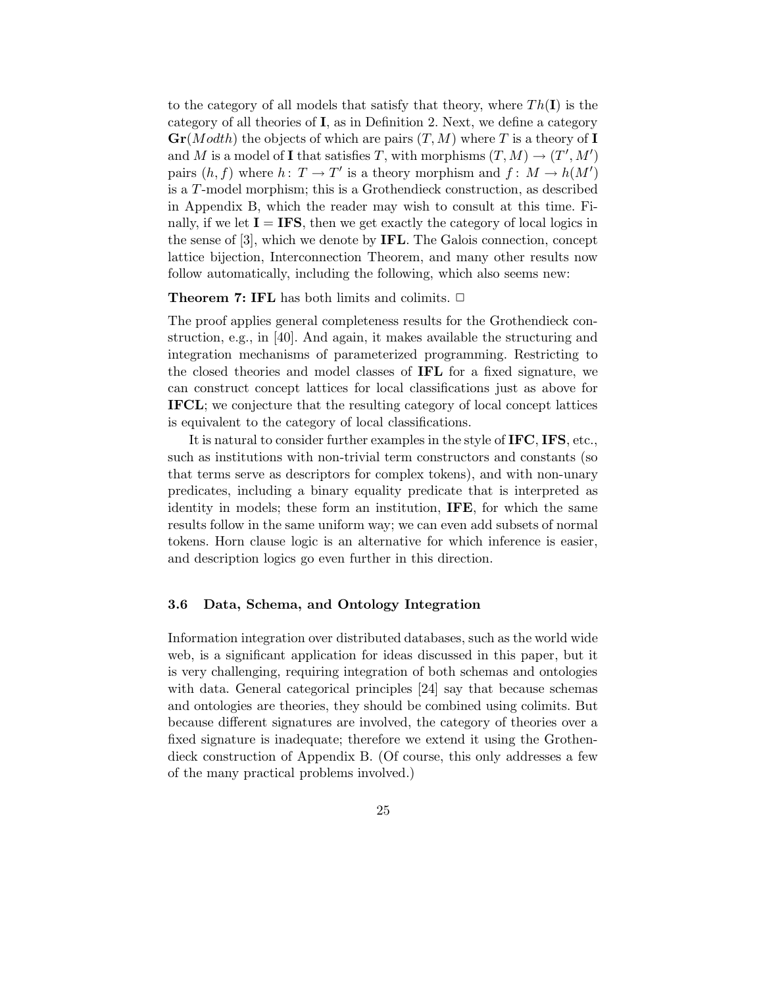to the category of all models that satisfy that theory, where  $Th(\mathbf{I})$  is the category of all theories of I, as in Definition 2. Next, we define a category  $\mathbf{Gr}(Modth)$  the objects of which are pairs  $(T, M)$  where T is a theory of I and M is a model of I that satisfies T, with morphisms  $(T, M) \rightarrow (T', M')$ pairs  $(h, f)$  where  $h: T \to T'$  is a theory morphism and  $f: M \to h(M')$ is a T-model morphism; this is a Grothendieck construction, as described in Appendix B, which the reader may wish to consult at this time. Finally, if we let  $I = IFS$ , then we get exactly the category of local logics in the sense of [3], which we denote by IFL. The Galois connection, concept lattice bijection, Interconnection Theorem, and many other results now follow automatically, including the following, which also seems new:

#### **Theorem 7: IFL** has both limits and colimits.  $\Box$

The proof applies general completeness results for the Grothendieck construction, e.g., in [40]. And again, it makes available the structuring and integration mechanisms of parameterized programming. Restricting to the closed theories and model classes of IFL for a fixed signature, we can construct concept lattices for local classifications just as above for IFCL; we conjecture that the resulting category of local concept lattices is equivalent to the category of local classifications.

It is natural to consider further examples in the style of IFC, IFS, etc., such as institutions with non-trivial term constructors and constants (so that terms serve as descriptors for complex tokens), and with non-unary predicates, including a binary equality predicate that is interpreted as identity in models; these form an institution, IFE, for which the same results follow in the same uniform way; we can even add subsets of normal tokens. Horn clause logic is an alternative for which inference is easier, and description logics go even further in this direction.

#### 3.6 Data, Schema, and Ontology Integration

Information integration over distributed databases, such as the world wide web, is a significant application for ideas discussed in this paper, but it is very challenging, requiring integration of both schemas and ontologies with data. General categorical principles [24] say that because schemas and ontologies are theories, they should be combined using colimits. But because different signatures are involved, the category of theories over a fixed signature is inadequate; therefore we extend it using the Grothendieck construction of Appendix B. (Of course, this only addresses a few of the many practical problems involved.)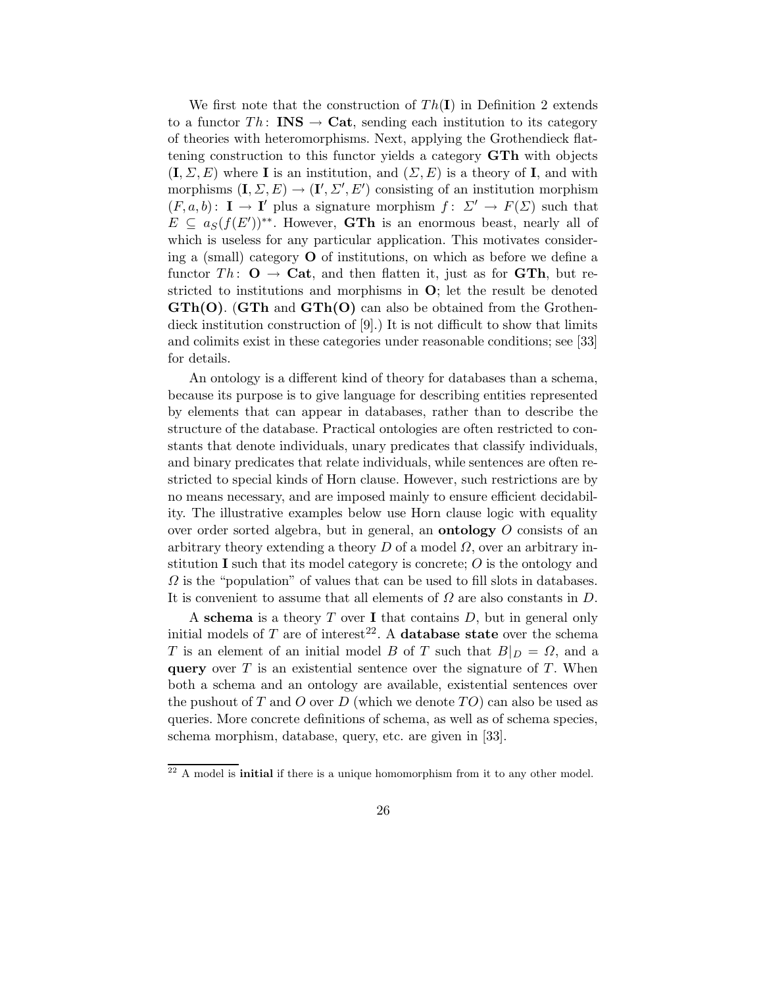We first note that the construction of  $Th(I)$  in Definition 2 extends to a functor  $Th:$  **INS**  $\rightarrow$  **Cat**, sending each institution to its category of theories with heteromorphisms. Next, applying the Grothendieck flattening construction to this functor yields a category GTh with objects  $(I, \Sigma, E)$  where **I** is an institution, and  $(\Sigma, E)$  is a theory of **I**, and with morphisms  $(\mathbf{I}, \Sigma, E) \to (\mathbf{I}', \Sigma', E')$  consisting of an institution morphism  $(F, a, b)$ :  $\mathbf{I} \to \mathbf{I}'$  plus a signature morphism  $f: \Sigma' \to F(\Sigma)$  such that  $E \subseteq a_S(f(E'))^{**}$ . However, **GTh** is an enormous beast, nearly all of which is useless for any particular application. This motivates considering a (small) category  $\bf{O}$  of institutions, on which as before we define a functor Th:  $\mathbf{O} \rightarrow \mathbf{Cat}$ , and then flatten it, just as for GTh, but restricted to institutions and morphisms in O; let the result be denoted  $\mathbf{GTh}(\mathbf{O})$ . ( $\mathbf{GTh}$  and  $\mathbf{GTh}(\mathbf{O})$  can also be obtained from the Grothendieck institution construction of [9].) It is not difficult to show that limits and colimits exist in these categories under reasonable conditions; see [33] for details.

An ontology is a different kind of theory for databases than a schema, because its purpose is to give language for describing entities represented by elements that can appear in databases, rather than to describe the structure of the database. Practical ontologies are often restricted to constants that denote individuals, unary predicates that classify individuals, and binary predicates that relate individuals, while sentences are often restricted to special kinds of Horn clause. However, such restrictions are by no means necessary, and are imposed mainly to ensure efficient decidability. The illustrative examples below use Horn clause logic with equality over order sorted algebra, but in general, an ontology O consists of an arbitrary theory extending a theory  $D$  of a model  $\Omega$ , over an arbitrary institution I such that its model category is concrete;  $O$  is the ontology and  $\Omega$  is the "population" of values that can be used to fill slots in databases. It is convenient to assume that all elements of  $\Omega$  are also constants in  $D$ .

A schema is a theory  $T$  over I that contains  $D$ , but in general only initial models of T are of interest<sup>22</sup>. A **database state** over the schema T is an element of an initial model B of T such that  $B|_D = \Omega$ , and a **query** over  $T$  is an existential sentence over the signature of  $T$ . When both a schema and an ontology are available, existential sentences over the pushout of T and O over D (which we denote TO) can also be used as queries. More concrete definitions of schema, as well as of schema species, schema morphism, database, query, etc. are given in [33].

 $22$  A model is **initial** if there is a unique homomorphism from it to any other model.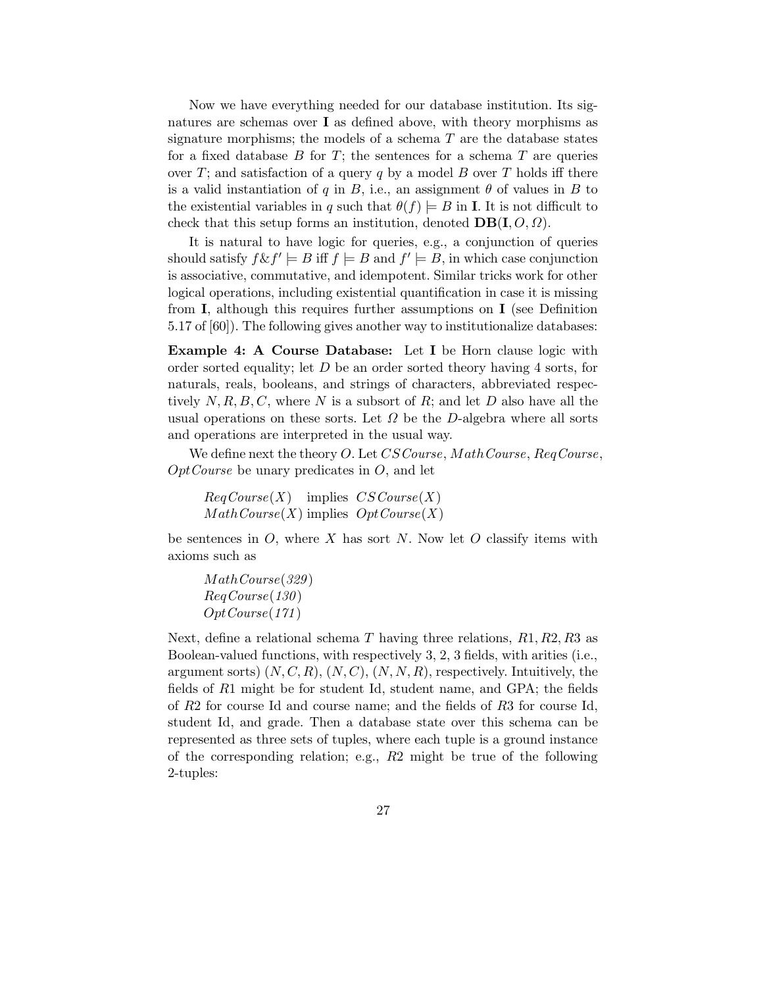Now we have everything needed for our database institution. Its signatures are schemas over I as defined above, with theory morphisms as signature morphisms; the models of a schema  $T$  are the database states for a fixed database  $B$  for  $T$ ; the sentences for a schema  $T$  are queries over T; and satisfaction of a query q by a model B over T holds iff there is a valid instantiation of q in B, i.e., an assignment  $\theta$  of values in B to the existential variables in q such that  $\theta(f) \models B$  in **I**. It is not difficult to check that this setup forms an institution, denoted  $DB(I, O, \Omega)$ .

It is natural to have logic for queries, e.g., a conjunction of queries should satisfy  $f \& f' \models B$  iff  $f \models B$  and  $f' \models B$ , in which case conjunction is associative, commutative, and idempotent. Similar tricks work for other logical operations, including existential quantification in case it is missing from  $\bf{I}$ , although this requires further assumptions on  $\bf{I}$  (see Definition 5.17 of [60]). The following gives another way to institutionalize databases:

Example 4: A Course Database: Let I be Horn clause logic with order sorted equality; let  $D$  be an order sorted theory having 4 sorts, for naturals, reals, booleans, and strings of characters, abbreviated respectively  $N, R, B, C$ , where N is a subsort of R; and let D also have all the usual operations on these sorts. Let  $\Omega$  be the D-algebra where all sorts and operations are interpreted in the usual way.

We define next the theory O. Let CS Course, Math Course, Req Course,  $OptCourse$  be unary predicates in  $O$ , and let

```
RegCourse(X) implies CSCourse(X)MathCourse(X) implies Opt Course(X)
```
be sentences in  $O$ , where X has sort N. Now let O classify items with axioms such as

MathCourse(329 ) ReqCourse(130 ) OptCourse(171 )

Next, define a relational schema T having three relations,  $R1, R2, R3$  as Boolean-valued functions, with respectively 3, 2, 3 fields, with arities (i.e., argument sorts)  $(N, C, R), (N, C), (N, N, R)$ , respectively. Intuitively, the fields of R1 might be for student Id, student name, and GPA; the fields of R2 for course Id and course name; and the fields of R3 for course Id, student Id, and grade. Then a database state over this schema can be represented as three sets of tuples, where each tuple is a ground instance of the corresponding relation; e.g.,  $R2$  might be true of the following 2-tuples: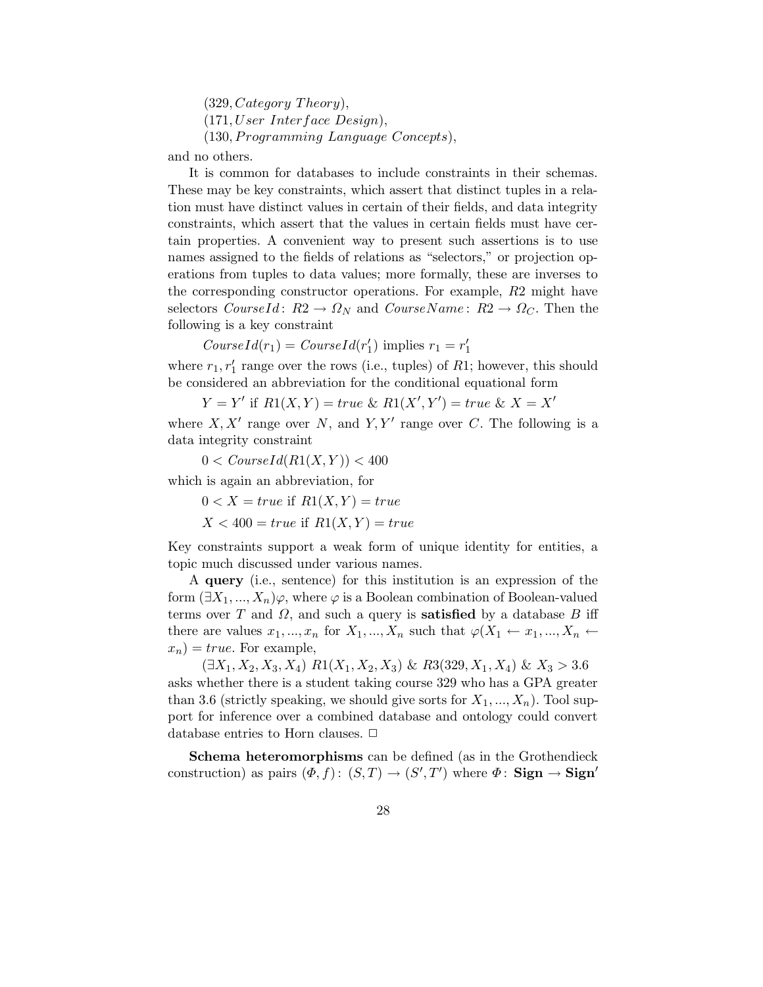(329, Category Theory), (171,User Interface Design), (130, Programming Language Concepts),

and no others.

It is common for databases to include constraints in their schemas. These may be key constraints, which assert that distinct tuples in a relation must have distinct values in certain of their fields, and data integrity constraints, which assert that the values in certain fields must have certain properties. A convenient way to present such assertions is to use names assigned to the fields of relations as "selectors," or projection operations from tuples to data values; more formally, these are inverses to the corresponding constructor operations. For example, R2 might have selectors  $CourseId: R2 \rightarrow \Omega_N$  and  $CourseName: R2 \rightarrow \Omega_C$ . Then the following is a key constraint

 $CourseId(r_1) = CourseId(r'_1)$  $r_1$ ) implies  $r_1 = r_1$ 1

where  $r_1, r'_1$  $'_{1}$  range over the rows (i.e., tuples) of  $R1$ ; however, this should be considered an abbreviation for the conditional equational form

$$
Y = Y' \text{ if } R1(X, Y) = true \& R1(X', Y') = true \& X = X'
$$

where  $X, X'$  range over N, and  $Y, Y'$  range over C. The following is a data integrity constraint

 $0 < \text{CourseId}(R1(X, Y)) < 400$ 

which is again an abbreviation, for

 $0 < X = true$  if  $R1(X, Y) = true$ 

 $X < 400 = true$  if  $R1(X, Y) = true$ 

Key constraints support a weak form of unique identity for entities, a topic much discussed under various names.

A query (i.e., sentence) for this institution is an expression of the form  $(\exists X_1, ..., X_n)\varphi$ , where  $\varphi$  is a Boolean combination of Boolean-valued terms over T and  $\Omega$ , and such a query is **satisfied** by a database B iff there are values  $x_1, ..., x_n$  for  $X_1, ..., X_n$  such that  $\varphi(X_1 \leftarrow x_1, ..., X_n \leftarrow$  $x_n$ ) = true. For example,

 $(\exists X_1, X_2, X_3, X_4) R1(X_1, X_2, X_3) \& R3(329, X_1, X_4) \& X_3 > 3.6$ asks whether there is a student taking course 329 who has a GPA greater than 3.6 (strictly speaking, we should give sorts for  $X_1, ..., X_n$ ). Tool support for inference over a combined database and ontology could convert database entries to Horn clauses.  $\Box$ 

Schema heteromorphisms can be defined (as in the Grothendieck construction) as pairs  $(\overline{\Phi}, f) : (S, T) \to (S', T')$  where  $\Phi : \mathbf{Sign} \to \mathbf{Sign}'$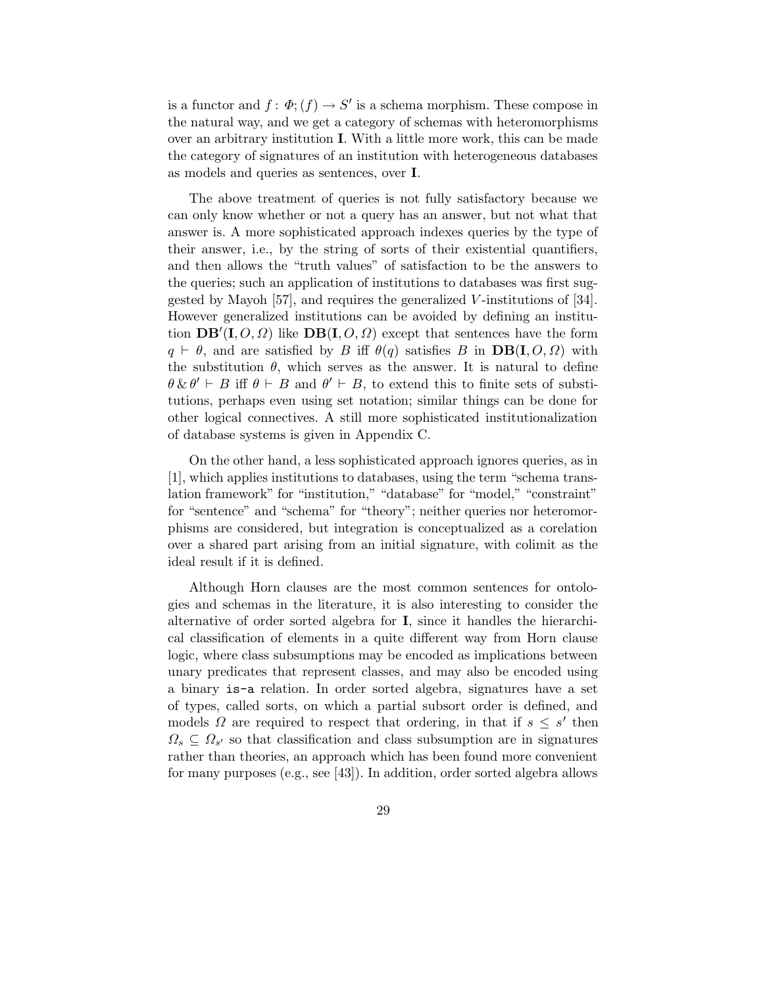is a functor and  $f: \Phi$ ;  $(f) \to S'$  is a schema morphism. These compose in the natural way, and we get a category of schemas with heteromorphisms over an arbitrary institution I. With a little more work, this can be made the category of signatures of an institution with heterogeneous databases as models and queries as sentences, over I.

The above treatment of queries is not fully satisfactory because we can only know whether or not a query has an answer, but not what that answer is. A more sophisticated approach indexes queries by the type of their answer, i.e., by the string of sorts of their existential quantifiers, and then allows the "truth values" of satisfaction to be the answers to the queries; such an application of institutions to databases was first suggested by Mayoh [57], and requires the generalized V -institutions of [34]. However generalized institutions can be avoided by defining an institution  $\overline{\mathbf{DB}'(\mathbf{I}, O, \Omega)}$  like  $\overline{\mathbf{DB}(\mathbf{I}, O, \Omega)}$  except that sentences have the form  $q \vdash \theta$ , and are satisfied by B iff  $\theta(q)$  satisfies B in  $DB(I, O, \Omega)$  with the substitution  $\theta$ , which serves as the answer. It is natural to define  $\theta \& \theta' \vdash B$  iff  $\theta \vdash B$  and  $\theta' \vdash B$ , to extend this to finite sets of substitutions, perhaps even using set notation; similar things can be done for other logical connectives. A still more sophisticated institutionalization of database systems is given in Appendix C.

On the other hand, a less sophisticated approach ignores queries, as in [1], which applies institutions to databases, using the term "schema translation framework" for "institution," "database" for "model," "constraint" for "sentence" and "schema" for "theory"; neither queries nor heteromorphisms are considered, but integration is conceptualized as a corelation over a shared part arising from an initial signature, with colimit as the ideal result if it is defined.

Although Horn clauses are the most common sentences for ontologies and schemas in the literature, it is also interesting to consider the alternative of order sorted algebra for I, since it handles the hierarchical classification of elements in a quite different way from Horn clause logic, where class subsumptions may be encoded as implications between unary predicates that represent classes, and may also be encoded using a binary is-a relation. In order sorted algebra, signatures have a set of types, called sorts, on which a partial subsort order is defined, and models  $\Omega$  are required to respect that ordering, in that if  $s \leq s'$  then  $\Omega_s \subseteq \Omega_{s'}$  so that classification and class subsumption are in signatures rather than theories, an approach which has been found more convenient for many purposes (e.g., see [43]). In addition, order sorted algebra allows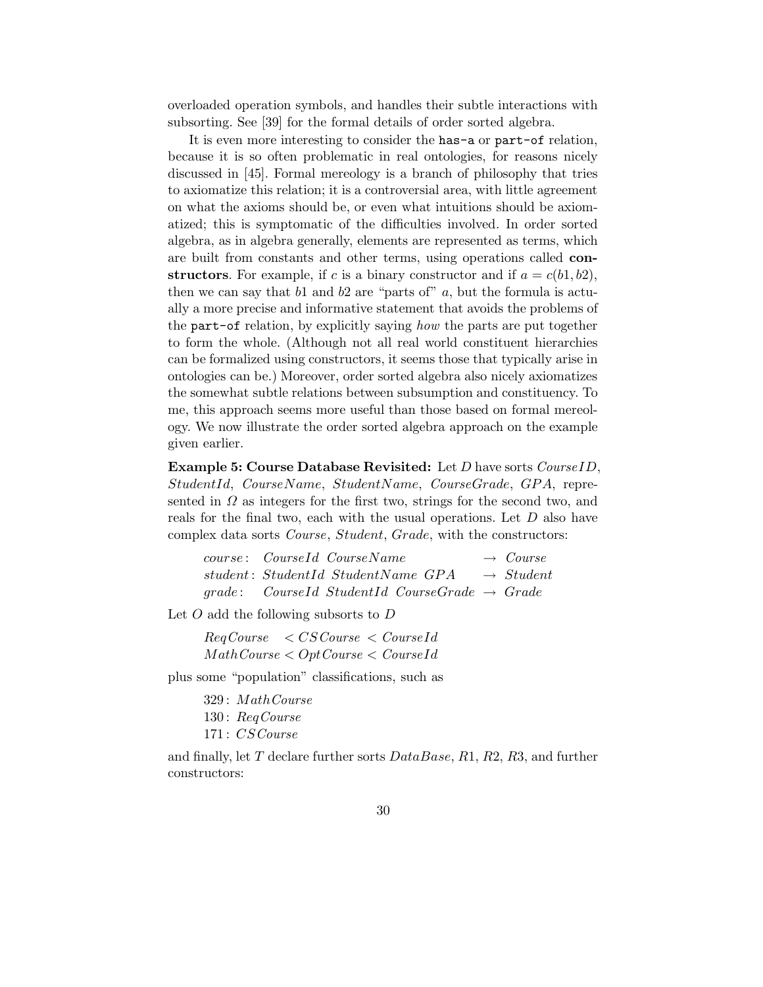overloaded operation symbols, and handles their subtle interactions with subsorting. See [39] for the formal details of order sorted algebra.

It is even more interesting to consider the has-a or part-of relation, because it is so often problematic in real ontologies, for reasons nicely discussed in [45]. Formal mereology is a branch of philosophy that tries to axiomatize this relation; it is a controversial area, with little agreement on what the axioms should be, or even what intuitions should be axiomatized; this is symptomatic of the difficulties involved. In order sorted algebra, as in algebra generally, elements are represented as terms, which are built from constants and other terms, using operations called constructors. For example, if c is a binary constructor and if  $a = c(b_1, b_2)$ , then we can say that  $b1$  and  $b2$  are "parts of"  $a$ , but the formula is actually a more precise and informative statement that avoids the problems of the part-of relation, by explicitly saying how the parts are put together to form the whole. (Although not all real world constituent hierarchies can be formalized using constructors, it seems those that typically arise in ontologies can be.) Moreover, order sorted algebra also nicely axiomatizes the somewhat subtle relations between subsumption and constituency. To me, this approach seems more useful than those based on formal mereology. We now illustrate the order sorted algebra approach on the example given earlier.

Example 5: Course Database Revisited: Let D have sorts CourseID, StudentId, CourseName, StudentName, CourseGrade, GPA, represented in  $\Omega$  as integers for the first two, strings for the second two, and reals for the final two, each with the usual operations. Let D also have complex data sorts Course, Student, Grade, with the constructors:

| course: CourseId CourseName                                 | $\rightarrow$ Course  |
|-------------------------------------------------------------|-----------------------|
| student: StudentId StudentName GPA                          | $\rightarrow$ Student |
| $grade:$ CourseId StudentId CourseGrade $\rightarrow$ Grade |                       |

Let O add the following subsorts to D

 $RegCourse \leq CSCourse \leq CourseId$  $MathCourse < OptCourse < CourseId$ 

plus some "population" classifications, such as

329 : MathCourse 130 : ReqCourse 171 : CSCourse

and finally, let T declare further sorts  $DataBase, R1, R2, R3$ , and further constructors: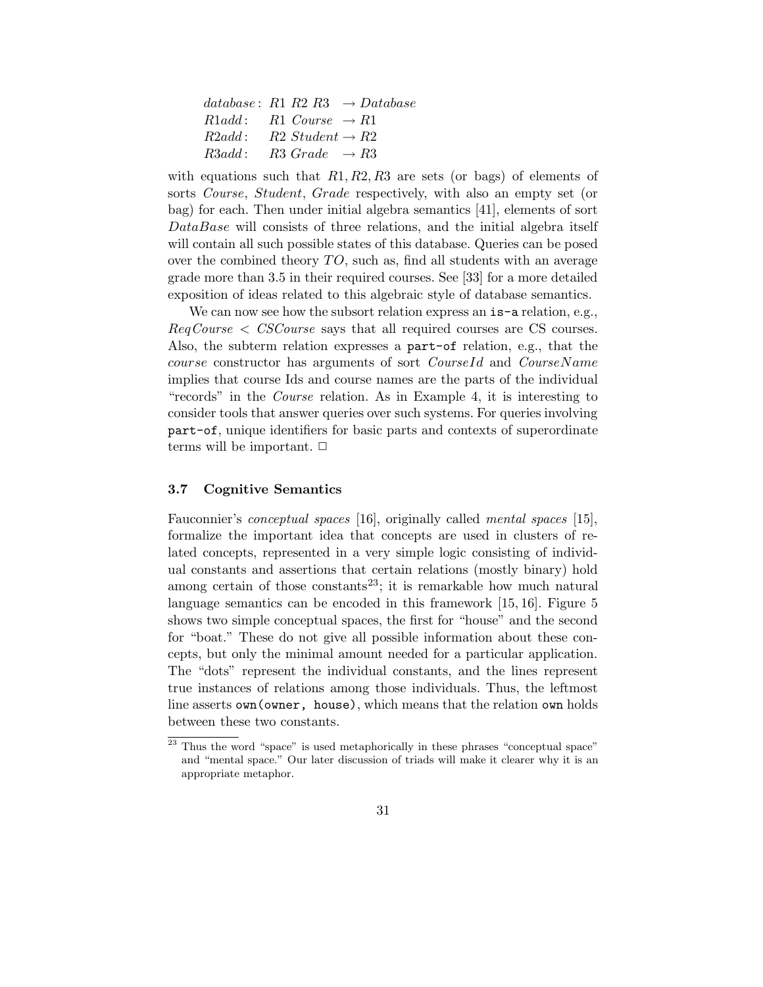| database: R1 R2 R3 $\rightarrow$ Database    |
|----------------------------------------------|
| $R1add:$ $R1 \text{ Course } \rightarrow R1$ |
| $R2add:$ $R2$ Student $\rightarrow R2$       |
| $R3add:$ $R3 Grade \rightarrow R3$           |

with equations such that  $R1, R2, R3$  are sets (or bags) of elements of sorts Course, Student, Grade respectively, with also an empty set (or bag) for each. Then under initial algebra semantics [41], elements of sort DataBase will consists of three relations, and the initial algebra itself will contain all such possible states of this database. Queries can be posed over the combined theory TO, such as, find all students with an average grade more than 3.5 in their required courses. See [33] for a more detailed exposition of ideas related to this algebraic style of database semantics.

We can now see how the subsort relation express an is-a relation, e.g., ReqCourse < CSCourse says that all required courses are CS courses. Also, the subterm relation expresses a part-of relation, e.g., that the course constructor has arguments of sort CourseId and CourseName implies that course Ids and course names are the parts of the individual "records" in the Course relation. As in Example 4, it is interesting to consider tools that answer queries over such systems. For queries involving part-of, unique identifiers for basic parts and contexts of superordinate terms will be important.  $\Box$ 

#### 3.7 Cognitive Semantics

Fauconnier's conceptual spaces [16], originally called mental spaces [15], formalize the important idea that concepts are used in clusters of related concepts, represented in a very simple logic consisting of individual constants and assertions that certain relations (mostly binary) hold among certain of those constants<sup>23</sup>; it is remarkable how much natural language semantics can be encoded in this framework [15, 16]. Figure 5 shows two simple conceptual spaces, the first for "house" and the second for "boat." These do not give all possible information about these concepts, but only the minimal amount needed for a particular application. The "dots" represent the individual constants, and the lines represent true instances of relations among those individuals. Thus, the leftmost line asserts own(owner, house), which means that the relation own holds between these two constants.

 $23$  Thus the word "space" is used metaphorically in these phrases "conceptual space" and "mental space." Our later discussion of triads will make it clearer why it is an appropriate metaphor.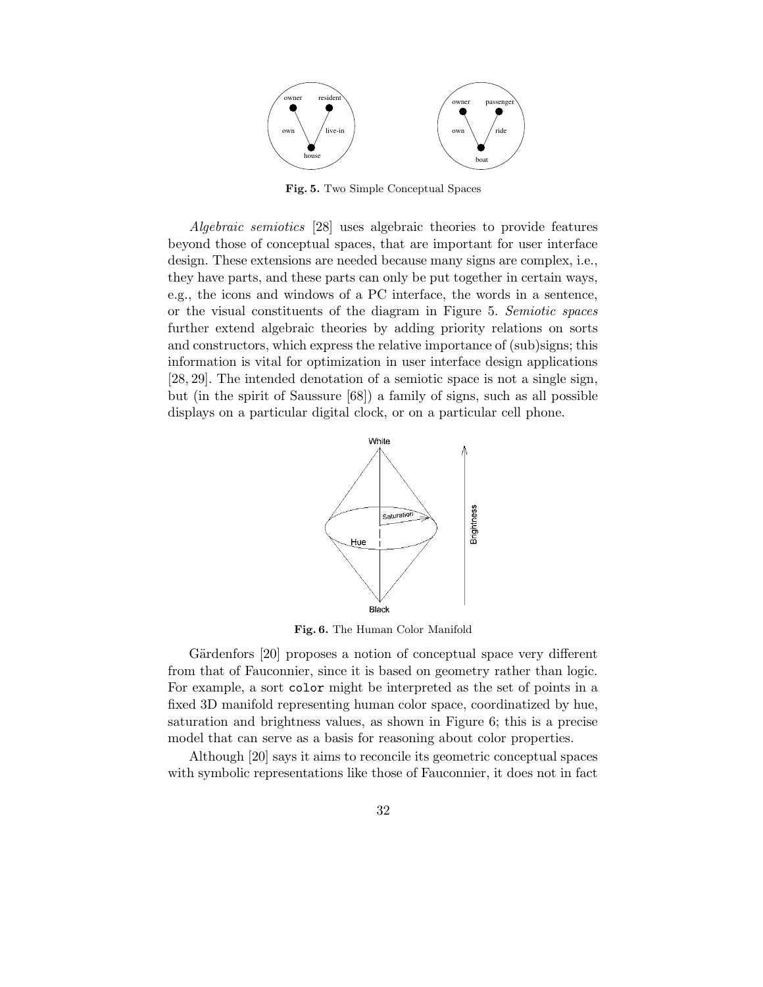

Fig. 5. Two Simple Conceptual Spaces

Algebraic semiotics [28] uses algebraic theories to provide features beyond those of conceptual spaces, that are important for user interface design. These extensions are needed because many signs are complex, i.e., they have parts, and these parts can only be put together in certain ways, e.g., the icons and windows of a PC interface, the words in a sentence, or the visual constituents of the diagram in Figure 5. Semiotic spaces further extend algebraic theories by adding priority relations on sorts and constructors, which express the relative importance of (sub)signs; this information is vital for optimization in user interface design applications [28, 29]. The intended denotation of a semiotic space is not a single sign, but (in the spirit of Saussure [68]) a family of signs, such as all possible displays on a particular digital clock, or on a particular cell phone.



Fig. 6. The Human Color Manifold

Gärdenfors [20] proposes a notion of conceptual space very different from that of Fauconnier, since it is based on geometry rather than logic. For example, a sort color might be interpreted as the set of points in a fixed 3D manifold representing human color space, coordinatized by hue, saturation and brightness values, as shown in Figure 6; this is a precise model that can serve as a basis for reasoning about color properties.

Although [20] says it aims to reconcile its geometric conceptual spaces with symbolic representations like those of Fauconnier, it does not in fact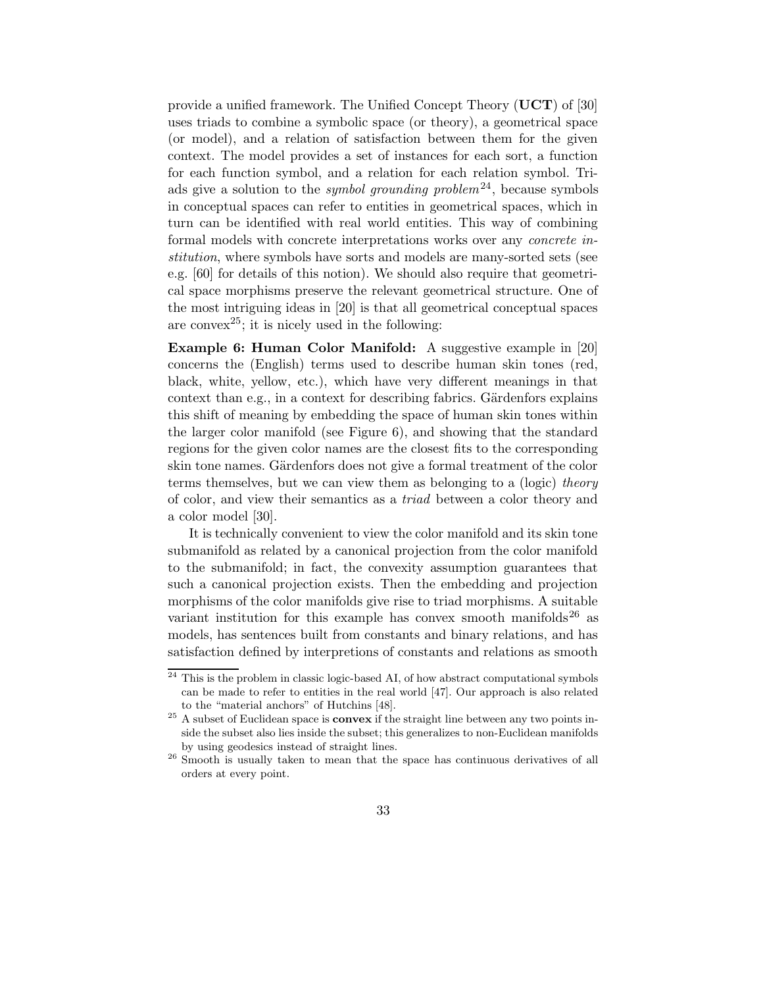provide a unified framework. The Unified Concept Theory (UCT) of [30] uses triads to combine a symbolic space (or theory), a geometrical space (or model), and a relation of satisfaction between them for the given context. The model provides a set of instances for each sort, a function for each function symbol, and a relation for each relation symbol. Triads give a solution to the *symbol grounding problem*<sup>24</sup>, because symbols in conceptual spaces can refer to entities in geometrical spaces, which in turn can be identified with real world entities. This way of combining formal models with concrete interpretations works over any concrete institution, where symbols have sorts and models are many-sorted sets (see e.g. [60] for details of this notion). We should also require that geometrical space morphisms preserve the relevant geometrical structure. One of the most intriguing ideas in [20] is that all geometrical conceptual spaces are convex<sup>25</sup>; it is nicely used in the following:

Example 6: Human Color Manifold: A suggestive example in [20] concerns the (English) terms used to describe human skin tones (red, black, white, yellow, etc.), which have very different meanings in that context than e.g., in a context for describing fabrics. Gärdenfors explains this shift of meaning by embedding the space of human skin tones within the larger color manifold (see Figure 6), and showing that the standard regions for the given color names are the closest fits to the corresponding skin tone names. Gärdenfors does not give a formal treatment of the color terms themselves, but we can view them as belonging to a (logic) theory of color, and view their semantics as a triad between a color theory and a color model [30].

It is technically convenient to view the color manifold and its skin tone submanifold as related by a canonical projection from the color manifold to the submanifold; in fact, the convexity assumption guarantees that such a canonical projection exists. Then the embedding and projection morphisms of the color manifolds give rise to triad morphisms. A suitable variant institution for this example has convex smooth manifolds<sup>26</sup> as models, has sentences built from constants and binary relations, and has satisfaction defined by interpretions of constants and relations as smooth

 $24$  This is the problem in classic logic-based AI, of how abstract computational symbols can be made to refer to entities in the real world [47]. Our approach is also related to the "material anchors" of Hutchins [48].

 $25$  A subset of Euclidean space is **convex** if the straight line between any two points inside the subset also lies inside the subset; this generalizes to non-Euclidean manifolds by using geodesics instead of straight lines.

<sup>&</sup>lt;sup>26</sup> Smooth is usually taken to mean that the space has continuous derivatives of all orders at every point.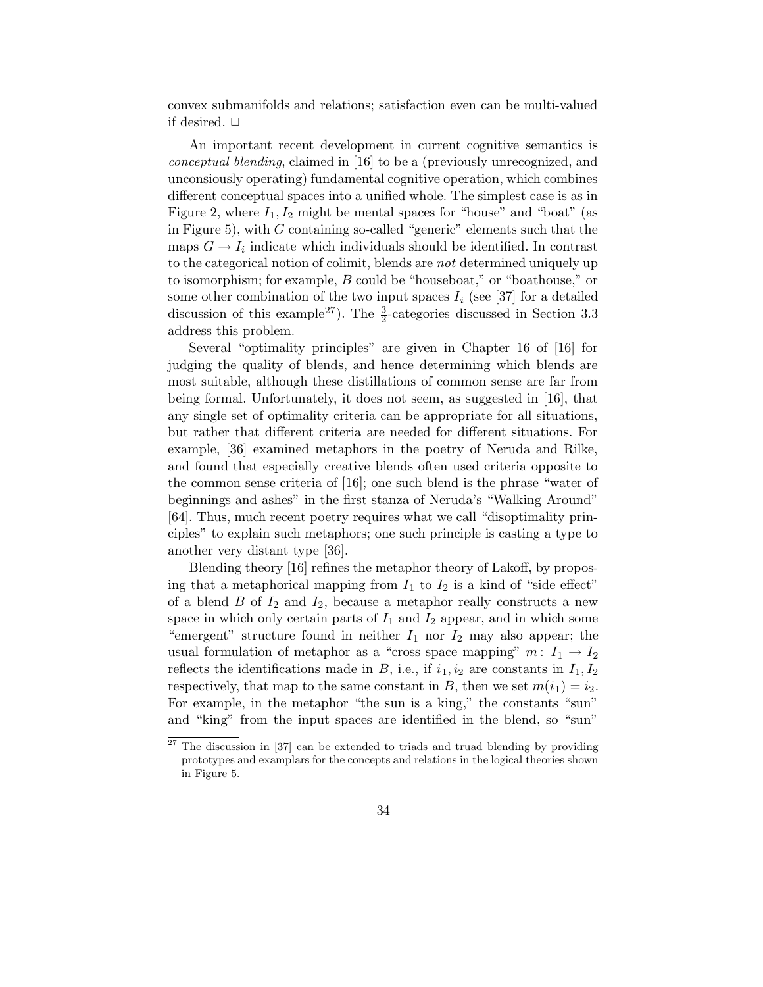convex submanifolds and relations; satisfaction even can be multi-valued if desired.  $\Box$ 

An important recent development in current cognitive semantics is conceptual blending, claimed in [16] to be a (previously unrecognized, and unconsiously operating) fundamental cognitive operation, which combines different conceptual spaces into a unified whole. The simplest case is as in Figure 2, where  $I_1, I_2$  might be mental spaces for "house" and "boat" (as in Figure 5), with  $G$  containing so-called "generic" elements such that the maps  $G \to I_i$  indicate which individuals should be identified. In contrast to the categorical notion of colimit, blends are not determined uniquely up to isomorphism; for example, B could be "houseboat," or "boathouse," or some other combination of the two input spaces  $I_i$  (see [37] for a detailed discussion of this example<sup>27</sup>). The  $\frac{3}{2}$ -categories discussed in Section 3.3 address this problem.

Several "optimality principles" are given in Chapter 16 of [16] for judging the quality of blends, and hence determining which blends are most suitable, although these distillations of common sense are far from being formal. Unfortunately, it does not seem, as suggested in [16], that any single set of optimality criteria can be appropriate for all situations, but rather that different criteria are needed for different situations. For example, [36] examined metaphors in the poetry of Neruda and Rilke, and found that especially creative blends often used criteria opposite to the common sense criteria of [16]; one such blend is the phrase "water of beginnings and ashes" in the first stanza of Neruda's "Walking Around" [64]. Thus, much recent poetry requires what we call "disoptimality principles" to explain such metaphors; one such principle is casting a type to another very distant type [36].

Blending theory [16] refines the metaphor theory of Lakoff, by proposing that a metaphorical mapping from  $I_1$  to  $I_2$  is a kind of "side effect" of a blend  $B$  of  $I_2$  and  $I_2$ , because a metaphor really constructs a new space in which only certain parts of  $I_1$  and  $I_2$  appear, and in which some "emergent" structure found in neither  $I_1$  nor  $I_2$  may also appear; the usual formulation of metaphor as a "cross space mapping"  $m: I_1 \rightarrow I_2$ reflects the identifications made in B, i.e., if  $i_1, i_2$  are constants in  $I_1, I_2$ respectively, that map to the same constant in B, then we set  $m(i_1) = i_2$ . For example, in the metaphor "the sun is a king," the constants "sun" and "king" from the input spaces are identified in the blend, so "sun"

<sup>&</sup>lt;sup>27</sup> The discussion in [37] can be extended to triads and truad blending by providing prototypes and examplars for the concepts and relations in the logical theories shown in Figure 5.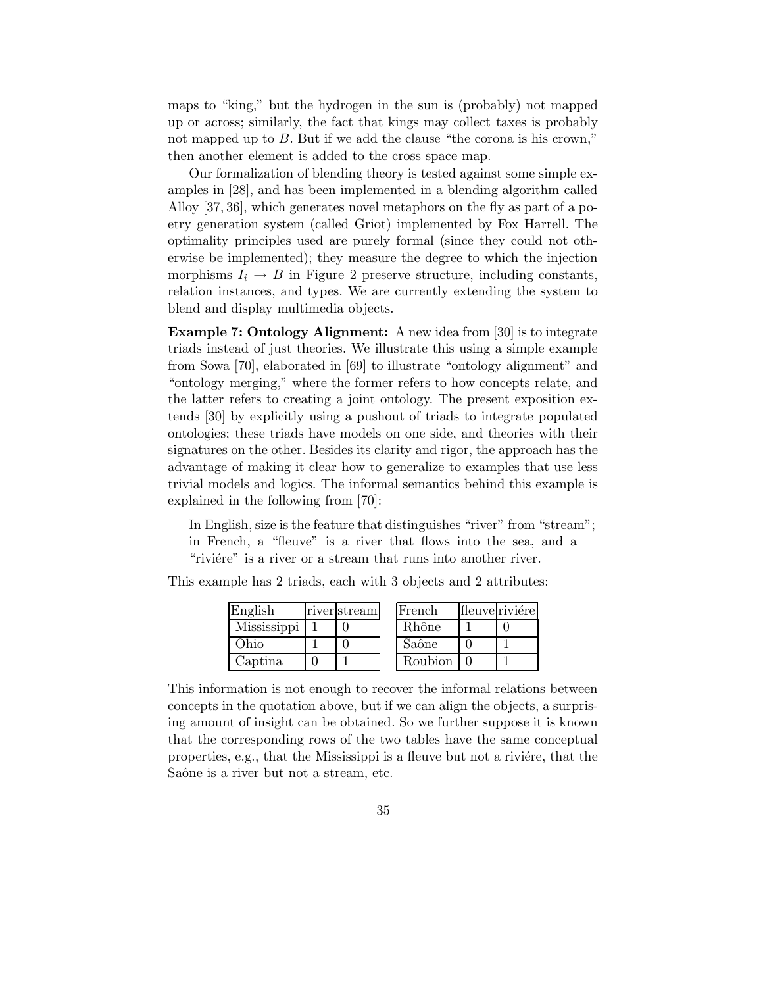maps to "king," but the hydrogen in the sun is (probably) not mapped up or across; similarly, the fact that kings may collect taxes is probably not mapped up to B. But if we add the clause "the corona is his crown," then another element is added to the cross space map.

Our formalization of blending theory is tested against some simple examples in [28], and has been implemented in a blending algorithm called Alloy [37, 36], which generates novel metaphors on the fly as part of a poetry generation system (called Griot) implemented by Fox Harrell. The optimality principles used are purely formal (since they could not otherwise be implemented); they measure the degree to which the injection morphisms  $I_i \rightarrow B$  in Figure 2 preserve structure, including constants, relation instances, and types. We are currently extending the system to blend and display multimedia objects.

Example 7: Ontology Alignment: A new idea from [30] is to integrate triads instead of just theories. We illustrate this using a simple example from Sowa [70], elaborated in [69] to illustrate "ontology alignment" and "ontology merging," where the former refers to how concepts relate, and the latter refers to creating a joint ontology. The present exposition extends [30] by explicitly using a pushout of triads to integrate populated ontologies; these triads have models on one side, and theories with their signatures on the other. Besides its clarity and rigor, the approach has the advantage of making it clear how to generalize to examples that use less trivial models and logics. The informal semantics behind this example is explained in the following from [70]:

In English, size is the feature that distinguishes "river" from "stream"; in French, a "fleuve" is a river that flows into the sea, and a "riviére" is a river or a stream that runs into another river.

| English     | river stream | French  | fleuve riviére |
|-------------|--------------|---------|----------------|
| Mississippi |              | Rhône   |                |
| Əhio        |              | Saône   |                |
| Captina     |              | Roubion |                |

This example has 2 triads, each with 3 objects and 2 attributes:

This information is not enough to recover the informal relations between concepts in the quotation above, but if we can align the objects, a surprising amount of insight can be obtained. So we further suppose it is known that the corresponding rows of the two tables have the same conceptual properties, e.g., that the Mississippi is a fleuve but not a rivière, that the Saône is a river but not a stream, etc.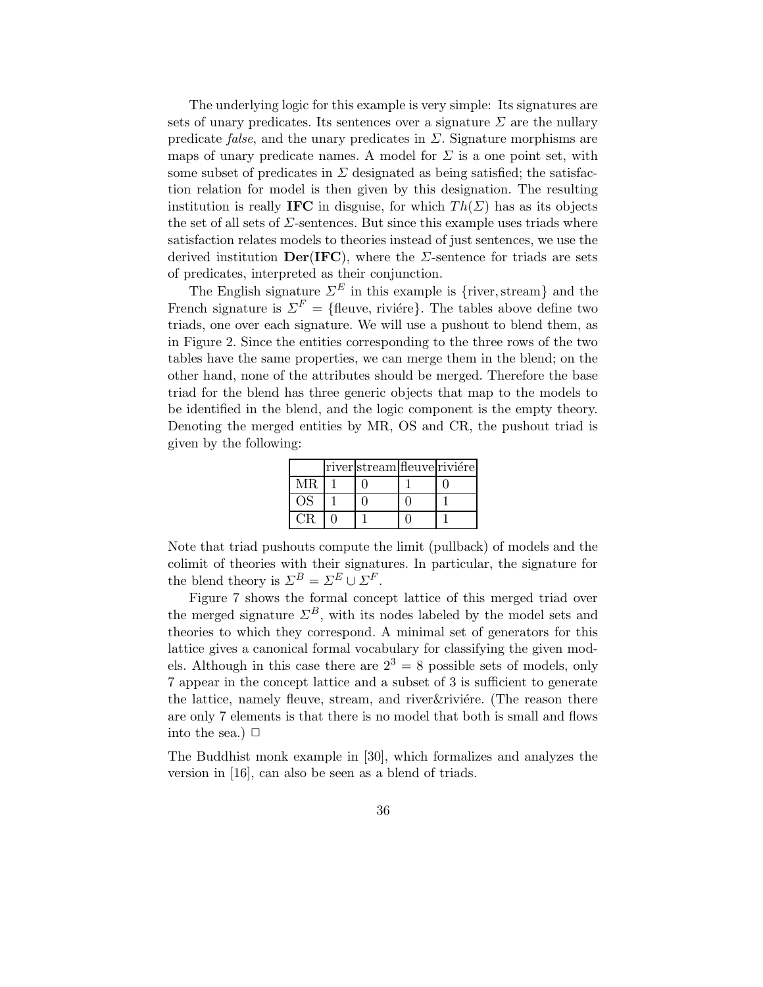The underlying logic for this example is very simple: Its signatures are sets of unary predicates. Its sentences over a signature  $\Sigma$  are the nullary predicate *false*, and the unary predicates in  $\Sigma$ . Signature morphisms are maps of unary predicate names. A model for  $\Sigma$  is a one point set, with some subset of predicates in  $\Sigma$  designated as being satisfied; the satisfaction relation for model is then given by this designation. The resulting institution is really **IFC** in disguise, for which  $Th(\Sigma)$  has as its objects the set of all sets of  $\Sigma$ -sentences. But since this example uses triads where satisfaction relates models to theories instead of just sentences, we use the derived institution  $Der(IFC)$ , where the *Σ*-sentence for triads are sets of predicates, interpreted as their conjunction.

The English signature  $\Sigma^E$  in this example is {river, stream} and the French signature is  $\Sigma^F = \{\text{fluence}, \text{riviere}\}.$  The tables above define two triads, one over each signature. We will use a pushout to blend them, as in Figure 2. Since the entities corresponding to the three rows of the two tables have the same properties, we can merge them in the blend; on the other hand, none of the attributes should be merged. Therefore the base triad for the blend has three generic objects that map to the models to be identified in the blend, and the logic component is the empty theory. Denoting the merged entities by MR, OS and CR, the pushout triad is given by the following:

|    | river stream fleuve riviére |  |
|----|-----------------------------|--|
| МR |                             |  |
| ΩS |                             |  |
|    |                             |  |

Note that triad pushouts compute the limit (pullback) of models and the colimit of theories with their signatures. In particular, the signature for the blend theory is  $\Sigma^B = \Sigma^E \cup \Sigma^F$ .

Figure 7 shows the formal concept lattice of this merged triad over the merged signature  $\Sigma^B$ , with its nodes labeled by the model sets and theories to which they correspond. A minimal set of generators for this lattice gives a canonical formal vocabulary for classifying the given models. Although in this case there are  $2^3 = 8$  possible sets of models, only 7 appear in the concept lattice and a subset of 3 is sufficient to generate the lattice, namely fleuve, stream, and river & rivière. (The reason there are only 7 elements is that there is no model that both is small and flows into the sea.)  $\Box$ 

The Buddhist monk example in [30], which formalizes and analyzes the version in [16], can also be seen as a blend of triads.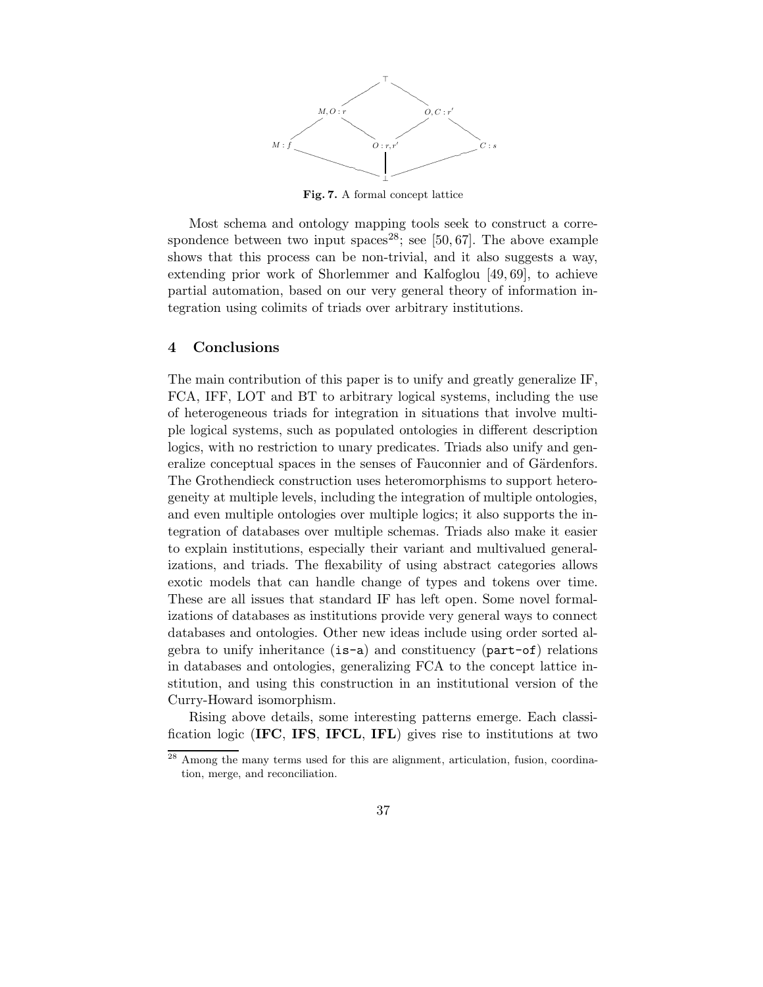

Fig. 7. A formal concept lattice

Most schema and ontology mapping tools seek to construct a correspondence between two input spaces<sup>28</sup>; see [50, 67]. The above example shows that this process can be non-trivial, and it also suggests a way, extending prior work of Shorlemmer and Kalfoglou [49, 69], to achieve partial automation, based on our very general theory of information integration using colimits of triads over arbitrary institutions.

#### 4 Conclusions

The main contribution of this paper is to unify and greatly generalize IF, FCA, IFF, LOT and BT to arbitrary logical systems, including the use of heterogeneous triads for integration in situations that involve multiple logical systems, such as populated ontologies in different description logics, with no restriction to unary predicates. Triads also unify and generalize conceptual spaces in the senses of Fauconnier and of Gärdenfors. The Grothendieck construction uses heteromorphisms to support heterogeneity at multiple levels, including the integration of multiple ontologies, and even multiple ontologies over multiple logics; it also supports the integration of databases over multiple schemas. Triads also make it easier to explain institutions, especially their variant and multivalued generalizations, and triads. The flexability of using abstract categories allows exotic models that can handle change of types and tokens over time. These are all issues that standard IF has left open. Some novel formalizations of databases as institutions provide very general ways to connect databases and ontologies. Other new ideas include using order sorted algebra to unify inheritance (is-a) and constituency (part-of) relations in databases and ontologies, generalizing FCA to the concept lattice institution, and using this construction in an institutional version of the Curry-Howard isomorphism.

Rising above details, some interesting patterns emerge. Each classification logic (IFC, IFS, IFCL, IFL) gives rise to institutions at two

<sup>28</sup> Among the many terms used for this are alignment, articulation, fusion, coordination, merge, and reconciliation.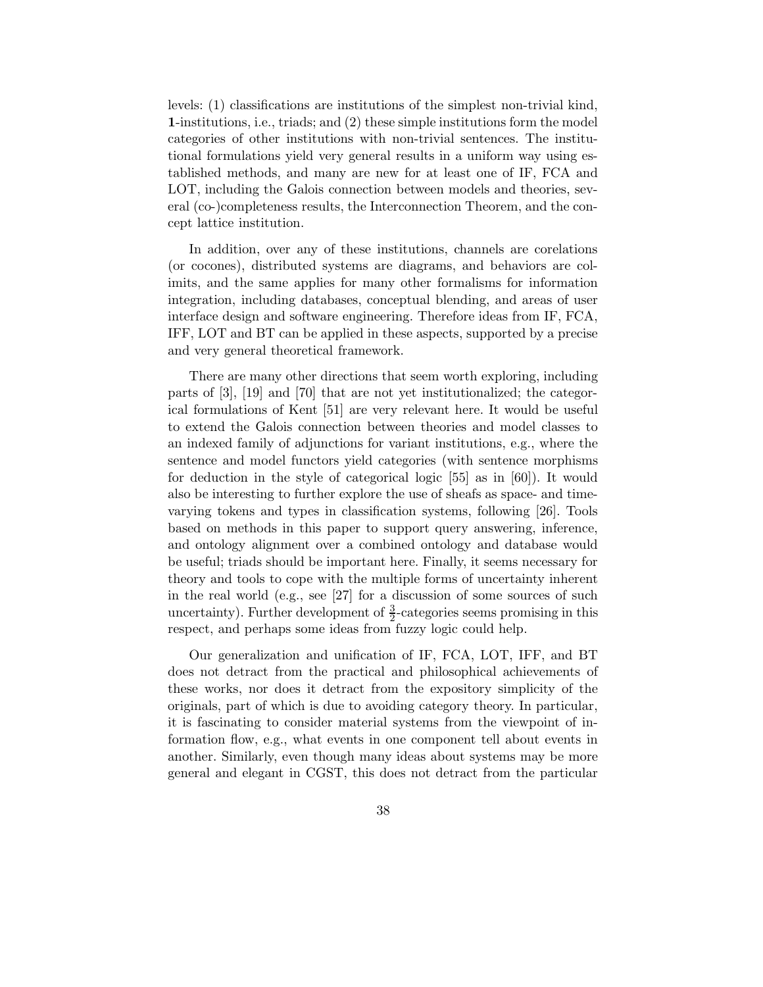levels: (1) classifications are institutions of the simplest non-trivial kind, 1-institutions, i.e., triads; and (2) these simple institutions form the model categories of other institutions with non-trivial sentences. The institutional formulations yield very general results in a uniform way using established methods, and many are new for at least one of IF, FCA and LOT, including the Galois connection between models and theories, several (co-)completeness results, the Interconnection Theorem, and the concept lattice institution.

In addition, over any of these institutions, channels are corelations (or cocones), distributed systems are diagrams, and behaviors are colimits, and the same applies for many other formalisms for information integration, including databases, conceptual blending, and areas of user interface design and software engineering. Therefore ideas from IF, FCA, IFF, LOT and BT can be applied in these aspects, supported by a precise and very general theoretical framework.

There are many other directions that seem worth exploring, including parts of [3], [19] and [70] that are not yet institutionalized; the categorical formulations of Kent [51] are very relevant here. It would be useful to extend the Galois connection between theories and model classes to an indexed family of adjunctions for variant institutions, e.g., where the sentence and model functors yield categories (with sentence morphisms for deduction in the style of categorical logic [55] as in [60]). It would also be interesting to further explore the use of sheafs as space- and timevarying tokens and types in classification systems, following [26]. Tools based on methods in this paper to support query answering, inference, and ontology alignment over a combined ontology and database would be useful; triads should be important here. Finally, it seems necessary for theory and tools to cope with the multiple forms of uncertainty inherent in the real world (e.g., see [27] for a discussion of some sources of such uncertainty). Further development of  $\frac{3}{2}$ -categories seems promising in this respect, and perhaps some ideas from fuzzy logic could help.

Our generalization and unification of IF, FCA, LOT, IFF, and BT does not detract from the practical and philosophical achievements of these works, nor does it detract from the expository simplicity of the originals, part of which is due to avoiding category theory. In particular, it is fascinating to consider material systems from the viewpoint of information flow, e.g., what events in one component tell about events in another. Similarly, even though many ideas about systems may be more general and elegant in CGST, this does not detract from the particular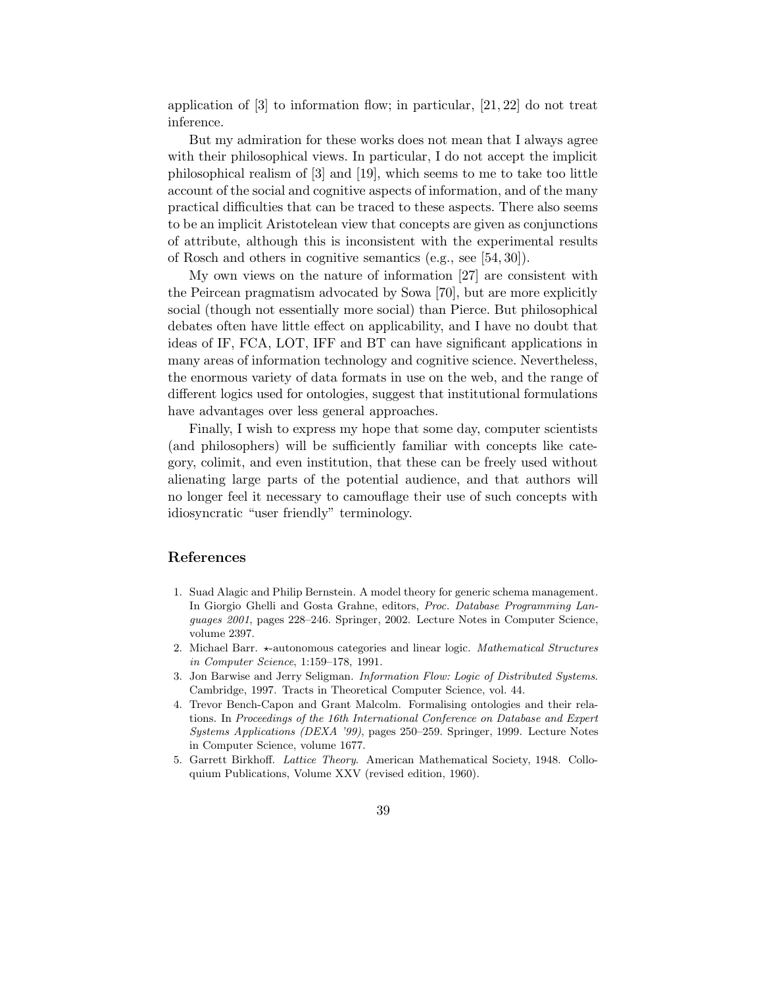application of [3] to information flow; in particular, [21, 22] do not treat inference.

But my admiration for these works does not mean that I always agree with their philosophical views. In particular, I do not accept the implicit philosophical realism of [3] and [19], which seems to me to take too little account of the social and cognitive aspects of information, and of the many practical difficulties that can be traced to these aspects. There also seems to be an implicit Aristotelean view that concepts are given as conjunctions of attribute, although this is inconsistent with the experimental results of Rosch and others in cognitive semantics (e.g., see [54, 30]).

My own views on the nature of information [27] are consistent with the Peircean pragmatism advocated by Sowa [70], but are more explicitly social (though not essentially more social) than Pierce. But philosophical debates often have little effect on applicability, and I have no doubt that ideas of IF, FCA, LOT, IFF and BT can have significant applications in many areas of information technology and cognitive science. Nevertheless, the enormous variety of data formats in use on the web, and the range of different logics used for ontologies, suggest that institutional formulations have advantages over less general approaches.

Finally, I wish to express my hope that some day, computer scientists (and philosophers) will be sufficiently familiar with concepts like category, colimit, and even institution, that these can be freely used without alienating large parts of the potential audience, and that authors will no longer feel it necessary to camouflage their use of such concepts with idiosyncratic "user friendly" terminology.

## References

- 1. Suad Alagic and Philip Bernstein. A model theory for generic schema management. In Giorgio Ghelli and Gosta Grahne, editors, Proc. Database Programming Languages 2001, pages 228–246. Springer, 2002. Lecture Notes in Computer Science, volume 2397.
- 2. Michael Barr.  $\star$ -autonomous categories and linear logic. *Mathematical Structures* in Computer Science, 1:159–178, 1991.
- 3. Jon Barwise and Jerry Seligman. Information Flow: Logic of Distributed Systems. Cambridge, 1997. Tracts in Theoretical Computer Science, vol. 44.
- 4. Trevor Bench-Capon and Grant Malcolm. Formalising ontologies and their relations. In Proceedings of the 16th International Conference on Database and Expert Systems Applications (DEXA '99), pages 250–259. Springer, 1999. Lecture Notes in Computer Science, volume 1677.
- 5. Garrett Birkhoff. Lattice Theory. American Mathematical Society, 1948. Colloquium Publications, Volume XXV (revised edition, 1960).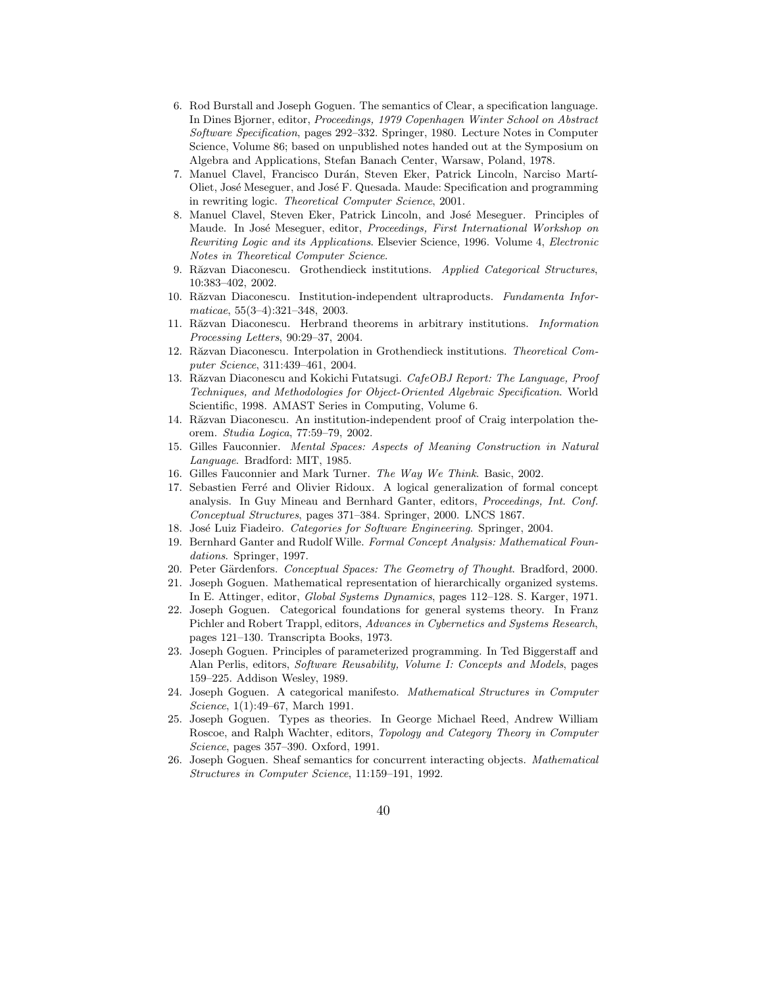- 6. Rod Burstall and Joseph Goguen. The semantics of Clear, a specification language. In Dines Bjorner, editor, Proceedings, 1979 Copenhagen Winter School on Abstract Software Specification, pages 292–332. Springer, 1980. Lecture Notes in Computer Science, Volume 86; based on unpublished notes handed out at the Symposium on Algebra and Applications, Stefan Banach Center, Warsaw, Poland, 1978.
- 7. Manuel Clavel, Francisco Durán, Steven Eker, Patrick Lincoln, Narciso Martí-Oliet, Jos´e Meseguer, and Jos´e F. Quesada. Maude: Specification and programming in rewriting logic. Theoretical Computer Science, 2001.
- 8. Manuel Clavel, Steven Eker, Patrick Lincoln, and José Meseguer. Principles of Maude. In José Meseguer, editor, *Proceedings, First International Workshop on* Rewriting Logic and its Applications. Elsevier Science, 1996. Volume 4, Electronic Notes in Theoretical Computer Science.
- 9. Răzvan Diaconescu. Grothendieck institutions. Applied Categorical Structures, 10:383–402, 2002.
- 10. Răzvan Diaconescu. Institution-independent ultraproducts. Fundamenta Informaticae, 55(3–4):321–348, 2003.
- 11. Răzvan Diaconescu. Herbrand theorems in arbitrary institutions. Information Processing Letters, 90:29–37, 2004.
- 12. Răzvan Diaconescu. Interpolation in Grothendieck institutions. Theoretical Computer Science, 311:439–461, 2004.
- 13. Răzvan Diaconescu and Kokichi Futatsugi. CafeOBJ Report: The Language, Proof Techniques, and Methodologies for Object-Oriented Algebraic Specification. World Scientific, 1998. AMAST Series in Computing, Volume 6.
- 14. Răzvan Diaconescu. An institution-independent proof of Craig interpolation theorem. Studia Logica, 77:59–79, 2002.
- 15. Gilles Fauconnier. Mental Spaces: Aspects of Meaning Construction in Natural Language. Bradford: MIT, 1985.
- 16. Gilles Fauconnier and Mark Turner. The Way We Think. Basic, 2002.
- 17. Sebastien Ferré and Olivier Ridoux. A logical generalization of formal concept analysis. In Guy Mineau and Bernhard Ganter, editors, Proceedings, Int. Conf. Conceptual Structures, pages 371–384. Springer, 2000. LNCS 1867.
- 18. José Luiz Fiadeiro. Categories for Software Engineering. Springer, 2004.
- 19. Bernhard Ganter and Rudolf Wille. Formal Concept Analysis: Mathematical Foundations. Springer, 1997.
- 20. Peter Gärdenfors. Conceptual Spaces: The Geometry of Thought. Bradford, 2000.
- 21. Joseph Goguen. Mathematical representation of hierarchically organized systems. In E. Attinger, editor, Global Systems Dynamics, pages 112–128. S. Karger, 1971.
- 22. Joseph Goguen. Categorical foundations for general systems theory. In Franz Pichler and Robert Trappl, editors, Advances in Cybernetics and Systems Research, pages 121–130. Transcripta Books, 1973.
- 23. Joseph Goguen. Principles of parameterized programming. In Ted Biggerstaff and Alan Perlis, editors, Software Reusability, Volume I: Concepts and Models, pages 159–225. Addison Wesley, 1989.
- 24. Joseph Goguen. A categorical manifesto. Mathematical Structures in Computer Science, 1(1):49–67, March 1991.
- 25. Joseph Goguen. Types as theories. In George Michael Reed, Andrew William Roscoe, and Ralph Wachter, editors, Topology and Category Theory in Computer Science, pages 357–390. Oxford, 1991.
- 26. Joseph Goguen. Sheaf semantics for concurrent interacting objects. Mathematical Structures in Computer Science, 11:159–191, 1992.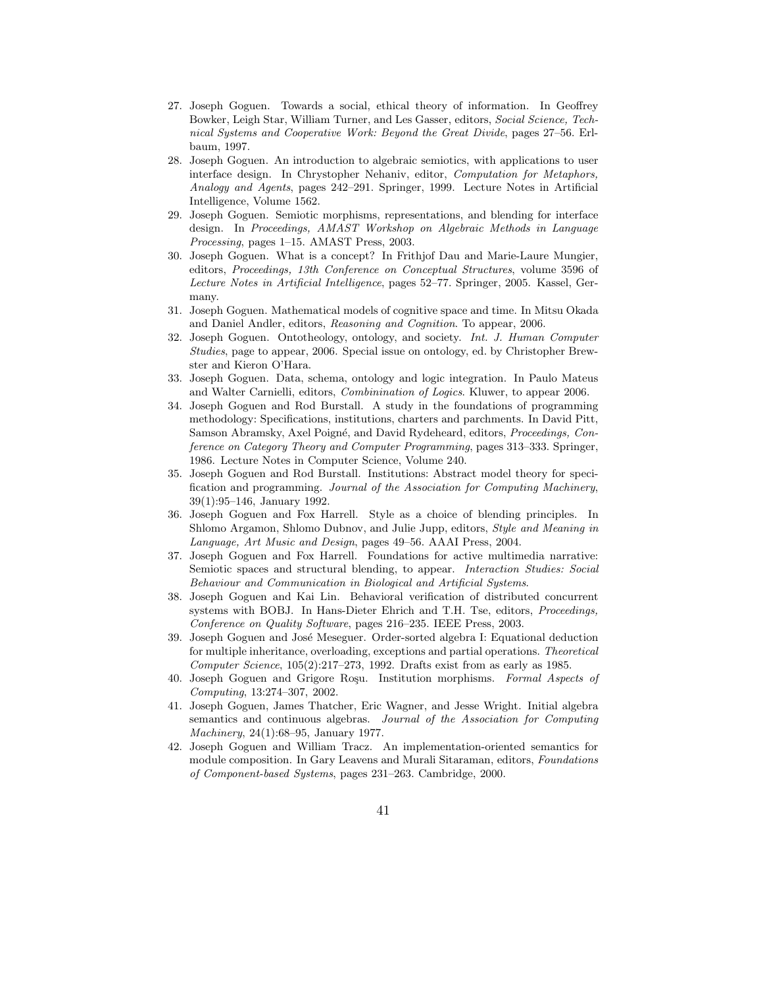- 27. Joseph Goguen. Towards a social, ethical theory of information. In Geoffrey Bowker, Leigh Star, William Turner, and Les Gasser, editors, Social Science, Technical Systems and Cooperative Work: Beyond the Great Divide, pages 27–56. Erlbaum, 1997.
- 28. Joseph Goguen. An introduction to algebraic semiotics, with applications to user interface design. In Chrystopher Nehaniv, editor, Computation for Metaphors, Analogy and Agents, pages 242–291. Springer, 1999. Lecture Notes in Artificial Intelligence, Volume 1562.
- 29. Joseph Goguen. Semiotic morphisms, representations, and blending for interface design. In Proceedings, AMAST Workshop on Algebraic Methods in Language Processing, pages 1–15. AMAST Press, 2003.
- 30. Joseph Goguen. What is a concept? In Frithjof Dau and Marie-Laure Mungier, editors, Proceedings, 13th Conference on Conceptual Structures, volume 3596 of Lecture Notes in Artificial Intelligence, pages 52–77. Springer, 2005. Kassel, Germany.
- 31. Joseph Goguen. Mathematical models of cognitive space and time. In Mitsu Okada and Daniel Andler, editors, Reasoning and Cognition. To appear, 2006.
- 32. Joseph Goguen. Ontotheology, ontology, and society. Int. J. Human Computer Studies, page to appear, 2006. Special issue on ontology, ed. by Christopher Brewster and Kieron O'Hara.
- 33. Joseph Goguen. Data, schema, ontology and logic integration. In Paulo Mateus and Walter Carnielli, editors, Combinination of Logics. Kluwer, to appear 2006.
- 34. Joseph Goguen and Rod Burstall. A study in the foundations of programming methodology: Specifications, institutions, charters and parchments. In David Pitt, Samson Abramsky, Axel Poigné, and David Rydeheard, editors, *Proceedings, Con*ference on Category Theory and Computer Programming, pages 313–333. Springer, 1986. Lecture Notes in Computer Science, Volume 240.
- 35. Joseph Goguen and Rod Burstall. Institutions: Abstract model theory for specification and programming. Journal of the Association for Computing Machinery, 39(1):95–146, January 1992.
- 36. Joseph Goguen and Fox Harrell. Style as a choice of blending principles. In Shlomo Argamon, Shlomo Dubnov, and Julie Jupp, editors, Style and Meaning in Language, Art Music and Design, pages 49–56. AAAI Press, 2004.
- 37. Joseph Goguen and Fox Harrell. Foundations for active multimedia narrative: Semiotic spaces and structural blending, to appear. Interaction Studies: Social Behaviour and Communication in Biological and Artificial Systems.
- 38. Joseph Goguen and Kai Lin. Behavioral verification of distributed concurrent systems with BOBJ. In Hans-Dieter Ehrich and T.H. Tse, editors, Proceedings, Conference on Quality Software, pages 216–235. IEEE Press, 2003.
- 39. Joseph Goguen and Jos´e Meseguer. Order-sorted algebra I: Equational deduction for multiple inheritance, overloading, exceptions and partial operations. Theoretical Computer Science, 105(2):217–273, 1992. Drafts exist from as early as 1985.
- 40. Joseph Goguen and Grigore Roşu. Institution morphisms. Formal Aspects of Computing, 13:274–307, 2002.
- 41. Joseph Goguen, James Thatcher, Eric Wagner, and Jesse Wright. Initial algebra semantics and continuous algebras. Journal of the Association for Computing Machinery, 24(1):68–95, January 1977.
- 42. Joseph Goguen and William Tracz. An implementation-oriented semantics for module composition. In Gary Leavens and Murali Sitaraman, editors, Foundations of Component-based Systems, pages 231–263. Cambridge, 2000.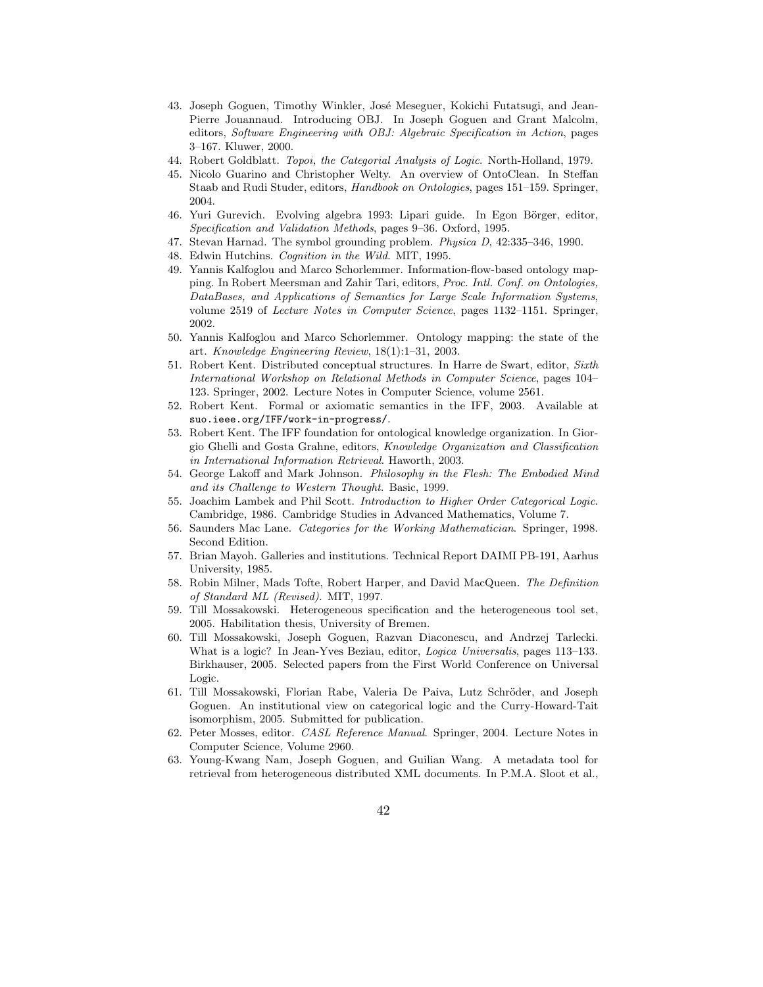- 43. Joseph Goguen, Timothy Winkler, José Meseguer, Kokichi Futatsugi, and Jean-Pierre Jouannaud. Introducing OBJ. In Joseph Goguen and Grant Malcolm, editors, Software Engineering with OBJ: Algebraic Specification in Action, pages 3–167. Kluwer, 2000.
- 44. Robert Goldblatt. Topoi, the Categorial Analysis of Logic. North-Holland, 1979.
- 45. Nicolo Guarino and Christopher Welty. An overview of OntoClean. In Steffan Staab and Rudi Studer, editors, Handbook on Ontologies, pages 151–159. Springer, 2004.
- 46. Yuri Gurevich. Evolving algebra 1993: Lipari guide. In Egon Börger, editor, Specification and Validation Methods, pages 9–36. Oxford, 1995.
- 47. Stevan Harnad. The symbol grounding problem. Physica D, 42:335–346, 1990.
- Edwin Hutchins. Cognition in the Wild. MIT, 1995.
- 49. Yannis Kalfoglou and Marco Schorlemmer. Information-flow-based ontology mapping. In Robert Meersman and Zahir Tari, editors, Proc. Intl. Conf. on Ontologies, DataBases, and Applications of Semantics for Large Scale Information Systems, volume 2519 of Lecture Notes in Computer Science, pages 1132–1151. Springer, 2002.
- 50. Yannis Kalfoglou and Marco Schorlemmer. Ontology mapping: the state of the art. Knowledge Engineering Review, 18(1):1–31, 2003.
- 51. Robert Kent. Distributed conceptual structures. In Harre de Swart, editor, Sixth International Workshop on Relational Methods in Computer Science, pages 104– 123. Springer, 2002. Lecture Notes in Computer Science, volume 2561.
- 52. Robert Kent. Formal or axiomatic semantics in the IFF, 2003. Available at suo.ieee.org/IFF/work-in-progress/.
- 53. Robert Kent. The IFF foundation for ontological knowledge organization. In Giorgio Ghelli and Gosta Grahne, editors, Knowledge Organization and Classification in International Information Retrieval. Haworth, 2003.
- 54. George Lakoff and Mark Johnson. Philosophy in the Flesh: The Embodied Mind and its Challenge to Western Thought. Basic, 1999.
- 55. Joachim Lambek and Phil Scott. Introduction to Higher Order Categorical Logic. Cambridge, 1986. Cambridge Studies in Advanced Mathematics, Volume 7.
- 56. Saunders Mac Lane. Categories for the Working Mathematician. Springer, 1998. Second Edition.
- 57. Brian Mayoh. Galleries and institutions. Technical Report DAIMI PB-191, Aarhus University, 1985.
- 58. Robin Milner, Mads Tofte, Robert Harper, and David MacQueen. The Definition of Standard ML (Revised). MIT, 1997.
- 59. Till Mossakowski. Heterogeneous specification and the heterogeneous tool set, 2005. Habilitation thesis, University of Bremen.
- 60. Till Mossakowski, Joseph Goguen, Razvan Diaconescu, and Andrzej Tarlecki. What is a logic? In Jean-Yves Beziau, editor, Logica Universalis, pages 113–133. Birkhauser, 2005. Selected papers from the First World Conference on Universal Logic.
- 61. Till Mossakowski, Florian Rabe, Valeria De Paiva, Lutz Schröder, and Joseph Goguen. An institutional view on categorical logic and the Curry-Howard-Tait isomorphism, 2005. Submitted for publication.
- 62. Peter Mosses, editor. CASL Reference Manual. Springer, 2004. Lecture Notes in Computer Science, Volume 2960.
- 63. Young-Kwang Nam, Joseph Goguen, and Guilian Wang. A metadata tool for retrieval from heterogeneous distributed XML documents. In P.M.A. Sloot et al.,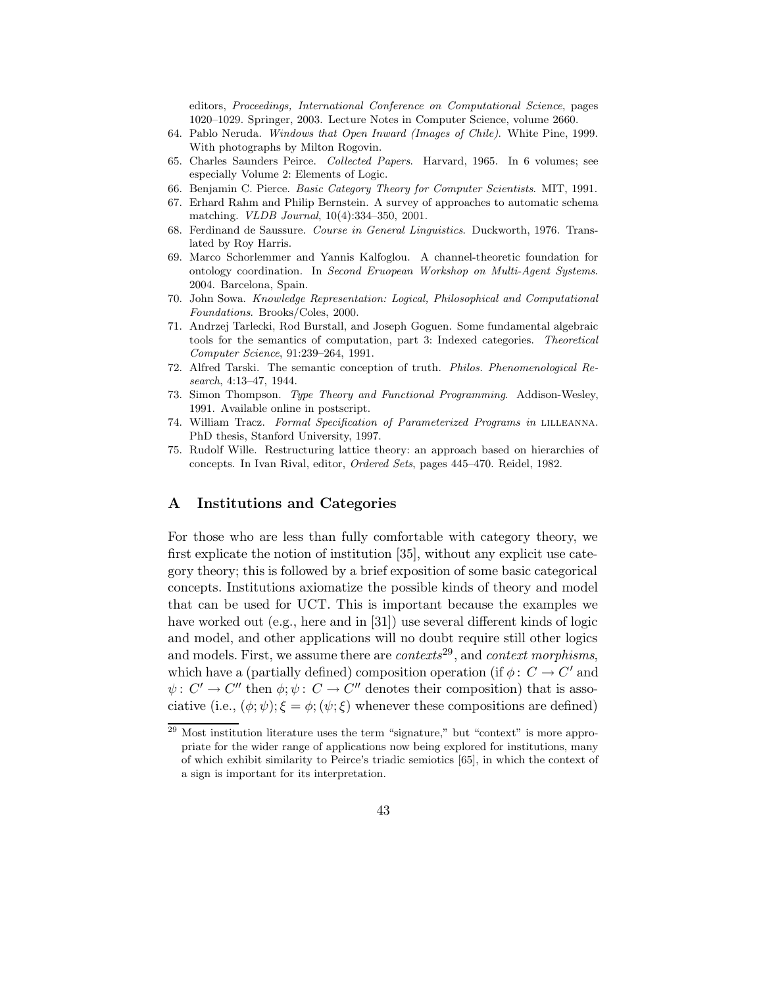editors, Proceedings, International Conference on Computational Science, pages 1020–1029. Springer, 2003. Lecture Notes in Computer Science, volume 2660.

- 64. Pablo Neruda. Windows that Open Inward (Images of Chile). White Pine, 1999. With photographs by Milton Rogovin.
- 65. Charles Saunders Peirce. Collected Papers. Harvard, 1965. In 6 volumes; see especially Volume 2: Elements of Logic.
- 66. Benjamin C. Pierce. Basic Category Theory for Computer Scientists. MIT, 1991.
- 67. Erhard Rahm and Philip Bernstein. A survey of approaches to automatic schema matching. VLDB Journal, 10(4):334–350, 2001.
- 68. Ferdinand de Saussure. Course in General Linguistics. Duckworth, 1976. Translated by Roy Harris.
- 69. Marco Schorlemmer and Yannis Kalfoglou. A channel-theoretic foundation for ontology coordination. In Second Eruopean Workshop on Multi-Agent Systems. 2004. Barcelona, Spain.
- 70. John Sowa. Knowledge Representation: Logical, Philosophical and Computational Foundations. Brooks/Coles, 2000.
- 71. Andrzej Tarlecki, Rod Burstall, and Joseph Goguen. Some fundamental algebraic tools for the semantics of computation, part 3: Indexed categories. Theoretical Computer Science, 91:239–264, 1991.
- 72. Alfred Tarski. The semantic conception of truth. Philos. Phenomenological Research, 4:13–47, 1944.
- 73. Simon Thompson. Type Theory and Functional Programming. Addison-Wesley, 1991. Available online in postscript.
- 74. William Tracz. Formal Specification of Parameterized Programs in lilleanna. PhD thesis, Stanford University, 1997.
- 75. Rudolf Wille. Restructuring lattice theory: an approach based on hierarchies of concepts. In Ivan Rival, editor, Ordered Sets, pages 445–470. Reidel, 1982.

## A Institutions and Categories

For those who are less than fully comfortable with category theory, we first explicate the notion of institution [35], without any explicit use category theory; this is followed by a brief exposition of some basic categorical concepts. Institutions axiomatize the possible kinds of theory and model that can be used for UCT. This is important because the examples we have worked out (e.g., here and in [31]) use several different kinds of logic and model, and other applications will no doubt require still other logics and models. First, we assume there are  $contexts^{29}$ , and context morphisms, which have a (partially defined) composition operation (if  $\phi: C \to C'$  and  $\psi: C' \to C''$  then  $\phi: \psi: C \to C''$  denotes their composition) that is associative (i.e.,  $(\phi; \psi); \xi = \phi; (\psi; \xi)$  whenever these compositions are defined)

<sup>&</sup>lt;sup>29</sup> Most institution literature uses the term "signature," but "context" is more appropriate for the wider range of applications now being explored for institutions, many of which exhibit similarity to Peirce's triadic semiotics [65], in which the context of a sign is important for its interpretation.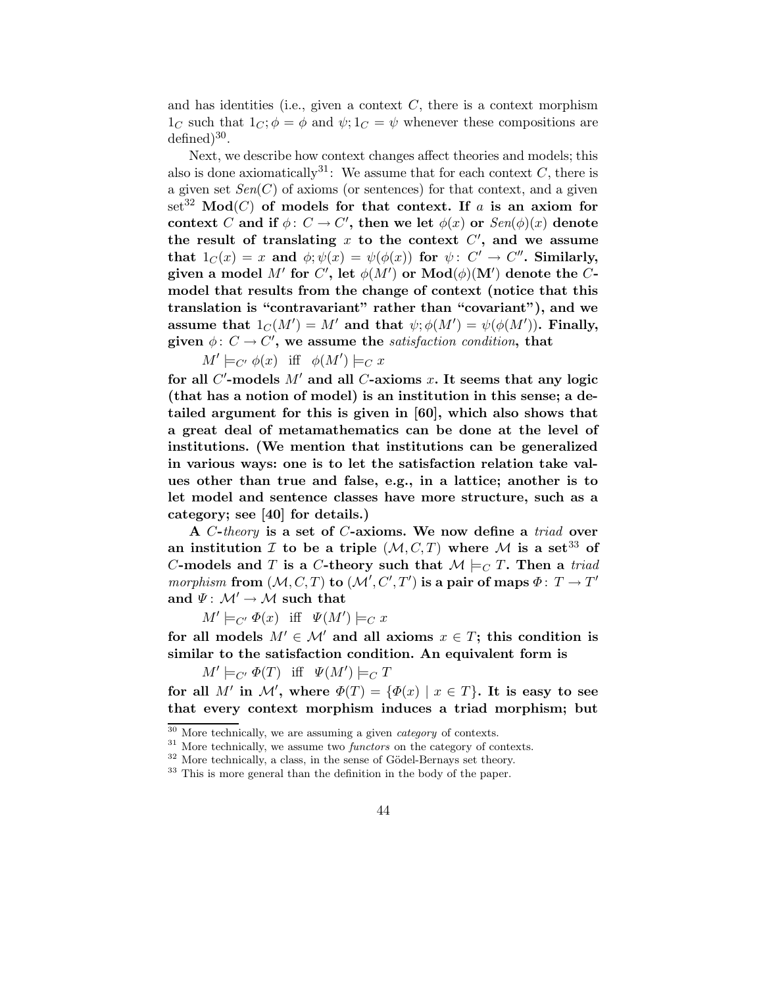and has identities (i.e., given a context  $C$ , there is a context morphism  $1<sub>C</sub>$  such that  $1<sub>C</sub>; \phi = \phi$  and  $\psi; 1<sub>C</sub> = \psi$  whenever these compositions are  $\text{defined})^{30}.$ 

Next, we describe how context changes affect theories and models; this also is done axiomatically<sup>31</sup>: We assume that for each context C, there is a given set  $Sen(C)$  of axioms (or sentences) for that context, and a given set<sup>32</sup> Mod(C) of models for that context. If a is an axiom for context C and if  $\phi: C \to C'$ , then we let  $\phi(x)$  or  $\mathit{Sen}(\phi)(x)$  denote the result of translating  $x$  to the context  $C'$ , and we assume that  $1_C(x)=x$  and  $\phi; \psi(x)=\psi(\phi(x))$  for  $\psi\colon\thinspace C'\to C''.$  Similarly, given a model  $M'$  for  $C'$ , let  $\phi(M')$  or  $\text{Mod}(\phi)(M')$  denote the  $C$ model that results from the change of context (notice that this translation is "contravariant" rather than "covariant"), and we assume that  $1_C(M') = M'$  and that  $\psi; \phi(M') = \psi(\phi(M'))$ . Finally, given  $\phi: C \to C'$ , we assume the satisfaction condition, that

 $M' \models_{C'} \phi(x)$  iff  $\phi(M') \models_C x$ 

for all  $C'$ -models  $M'$  and all  $C$ -axioms x. It seems that any logic (that has a notion of model) is an institution in this sense; a detailed argument for this is given in [60], which also shows that a great deal of metamathematics can be done at the level of institutions. (We mention that institutions can be generalized in various ways: one is to let the satisfaction relation take values other than true and false, e.g., in a lattice; another is to let model and sentence classes have more structure, such as a category; see [40] for details.)

A C-theory is a set of C-axioms. We now define a triad over an institution I to be a triple  $(M, C, T)$  where M is a set<sup>33</sup> of C-models and T is a C-theory such that  $\mathcal{M} \models_{C} T$ . Then a triad morphism from  $(M, C, T)$  to  $(M', C', T')$  is a pair of maps  $\Phi: T \to T'$ and  $\Psi: \mathcal{M}' \to \mathcal{M}$  such that

 $M' \models_{C'} \Phi(x)$  iff  $\Psi(M') \models_C x$ 

for all models  $M' \in \mathcal{M}'$  and all axioms  $x \in T$ ; this condition is similar to the satisfaction condition. An equivalent form is

 $M' \models_{C'} \Phi(T)$  iff  $\Psi(M') \models_C T$ 

for all M' in M', where  $\Phi(T) = {\Phi(x) | x \in T}$ . It is easy to see that every context morphism induces a triad morphism; but

 $30$  More technically, we are assuming a given *category* of contexts.

 $31$  More technically, we assume two *functors* on the category of contexts.

 $32$  More technically, a class, in the sense of Gödel-Bernays set theory.

<sup>&</sup>lt;sup>33</sup> This is more general than the definition in the body of the paper.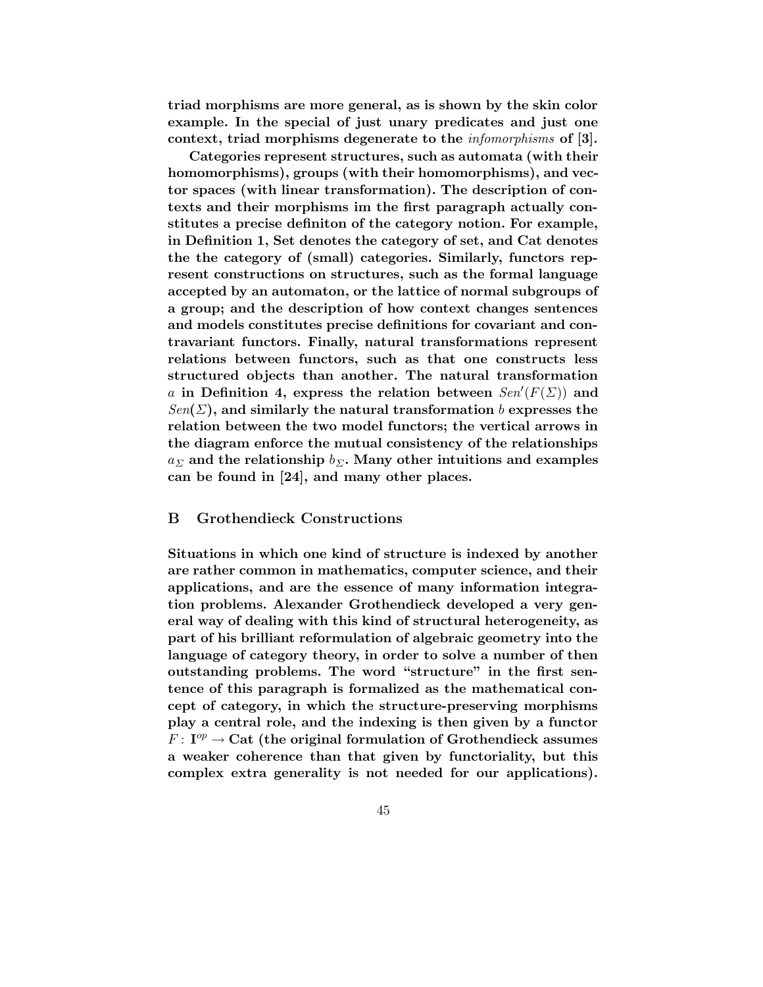triad morphisms are more general, as is shown by the skin color example. In the special of just unary predicates and just one context, triad morphisms degenerate to the infomorphisms of [3].

Categories represent structures, such as automata (with their homomorphisms), groups (with their homomorphisms), and vector spaces (with linear transformation). The description of contexts and their morphisms im the first paragraph actually constitutes a precise definiton of the category notion. For example, in Definition 1, Set denotes the category of set, and Cat denotes the the category of (small) categories. Similarly, functors represent constructions on structures, such as the formal language accepted by an automaton, or the lattice of normal subgroups of a group; and the description of how context changes sentences and models constitutes precise definitions for covariant and contravariant functors. Finally, natural transformations represent relations between functors, such as that one constructs less structured objects than another. The natural transformation a in Definition 4, express the relation between  $Sen'(F(\Sigma))$  and  $Sen(\Sigma)$ , and similarly the natural transformation b expresses the relation between the two model functors; the vertical arrows in the diagram enforce the mutual consistency of the relationships  $a_{\Sigma}$  and the relationship  $b_{\Sigma}$ . Many other intuitions and examples can be found in [24], and many other places.

#### B Grothendieck Constructions

Situations in which one kind of structure is indexed by another are rather common in mathematics, computer science, and their applications, and are the essence of many information integration problems. Alexander Grothendieck developed a very general way of dealing with this kind of structural heterogeneity, as part of his brilliant reformulation of algebraic geometry into the language of category theory, in order to solve a number of then outstanding problems. The word "structure" in the first sentence of this paragraph is formalized as the mathematical concept of category, in which the structure-preserving morphisms play a central role, and the indexing is then given by a functor  $F\colon \mathrm{I}^{op}\to \mathrm{Cat}$  (the original formulation of Grothendieck assumes a weaker coherence than that given by functoriality, but this complex extra generality is not needed for our applications).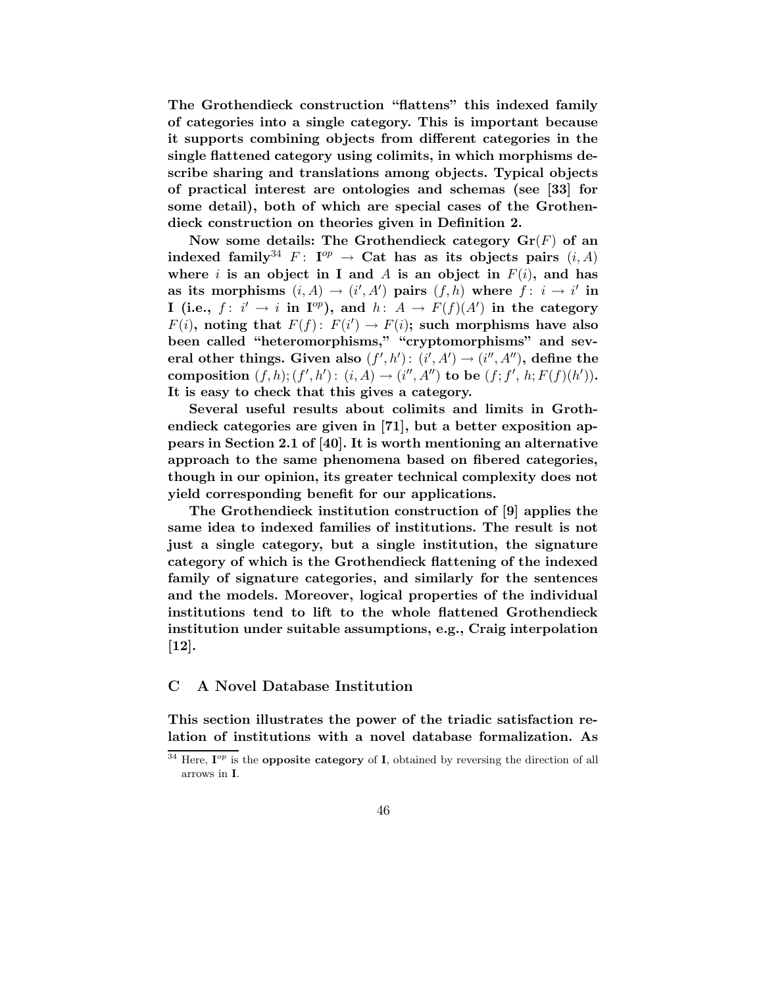The Grothendieck construction "flattens" this indexed family of categories into a single category. This is important because it supports combining objects from different categories in the single flattened category using colimits, in which morphisms describe sharing and translations among objects. Typical objects of practical interest are ontologies and schemas (see [33] for some detail), both of which are special cases of the Grothendieck construction on theories given in Definition 2.

Now some details: The Grothendieck category  $\mathbf{Gr}(F)$  of an indexed family<sup>34</sup>  $F: I^{op} \to \textbf{Cat}$  has as its objects pairs  $(i, A)$ where i is an object in I and A is an object in  $F(i)$ , and has as its morphisms  $(i, A) \rightarrow (i', A')$  pairs  $(f, h)$  where  $\overrightarrow{f} : i \rightarrow i'$  in I (i.e.,  $f: i' \rightarrow i$  in  $I^{op}$ ), and  $h: A \rightarrow F(f)(A')$  in the category  $F(i)$ , noting that  $F(f)$ :  $F(i') \rightarrow F(i)$ ; such morphisms have also been called "heteromorphisms," "cryptomorphisms" and several other things. Given also  $(f',h')$ :  $(i',A') \rightarrow (i'',A'')$ , define the composition  $(f, h); (f', h') : (i, A) \rightarrow (i'', A'')$  to be  $(f; f', h; F(f)(h')).$ It is easy to check that this gives a category.

Several useful results about colimits and limits in Grothendieck categories are given in [71], but a better exposition appears in Section 2.1 of [40]. It is worth mentioning an alternative approach to the same phenomena based on fibered categories, though in our opinion, its greater technical complexity does not yield corresponding benefit for our applications.

The Grothendieck institution construction of [9] applies the same idea to indexed families of institutions. The result is not just a single category, but a single institution, the signature category of which is the Grothendieck flattening of the indexed family of signature categories, and similarly for the sentences and the models. Moreover, logical properties of the individual institutions tend to lift to the whole flattened Grothendieck institution under suitable assumptions, e.g., Craig interpolation [12].

## C A Novel Database Institution

This section illustrates the power of the triadic satisfaction relation of institutions with a novel database formalization. As

<sup>&</sup>lt;sup>34</sup> Here,  $I^{op}$  is the **opposite category** of **I**, obtained by reversing the direction of all arrows in I.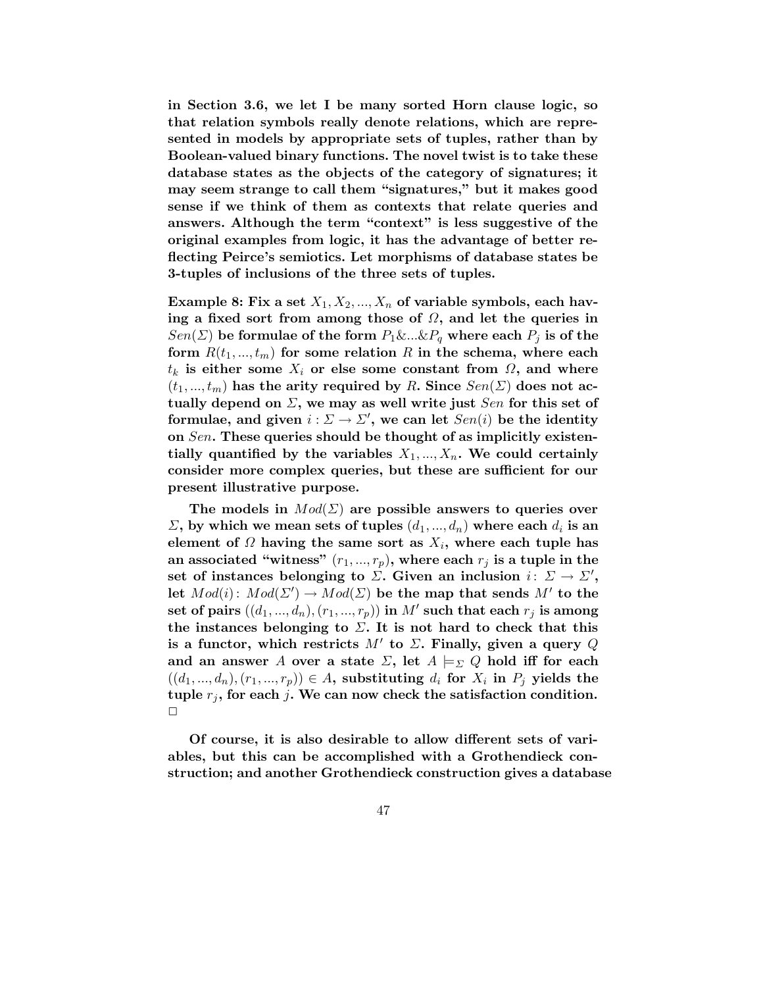in Section 3.6, we let I be many sorted Horn clause logic, so that relation symbols really denote relations, which are represented in models by appropriate sets of tuples, rather than by Boolean-valued binary functions. The novel twist is to take these database states as the objects of the category of signatures; it may seem strange to call them "signatures," but it makes good sense if we think of them as contexts that relate queries and answers. Although the term "context" is less suggestive of the original examples from logic, it has the advantage of better reflecting Peirce's semiotics. Let morphisms of database states be 3-tuples of inclusions of the three sets of tuples.

Example 8: Fix a set  $X_1, X_2, ..., X_n$  of variable symbols, each having a fixed sort from among those of  $\Omega$ , and let the queries in  $Sen(\Sigma)$  be formulae of the form  $P_1 \&... \& P_q$  where each  $P_j$  is of the form  $R(t_1, ..., t_m)$  for some relation R in the schema, where each  $t_k$  is either some  $X_i$  or else some constant from  $\Omega$ , and where  $(t_1, ..., t_m)$  has the arity required by R. Since  $Sen(\Sigma)$  does not actually depend on  $\Sigma$ , we may as well write just  $Sen$  for this set of formulae, and given  $i : \Sigma \to \Sigma'$ , we can let  $Sen(i)$  be the identity on Sen. These queries should be thought of as implicitly existentially quantified by the variables  $X_1, ..., X_n$ . We could certainly consider more complex queries, but these are sufficient for our present illustrative purpose.

The models in  $Mod(\Sigma)$  are possible answers to queries over  $\Sigma$ , by which we mean sets of tuples  $(d_1, ..., d_n)$  where each  $d_i$  is an element of  $\Omega$  having the same sort as  $X_i$ , where each tuple has an associated "witness"  $(r_1, ..., r_p)$ , where each  $r_j$  is a tuple in the set of instances belonging to  $\Sigma$ . Given an inclusion  $i: \Sigma \to \Sigma'$ , let  $Mod(i)$ :  $Mod(\Sigma') \rightarrow Mod(\Sigma)$  be the map that sends  $M'$  to the  ${\bf set \ of \ pairs \ } ((d_1,...,d_n),(r_1,...,r_p)) {\bf \ in \ } M' {\bf \ such \ that \ each \ } r_j {\bf \ is \ among}$ the instances belonging to  $\Sigma$ . It is not hard to check that this is a functor, which restricts  $M'$  to  $\Sigma$ . Finally, given a query  $Q$ and an answer A over a state  $\Sigma$ , let  $A \models_{\Sigma} Q$  hold iff for each  $((d_1, ..., d_n), (r_1, ..., r_p)) \in A$ , substituting  $d_i$  for  $X_i$  in  $P_i$  yields the tuple  $r_j$ , for each j. We can now check the satisfaction condition.  $\Box$ 

Of course, it is also desirable to allow different sets of variables, but this can be accomplished with a Grothendieck construction; and another Grothendieck construction gives a database